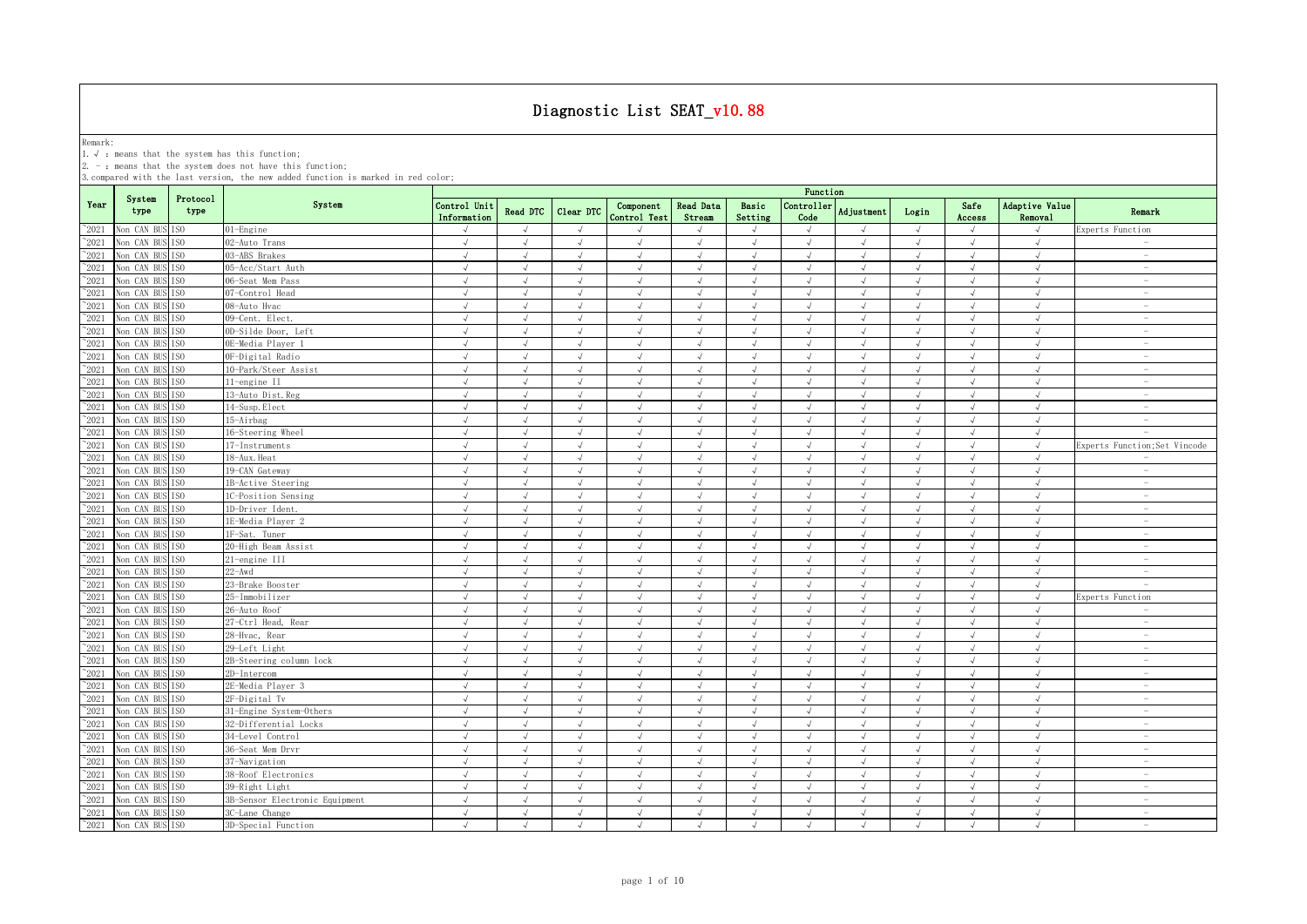Remark:<br>1.√ : means that the system has this function;<br>2. - : means that the system does not have this function;

|                                 |                               |                                    |                                | Function                    |               |                          |                           |                            |                  |                          |               |                          |                          |                           |                                                      |
|---------------------------------|-------------------------------|------------------------------------|--------------------------------|-----------------------------|---------------|--------------------------|---------------------------|----------------------------|------------------|--------------------------|---------------|--------------------------|--------------------------|---------------------------|------------------------------------------------------|
| Year                            | System<br>type                | Protocol<br>type                   | System                         | Control Unit<br>Information | Read DTC      | Clear DTC                | Component<br>Control Test | <b>Read Data</b><br>Stream | Basic<br>Setting | Controller<br>Code       | Adjustment    | Login                    | Safe<br>Access           | Adaptive Value<br>Removal | Remark                                               |
| $^{\sim}$ 2021                  | Non CAN BUS ISO               |                                    | 01-Engine                      |                             | $\sqrt{ }$    | $\sqrt{ }$               |                           |                            | $\sqrt{ }$       | $\sqrt{ }$               |               | $\sqrt{ }$               |                          | $\sqrt{ }$                | Experts Function                                     |
| $^{\sim}2021$                   | Non CAN BUS                   | TS <sub>0</sub>                    | 02-Auto Trans                  | $\sqrt{ }$                  | $\sqrt{ }$    | $\sqrt{ }$               | $\sqrt{ }$                | $\sqrt{ }$                 | $\sqrt{ }$       | $\sqrt{ }$               | $\sqrt{ }$    | $\sqrt{ }$               | $\sqrt{ }$               | $\sqrt{ }$                | $\overline{\phantom{a}}$                             |
| $^{\sim}2021$                   | Non CAN BUS ISO               |                                    | 03-ABS Brakes                  | $\sqrt{ }$                  | $\mathcal{A}$ | $\sqrt{ }$               | $\sqrt{ }$                | $\sqrt{ }$                 | $\sqrt{ }$       | $\sqrt{ }$               | $\mathcal{A}$ | $\sqrt{ }$               | $\sqrt{ }$               | $\sqrt{ }$                | $\overline{\phantom{a}}$                             |
| $^{\sim}2021$                   | Non CAN BUS                   | IS <sub>0</sub>                    | 05-Acc/Start Auth              | $\sqrt{ }$                  | $\sqrt{ }$    | $\sqrt{ }$               | $\sqrt{ }$                | $\sqrt{ }$                 | $\sqrt{ }$       | $\sqrt{ }$               | $\sqrt{ }$    | $\sqrt{ }$               | $\sqrt{ }$               | $\sqrt{ }$                | $\sim$                                               |
| $^{\sim}$ 2021                  | Non CAN BUS ISO               |                                    | 06-Seat Mem Pass               | $\sqrt{}$                   | $\sqrt{ }$    | $\sqrt{ }$               | $\sqrt{ }$                | $\sqrt{ }$                 | $\sqrt{ }$       | $\sqrt{ }$               | $\sqrt{ }$    | $\sqrt{ }$               | $\sqrt{ }$               | $\sqrt{}$                 | $\overline{\phantom{a}}$                             |
| $^{\sim}2021$                   | Non CAN BUS ISO               |                                    | 07-Control Head                | $\sqrt{ }$                  | $\sqrt{ }$    | $\sqrt{ }$               | $\sqrt{ }$                | $\sqrt{ }$                 | $\sqrt{ }$       | $\sqrt{ }$               | $\sqrt{ }$    | $\sqrt{ }$               | $\sqrt{ }$               | $\sqrt{ }$                | $\sim$                                               |
| $^{\sim}2021$                   | Non CAN BUS ISO               |                                    | 08-Auto Hvac                   | $\sqrt{ }$                  | $\sqrt{ }$    | $\sqrt{ }$               | $\sqrt{ }$                | $\sqrt{ }$                 | $\sqrt{ }$       | $\sqrt{ }$               | $\sqrt{ }$    | $\sqrt{ }$               | $\sqrt{ }$               | $\sqrt{ }$                | $\hspace{0.1mm}-\hspace{0.1mm}$                      |
| $^{\sim}2021$                   | Non CAN BUS                   | TSO                                | 09-Cent. Elect.                | $\sqrt{ }$                  | J             | $\sqrt{ }$               |                           |                            | $\sqrt{ }$       | $\sqrt{ }$               | $\sqrt{ }$    | $\sqrt{ }$               | $\sqrt{ }$               | $\sqrt{ }$                | $\hspace{0.1mm}-\hspace{0.1mm}$                      |
| 2021                            | Non CAN BUS ISO               |                                    | 0D-Silde Door, Left            | $\sqrt{ }$                  |               | $\sqrt{ }$               |                           |                            | $\sqrt{ }$       | $\sqrt{ }$               |               | J                        | $\sqrt{ }$               | $\sqrt{ }$                | $\overline{\phantom{a}}$                             |
| 2021                            | Non CAN BUS                   | TS <sub>0</sub>                    | OE-Media Player 1              | $\sqrt{ }$                  | $\sqrt{ }$    | $\sqrt{ }$               | $\sqrt{ }$                | $\sqrt{ }$                 | $\sqrt{ }$       | $\sqrt{ }$               | $\sqrt{ }$    | $\sqrt{ }$               | $\sqrt{ }$               | $\sqrt{ }$                | $\overline{\phantom{a}}$                             |
| 2021                            | Non CAN BUS ISO               |                                    | OF-Digital Radio               | $\sqrt{ }$                  | J             | $\sqrt{ }$               | $\sqrt{ }$                | $\sqrt{ }$                 | $\sqrt{ }$       | $\sqrt{ }$               |               | $\sqrt{ }$               | $\sqrt{ }$               | $\sqrt{ }$                | $\overline{\phantom{m}}$                             |
| $^{\sim}$ 2021                  | Non CAN BUS                   | TS <sub>0</sub>                    | 10-Park/Steer Assist           | $\sqrt{ }$                  |               | $\sqrt{ }$               |                           | $\sqrt{ }$                 | J                | $\sqrt{ }$               |               | $\sqrt{ }$               | $\sqrt{ }$               | $\sqrt{ }$                | $\overline{\phantom{a}}$                             |
| $^{\sim}2021$                   | Non CAN BUS ISO               |                                    | 11-engine II                   | $\sqrt{ }$                  | $\sqrt{ }$    | $\sqrt{ }$               | $\sqrt{ }$                | $\sqrt{ }$                 | $\sqrt{ }$       | $\sqrt{ }$               | $\mathcal{A}$ | $\sqrt{ }$               | $\sqrt{ }$               | $\sqrt{ }$                | $\overline{\phantom{a}}$                             |
| $^{\sim}$ 2021                  | Non CAN BUS                   | TS <sub>0</sub>                    | 13-Auto Dist. Reg              | $\sqrt{ }$                  | $\sqrt{ }$    | $\sqrt{ }$               | $\sqrt{ }$                | $\sqrt{ }$                 | $\sqrt{2}$       | $\sqrt{ }$               | $\sqrt{ }$    | $\sqrt{ }$               | $\sqrt{ }$               | $\sqrt{ }$                | $\sim$                                               |
| $^{\sim}$ 2021                  | Non CAN BUS                   | IS <sub>0</sub>                    | 14-Susp. Elect                 | $\sqrt{ }$                  | $\sqrt{ }$    | $\sqrt{ }$               | $\sqrt{ }$                | $\sqrt{ }$                 | $\sqrt{ }$       | $\sqrt{ }$               | $\sqrt{ }$    | $\sqrt{ }$               | $\sqrt{ }$               | $\sqrt{ }$                | $\hspace{0.1mm}-\hspace{0.1mm}$                      |
| $^{\sim}$ 2021                  | Non CAN BUS                   | IS <sub>0</sub>                    | 15-Airbag                      | $\sqrt{ }$                  | $\sqrt{ }$    | $\sqrt{ }$               | J                         | $\sqrt{ }$                 | $\sqrt{ }$       | $\sqrt{ }$               | $\sqrt{ }$    | $\sqrt{ }$               | $\sqrt{ }$               | $\sqrt{ }$                | $\sim$                                               |
| $\degree$ 2021                  | Non CAN BUS                   | IS <sub>0</sub>                    | 16-Steering Wheel              | $\sqrt{ }$                  | $\sqrt{ }$    | $\sqrt{ }$               | $\sqrt{ }$                | $\sqrt{ }$                 | $\sqrt{ }$       | $\sqrt{ }$               | $\sqrt{ }$    | $\sqrt{ }$               | $\sqrt{ }$               | $\sqrt{ }$                | $\sim$                                               |
| $^{\sim}2021$                   | Non CAN BUS ISO               |                                    | 17-Instruments                 | $\sqrt{ }$                  | $\sqrt{ }$    | $\sqrt{ }$               | $\sqrt{ }$                | $\sqrt{ }$                 | $\sqrt{ }$       | $\sqrt{ }$               | $\sqrt{ }$    | $\sqrt{ }$               | $\sqrt{ }$               | $\sqrt{ }$                | Experts Function; Set Vincode                        |
| $^{\sim}2021$                   | Non CAN BUS                   | TSO.                               | 18-Aux. Heat                   | $\sqrt{ }$                  | $\sqrt{ }$    | $\sqrt{ }$               | $\sqrt{ }$                | $\sqrt{ }$                 | $\sqrt{ }$       | $\sqrt{}$                | $\sqrt{ }$    | $\sqrt{ }$               | $\sqrt{ }$               | $\sqrt{ }$                | $\sim$                                               |
| $^{\sim}2021$                   | Non CAN BUS ISO               |                                    | 19-CAN Gateway                 | $\sqrt{ }$                  | $\mathcal{A}$ | $\sqrt{ }$               | $\sqrt{ }$                | $\sqrt{ }$                 | $\sqrt{ }$       | $\sqrt{ }$               | $\mathcal{A}$ | $\sqrt{ }$               | $\sqrt{ }$               | $\sqrt{ }$                | $\sim$                                               |
| $^{\sim}2021$                   | Non CAN BUS                   | ISO.                               | 1B-Active Steering             | $\sqrt{ }$                  | $\sqrt{ }$    | $\sqrt{ }$               | $\sqrt{ }$                | $\sqrt{ }$                 | $\sqrt{ }$       | $\sqrt{ }$               | $\sqrt{ }$    | $\sqrt{ }$               | $\sqrt{ }$               | $\sqrt{ }$                | $\sim$                                               |
| $\degree$ 2021                  | Non CAN BUS ISO               |                                    | 1C-Position Sensing            | $\sqrt{ }$                  | $\sqrt{ }$    | $\sqrt{ }$               | $\sqrt{ }$                | $\sqrt{ }$                 | $\sqrt{ }$       | $\sqrt{ }$               | $\sqrt{ }$    | $\sqrt{ }$               | $\sqrt{ }$               | $\sqrt{ }$                | $\overline{\phantom{a}}$                             |
| $^{\sim}2021$                   | Non CAN BUS ISO               |                                    | 1D-Driver Ident.               | $\sqrt{ }$                  | $\sqrt{ }$    | $\sqrt{ }$               | $\sqrt{ }$                | $\sqrt{}$                  | $\sqrt{ }$       | $\sqrt{ }$               | $\sqrt{ }$    | $\sqrt{}$                | $\sqrt{ }$               | $\sqrt{ }$                | $\sim$                                               |
| 2021                            | Non CAN BUS                   | TSO                                | 1E-Media Player 2              | $\sqrt{ }$                  |               | $\sqrt{ }$               |                           |                            | J                | $\sqrt{ }$               | $\mathcal{L}$ | J                        | $\sqrt{ }$               | $\sqrt{ }$                | $\overline{\phantom{a}}$                             |
| 2021                            | Non CAN BUS                   | TS <sub>0</sub>                    | 1F-Sat. Tuner                  | $\sqrt{ }$                  | $\sqrt{ }$    | $\sqrt{ }$               | $\sqrt{ }$                | $\sqrt{ }$                 | $\sqrt{ }$       | $\sqrt{ }$               | $\sqrt{ }$    | $\sqrt{ }$               | $\sqrt{ }$               | $\sqrt{ }$                | $\overline{\phantom{a}}$                             |
| $^{\circ}2021$                  | Non CAN BUS                   | IS <sub>0</sub>                    | 20-High Beam Assist            | $\sqrt{ }$                  | $\mathcal{L}$ | $\sqrt{ }$               | $\sqrt{ }$                | $\sqrt{ }$                 | $\sqrt{ }$       | $\sqrt{ }$               | $\mathcal{L}$ | J                        | $\sqrt{ }$               | $\sqrt{ }$<br>$\sqrt{ }$  | $\overline{\phantom{a}}$<br>$\overline{\phantom{a}}$ |
| 2021                            | Non CAN BUS                   | TS <sub>0</sub>                    | 21-engine III<br>$22 - Awd$    | $\sqrt{ }$<br>$\sqrt{ }$    | J             | $\sqrt{ }$<br>$\sqrt{ }$ | $\sqrt{ }$<br>$\sqrt{ }$  | $\sqrt{ }$<br>$\sqrt{ }$   | $\sqrt{ }$<br>J  | $\sqrt{ }$<br>$\sqrt{ }$ | $\mathcal{A}$ | $\sqrt{ }$<br>$\sqrt{ }$ | $\sqrt{ }$               | $\sqrt{ }$                | $\sim$                                               |
| $^{\sim}2021$<br>$^{\sim}$ 2021 | Non CAN BUS                   | TS <sub>0</sub>                    |                                | $\sqrt{ }$                  | $\sqrt{ }$    | $\sqrt{ }$               | $\sqrt{ }$                | $\sqrt{ }$                 | $\sqrt{ }$       | $\sqrt{ }$               | $\sqrt{ }$    | $\sqrt{ }$               | $\sqrt{ }$<br>$\sqrt{ }$ | $\sqrt{ }$                | $\sim$                                               |
|                                 | Non CAN BUS                   | IS <sub>0</sub>                    | 23-Brake Booster               |                             | $\sqrt{ }$    | $\sqrt{ }$               | $\sqrt{ }$                | $\sqrt{ }$                 | $\sqrt{ }$       | $\sqrt{ }$               | $\sqrt{ }$    | $\sqrt{ }$               |                          |                           |                                                      |
| $^{\sim}2021$<br>$^{\sim}$ 2021 | Non CAN BUS<br>Non CAN BUS    | IS <sub>0</sub><br>IS <sub>0</sub> | 25-Immobilizer<br>26-Auto Roof | $\sqrt{ }$<br>$\sqrt{ }$    | $\sqrt{ }$    | $\sqrt{ }$               | $\sqrt{2}$                | $\sqrt{ }$                 | $\sqrt{ }$       | $\sqrt{ }$               | $\sqrt{ }$    | $\sqrt{ }$               | $\sqrt{ }$<br>$\sqrt{ }$ | $\sqrt{ }$<br>$\sqrt{ }$  | Experts Function<br>$\sim$                           |
| $^{\sim}$ 2021                  | Non CAN BUS                   | IS <sub>0</sub>                    | 27-Ctrl Head, Rear             | $\sqrt{ }$                  | $\sqrt{ }$    | $\sqrt{ }$               | $\sqrt{ }$                | $\sqrt{ }$                 | $\sqrt{ }$       | $\sqrt{ }$               | $\sqrt{ }$    | $\sqrt{ }$               | $\sqrt{ }$               | $\sqrt{ }$                | $\overline{\phantom{a}}$                             |
| $^{\sim}$ 2021                  | Non CAN BUS                   | IS <sub>0</sub>                    | 28-Hvac, Rear                  | $\sqrt{ }$                  | $\sqrt{ }$    | $\sqrt{ }$               | $\sqrt{ }$                | $\sqrt{ }$                 | $\sqrt{ }$       | $\sqrt{ }$               | $\sqrt{ }$    | $\sqrt{ }$               | $\sqrt{ }$               | $\sqrt{ }$                | $\sim$                                               |
| $^{\sim}2021$                   | Non CAN BUS ISO               |                                    | 29-Left Light                  | $\sqrt{ }$                  | $\sqrt{ }$    | $\sqrt{ }$               | $\sqrt{ }$                | $\sqrt{ }$                 | $\sqrt{ }$       | $\sqrt{ }$               | $\sqrt{ }$    | $\sqrt{ }$               | $\sqrt{ }$               | $\sqrt{ }$                | $\sim$                                               |
| $^{\sim}2021$                   | Non CAN BUS ISO               |                                    | 2B-Steering column lock        | $\sqrt{ }$                  | $\mathcal{A}$ | $\sqrt{ }$               | $\sqrt{ }$                | $\sqrt{ }$                 | $\sqrt{ }$       | $\sqrt{ }$               | $\mathcal{A}$ | $\sqrt{ }$               | $\sqrt{ }$               | $\sqrt{ }$                | $\sim$                                               |
| $^{\sim}$ 2021                  | Non CAN BUS ISO               |                                    | 2D-Intercom                    | $\sqrt{ }$                  | $\sqrt{ }$    | $\sqrt{ }$               | $\sqrt{ }$                | $\sqrt{ }$                 | $\sqrt{ }$       | $\sqrt{ }$               | $\sqrt{ }$    | $\sqrt{ }$               | $\sqrt{ }$               | $\sqrt{ }$                | $\overline{\phantom{a}}$                             |
| $^{\sim}2021$                   | Non CAN BUS ISO               |                                    | 2E-Media Player 3              | $\sqrt{ }$                  | $\sqrt{ }$    | $\sqrt{ }$               | $\sqrt{ }$                | $\sqrt{ }$                 | $\sqrt{ }$       | $\sqrt{ }$               | $\sqrt{ }$    | $\sqrt{ }$               | $\sqrt{ }$               | $\sqrt{ }$                | $\overline{\phantom{a}}$                             |
| $^{\sim}2021$                   | Non CAN BUS                   | TS <sub>0</sub>                    | 2F-Digital Tv                  | $\sqrt{ }$                  | $\sqrt{ }$    | $\sqrt{ }$               | $\sqrt{ }$                | $\sqrt{ }$                 | $\sqrt{ }$       | $\sqrt{ }$               | $\sqrt{ }$    | $\sqrt{ }$               | $\sqrt{ }$               | $\sqrt{ }$                | $\sim$                                               |
| $^{\sim}2021$                   | Non CAN BUS ISO               |                                    | 31-Engine System-Others        | $\sqrt{ }$                  |               | $\sqrt{ }$               |                           |                            | $\mathcal{A}$    | $\sqrt{ }$               |               | J                        | J                        | $\sqrt{ }$                | $\overline{\phantom{a}}$                             |
| $^{\sim}2021$                   | Non CAN BUS ISO               |                                    | 32-Differential Locks          | $\sqrt{ }$                  | $\sqrt{ }$    | $\sqrt{ }$               | $\sqrt{2}$                | $\sqrt{ }$                 | $\sqrt{ }$       | $\sqrt{ }$               | $\sqrt{ }$    | $\sqrt{ }$               | $\sqrt{ }$               | $\sqrt{ }$                | $\overline{\phantom{a}}$                             |
| $^{\circ}2021$                  | Non CAN BUS                   | IS <sub>0</sub>                    | 34-Level Control               | $\sqrt{ }$                  | $\mathcal{L}$ | $\sqrt{ }$               | $\mathcal{L}$             | $\sqrt{ }$                 | $\mathcal{L}$    | $\sqrt{ }$               | $\mathcal{L}$ | J                        | $\sqrt{ }$               | $\sqrt{ }$                | $\overline{\phantom{a}}$                             |
| 2021                            | Non CAN BUS ISO               |                                    | 36-Seat Mem Drvr               | $\sqrt{ }$                  | $\mathcal{A}$ |                          |                           |                            | $\sqrt{ }$       | $\sqrt{ }$               |               | $\sqrt{ }$               |                          | $\sqrt{ }$                | $\overline{\phantom{a}}$                             |
| 2021                            | Non CAN BUS ISO               |                                    | 37-Navigation                  | $\sqrt{ }$                  |               | $\sqrt{ }$               |                           |                            | J                | $\sqrt{ }$               |               | $\sqrt{ }$               | $\sqrt{ }$               | $\sqrt{ }$                | $\overline{\phantom{a}}$                             |
| $^{\sim}$ 2021                  | Non CAN BUS                   | IS <sub>0</sub>                    | 38-Roof Electronics            | $\sqrt{ }$                  | J             | $\sqrt{ }$               | $\sqrt{ }$                | $\sqrt{ }$                 | $\sqrt{ }$       | $\sqrt{ }$               |               | $\sqrt{ }$               | $\sqrt{ }$               | $\sqrt{ }$                | $\overline{\phantom{0}}$                             |
| $^{\sim}$ 2021                  | Non CAN BUS                   | IS <sub>0</sub>                    | 39-Right Light                 | $\sqrt{ }$                  | $\sqrt{ }$    | $\sqrt{ }$               | $\sqrt{ }$                | $\sqrt{ }$                 | $\sqrt{ }$       | $\sqrt{ }$               | $\sqrt{ }$    | $\sqrt{ }$               | $\sqrt{ }$               | $\sqrt{ }$                | $\sim$                                               |
| $^{\sim}$ 2021                  | Non CAN BUS                   | TS <sub>0</sub>                    | 3B-Sensor Electronic Equipment | $\sqrt{ }$                  | $\sqrt{ }$    | $\sqrt{ }$               | $\sqrt{ }$                | $\sqrt{ }$                 | $\sqrt{ }$       | $\sqrt{ }$               | $\sqrt{ }$    | $\sqrt{ }$               | $\sqrt{ }$               | $\sqrt{ }$                | $\sim$                                               |
| $^{\sim}$ 2021                  | Non CAN BUS ISO               |                                    | 3C-Lane Change                 | $\sqrt{ }$                  | $\sqrt{ }$    | $\sqrt{ }$               | $\sqrt{ }$                | $\sqrt{ }$                 | $\sqrt{ }$       | $\sqrt{ }$               | $\sqrt{ }$    | $\sqrt{ }$               | $\sqrt{ }$               | $\sqrt{ }$                | $\sim$                                               |
|                                 | $^{\sim}2021$ Non CAN BUS ISO |                                    | 3D-Special Function            | $\sqrt{ }$                  | $\sqrt{ }$    | $\sqrt{ }$               | $\sqrt{ }$                | $\sqrt{ }$                 | $\sqrt{ }$       | $\sqrt{ }$               | $\sqrt{ }$    | $\sqrt{ }$               | $\sqrt{ }$               | $\sqrt{ }$                | $\sim$                                               |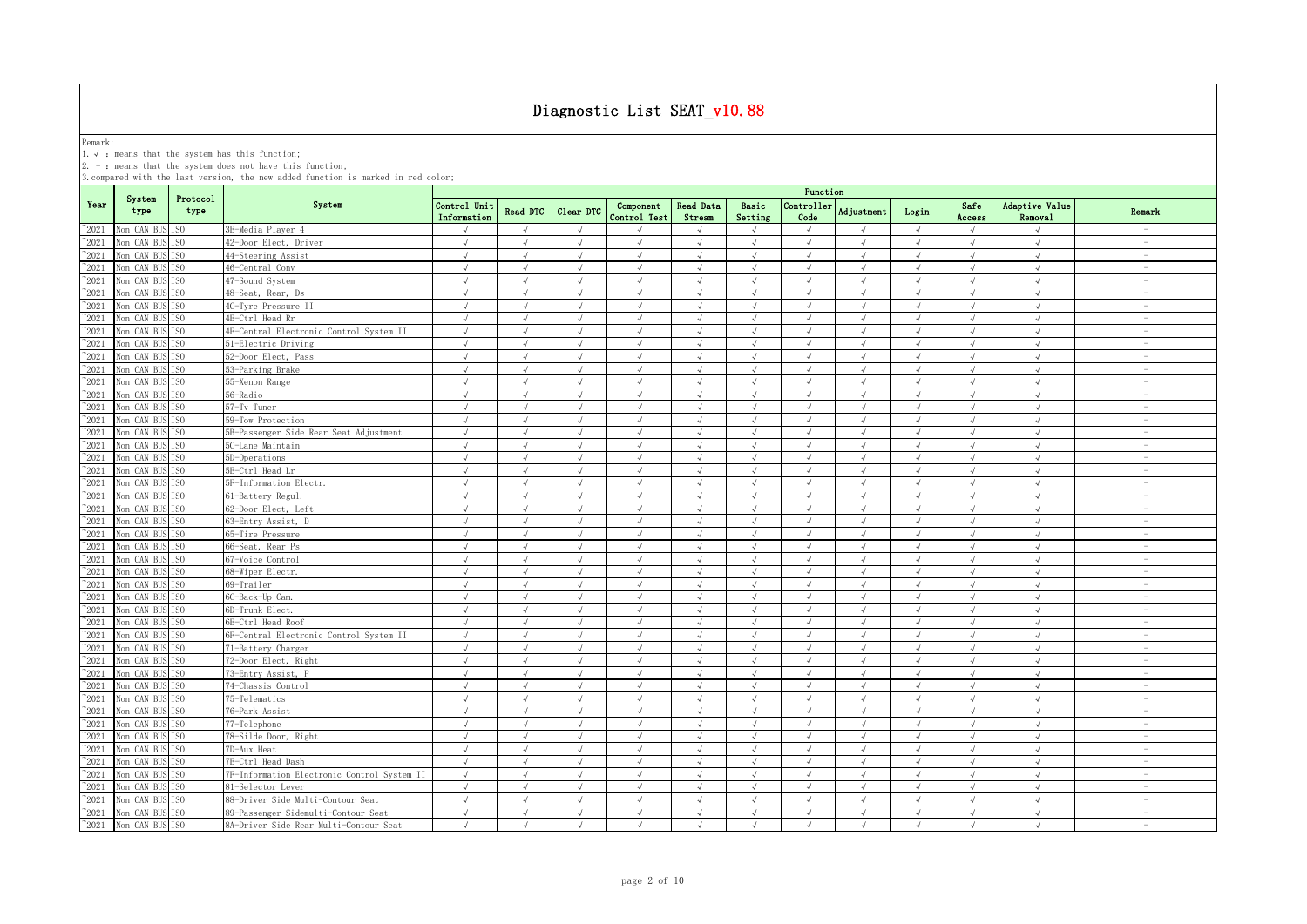Remark:<br>1.√ : means that the system has this function;<br>2. - : means that the system does not have this function;

|                |                               |                  |                                             | Function                    |               |               |                           |                            |                  |                    |            |            |                |                           |                          |
|----------------|-------------------------------|------------------|---------------------------------------------|-----------------------------|---------------|---------------|---------------------------|----------------------------|------------------|--------------------|------------|------------|----------------|---------------------------|--------------------------|
| Year           | System<br>type                | Protocol<br>type | System                                      | Control Unit<br>Information | Read DTC      | Clear DTC     | Component<br>Control Test | <b>Read Data</b><br>Stream | Basic<br>Setting | Controller<br>Code | Adjustment | Login      | Safe<br>Access | Adaptive Value<br>Removal | Remark                   |
| $^{\circ}2021$ | Non CAN BUS ISO               |                  | 3E-Media Player 4                           | $\sqrt{ }$                  | $\sqrt{ }$    | $\sqrt{ }$    | $\sqrt{ }$                | $\sqrt{ }$                 | $\sqrt{ }$       | $\sqrt{}$          | $\sqrt{ }$ | $\sqrt{ }$ | $\sqrt{ }$     | $\sqrt{ }$                | $\overline{\phantom{a}}$ |
| $^{\sim}$ 2021 | Non CAN BUS                   | TS <sub>0</sub>  | 42-Door Elect, Driver                       | $\sqrt{ }$                  | $\sqrt{ }$    | $\sqrt{ }$    | $\sqrt{ }$                | $\sqrt{ }$                 | $\sqrt{ }$       | $\sqrt{ }$         | $\sqrt{ }$ | $\sqrt{ }$ | $\sqrt{ }$     | $\sqrt{ }$                | $\sim$                   |
| $\degree$ 2021 | Non CAN BUS ISO               |                  | 44-Steering Assist                          | $\sqrt{ }$                  | $\sqrt{ }$    | $\sqrt{ }$    | $\sqrt{ }$                | $\sqrt{ }$                 | $\sqrt{ }$       | $\sqrt{ }$         | $\sqrt{ }$ | $\sqrt{ }$ | $\sqrt{ }$     | $\sqrt{ }$                | $\sim$                   |
| $^{\sim}2021$  | Non CAN BUS                   | TS <sub>0</sub>  | 46-Central Conv                             | $\sqrt{ }$                  | $\sqrt{ }$    | $\sqrt{ }$    | $\sqrt{ }$                | $\sqrt{ }$                 | $\sqrt{ }$       | $\sqrt{ }$         | $\sqrt{ }$ | $\sqrt{ }$ | $\sqrt{}$      | $\sqrt{ }$                | $\sim$                   |
| $^{\sim}2021$  | Non CAN BUS ISO               |                  | 47-Sound System                             | $\sqrt{ }$                  | $\sqrt{ }$    | $\sqrt{ }$    | $\sqrt{ }$                | $\sqrt{ }$                 | $\sqrt{ }$       | $\sqrt{ }$         | J          | $\sqrt{ }$ | $\sqrt{ }$     | $\sqrt{ }$                | $\overline{\phantom{a}}$ |
| $^{\sim}2021$  | Non CAN BUS                   | T <sub>SO</sub>  | 48-Seat, Rear, Ds                           | $\sqrt{ }$                  | $\sqrt{ }$    | $\sqrt{ }$    | $\sqrt{ }$                | $\sqrt{ }$                 | $\sqrt{2}$       | $\sqrt{ }$         | $\sqrt{ }$ | $\sqrt{ }$ | $\sqrt{ }$     | $\sqrt{ }$                | $\overline{\phantom{a}}$ |
| $^{\circ}2021$ | Non CAN BUS ISO               |                  | 4C-Tyre Pressure II                         | $\sqrt{ }$                  | J             | $\mathcal{L}$ |                           |                            | $\ddot{ }$       | $\sqrt{ }$         | J          | $\sqrt{ }$ | $\sqrt{ }$     | $\sqrt{ }$                | $\overline{\phantom{a}}$ |
| $^{\circ}2021$ | Non CAN BUS ISO               |                  | 4E-Ctrl Head Rr                             | $\sqrt{ }$                  | J             | $\mathcal{L}$ | $\sqrt{ }$                | $\sqrt{ }$                 |                  | $\sqrt{ }$         | J          | $\sqrt{ }$ | $\sqrt{ }$     | $\sqrt{ }$                | $\overline{\phantom{a}}$ |
| $^{\sim}$ 2021 | Non CAN BUS ISO               |                  | 4F-Central Electronic Control System II     | $\sqrt{ }$                  | J             | $\mathcal{A}$ |                           |                            | à.               | $\mathcal{A}$      |            | $\sqrt{ }$ |                | $\mathcal{A}$             | $\overline{\phantom{a}}$ |
| $^{\sim}$ 2021 | Non CAN BUS ISO               |                  | 51-Electric Driving                         | $\sqrt{ }$                  | $\sqrt{ }$    | $\sqrt{ }$    | $\sqrt{ }$                | $\sqrt{ }$                 | $\sqrt{ }$       | $\sqrt{ }$         | J          | $\sqrt{ }$ | $\sqrt{ }$     | $\sqrt{ }$                | $\overline{\phantom{0}}$ |
| $^{\sim}$ 2021 | Non CAN BUS ISO               |                  | 52-Door Elect, Pass                         | $\sqrt{ }$                  | $\sqrt{ }$    | $\sqrt{ }$    | $\sqrt{ }$                | $\sqrt{ }$                 | $\sqrt{ }$       | $\sqrt{ }$         | $\sqrt{ }$ | $\sqrt{ }$ | $\sqrt{ }$     | $\sqrt{ }$                | $\sim$                   |
| $^{\sim}$ 2021 | Non CAN BUS ISO               |                  | 53-Parking Brake                            | $\sqrt{ }$                  | $\sqrt{ }$    | $\sqrt{ }$    | $\sqrt{ }$                | $\sqrt{ }$                 | $\sqrt{ }$       | $\sqrt{ }$         | $\sqrt{ }$ | $\sqrt{ }$ | $\sqrt{ }$     | $\sqrt{ }$                | $\sim$                   |
| $^{\sim}$ 2021 | Non CAN BUS                   | TS <sub>0</sub>  | 55-Xenon Range                              | $\sqrt{ }$                  | $\sqrt{ }$    | $\sqrt{ }$    | $\sqrt{ }$                | $\sqrt{ }$                 | $\sqrt{ }$       | $\sqrt{ }$         | $\sqrt{ }$ | $\sqrt{ }$ | $\sqrt{ }$     | $\sqrt{ }$                | $\overline{\phantom{a}}$ |
| $^{\sim}$ 2021 | Non CAN BUS ISO               |                  | 56-Radio                                    | $\sqrt{ }$                  | $\sqrt{ }$    | $\sqrt{ }$    | $\sqrt{ }$                | $\sqrt{ }$                 | $\sqrt{ }$       | $\sqrt{ }$         | $\sqrt{ }$ | $\sqrt{}$  | $\sqrt{ }$     | $\sqrt{ }$                | $\overline{\phantom{a}}$ |
| $^{\sim}$ 2021 | Non CAN BUS ISO               |                  | 57-Tv Tuner                                 | $\sqrt{ }$                  | $\sqrt{ }$    | $\sqrt{ }$    | $\sqrt{ }$                | $\sqrt{ }$                 | $\sqrt{ }$       | $\sqrt{ }$         | $\sqrt{ }$ | $\sqrt{ }$ | $\sqrt{ }$     | $\sqrt{ }$                | $\overline{\phantom{a}}$ |
| $^{\sim}$ 2021 | Non CAN BUS ISO               |                  | 59-Tow Protection                           | $\sqrt{ }$                  | $\sqrt{ }$    | $\sqrt{ }$    | $\sqrt{ }$                | $\sqrt{ }$                 | $\sqrt{ }$       | $\sqrt{ }$         | $\sqrt{ }$ | $\sqrt{ }$ | $\sqrt{ }$     | $\sqrt{ }$                | $\overline{\phantom{a}}$ |
| $^{\sim}$ 2021 | Non CAN BUS ISO               |                  | 5B-Passenger Side Rear Seat Adjustment      | $\sqrt{ }$                  | $\sqrt{ }$    | $\sqrt{ }$    | $\sqrt{ }$                | $\sqrt{ }$                 | $\sqrt{ }$       | $\sqrt{ }$         | $\sqrt{ }$ | $\sqrt{ }$ | $\sqrt{ }$     | $\sqrt{ }$                | $\overline{\phantom{a}}$ |
| $^{\sim}$ 2021 | Non CAN BUS ISO               |                  | 5C-Lane Maintain                            | $\sqrt{ }$                  | $\sqrt{ }$    | $\sqrt{ }$    | $\sqrt{ }$                | $\sqrt{ }$                 | $\sqrt{ }$       | $\sqrt{ }$         | $\sqrt{ }$ | $\sqrt{ }$ | $\sqrt{ }$     | $\sqrt{ }$                | $\sim$                   |
| $^{\sim}$ 2021 | Non CAN BUS ISO               |                  | 5D-Operations                               | $\sqrt{ }$                  | $\sqrt{ }$    | $\sqrt{ }$    | $\sqrt{ }$                | $\sqrt{ }$                 | $\sqrt{ }$       | $\sqrt{ }$         | $\sqrt{ }$ | $\sqrt{ }$ | $\sqrt{ }$     | $\sqrt{ }$                | $\overline{\phantom{a}}$ |
| $\degree$ 2021 | Non CAN BUS ISO               |                  | 5E-Ctrl Head Lr                             | $\sqrt{ }$                  | $\sqrt{}$     |               | $\sqrt{ }$                |                            | $\sqrt{ }$       | $\sqrt{ }$         |            | $\sqrt{ }$ |                | $\sqrt{ }$                | $\overline{\phantom{a}}$ |
| $^{\sim}2021$  | Non CAN BUS                   | T <sub>SO</sub>  | 5F-Information Electr.                      | $\sqrt{ }$                  | $\sqrt{ }$    | $\sqrt{ }$    | $\sqrt{ }$                | $\sqrt{ }$                 | $\sqrt{ }$       | $\sqrt{ }$         | J          | $\sqrt{ }$ | $\sqrt{ }$     | $\sqrt{ }$                | $\sim$                   |
| $^{\sim}2021$  | Non CAN BUS                   | T <sub>SO</sub>  | 61-Battery Regul.                           | $\sqrt{ }$                  | J             |               |                           |                            | $\sqrt{ }$       | $\mathcal{L}$      |            | $\sqrt{ }$ | $\cdot$        | $\cdot$                   | $\overline{\phantom{a}}$ |
| $^{\circ}2021$ | Non CAN BUS ISO               |                  | 62-Door Elect, Left                         | $\sqrt{ }$                  | $\sqrt{ }$    | $\sqrt{ }$    | $\sqrt{ }$                | $\sqrt{ }$                 | $\sqrt{ }$       | $\sqrt{ }$         | $\sqrt{ }$ | $\sqrt{ }$ | $\sqrt{ }$     | $\sqrt{ }$                | $\overline{\phantom{a}}$ |
| $^{\sim}2021$  | Non CAN BUS                   | T <sub>SO</sub>  | 63-Entry Assist, D                          | $\sqrt{ }$                  | $\sqrt{ }$    | $\mathcal{L}$ | $\sqrt{ }$                |                            | J                | $\sqrt{ }$         | $\sqrt{ }$ | $\sqrt{ }$ |                | $\sqrt{ }$                | $\overline{\phantom{0}}$ |
| $^{\sim}$ 2021 | Non CAN BUS ISO               |                  | 65-Tire Pressure                            |                             | $\sqrt{ }$    | $\sqrt{ }$    | $\sqrt{ }$                | $\sqrt{ }$                 | $\sqrt{ }$       | $\sqrt{ }$         | $\sqrt{ }$ | $\sqrt{ }$ | $\sqrt{ }$     | $\sqrt{ }$                | $\overline{\phantom{0}}$ |
| $^{\sim}$ 2021 | Non CAN BUS ISO               |                  | 66-Seat, Rear Ps                            | $\sqrt{ }$                  | $\sqrt{ }$    | $\sqrt{ }$    | $\sqrt{ }$                | $\sqrt{ }$                 | $\sqrt{ }$       | $\sqrt{ }$         | $\sqrt{ }$ | $\sqrt{ }$ | $\sqrt{ }$     | $\sqrt{ }$                | $\overline{\phantom{a}}$ |
| $^{\sim}$ 2021 | Non CAN BUS ISO               |                  | 67-Voice Control                            | $\sqrt{ }$                  | $\sqrt{ }$    | $\sqrt{ }$    | $\sqrt{ }$                | $\sqrt{ }$                 | $\sqrt{2}$       | $\sqrt{ }$         | $\sqrt{ }$ | $\sqrt{ }$ | $\sqrt{ }$     | $\sqrt{ }$                | $\sim$                   |
| $^{\sim}$ 2021 | Non CAN BUS                   | IS <sub>0</sub>  | 68-Wiper Electr.                            | $\sqrt{ }$                  | $\sqrt{ }$    | $\sqrt{ }$    | $\sqrt{ }$                | $\sqrt{ }$                 | $\sqrt{ }$       | $\sqrt{ }$         | $\sqrt{ }$ | $\sqrt{ }$ | $\sqrt{ }$     | $\sqrt{ }$                | $\sim$                   |
| $^{\sim}$ 2021 | Non CAN BUS ISO               |                  | 69-Trailer                                  | $\sqrt{ }$                  | $\sqrt{ }$    | $\mathcal{A}$ | $\sqrt{ }$                | $\sqrt{ }$                 | $\sqrt{ }$       | $\sqrt{ }$         | $\sqrt{ }$ | $\sqrt{ }$ | $\sqrt{ }$     | $\sqrt{ }$                | $\sim$                   |
| $\degree$ 2021 | Non CAN BUS ISO               |                  | 6C-Back-Up Cam.                             | $\sqrt{ }$                  | $\sqrt{ }$    | $\sqrt{ }$    | $\sqrt{ }$                | $\sqrt{ }$                 | $\sqrt{ }$       | $\sqrt{ }$         | $\sqrt{ }$ | $\sqrt{ }$ | $\sqrt{ }$     | $\sqrt{ }$                | $\overline{\phantom{a}}$ |
| $^{\sim}2021$  | Non CAN BUS ISO               |                  | 6D-Trunk Elect.                             | $\sqrt{ }$                  | $\sqrt{ }$    | $\sqrt{ }$    | $\sqrt{ }$                | $\sqrt{ }$                 | $\sqrt{ }$       | $\sqrt{ }$         | $\sqrt{ }$ | $\sqrt{ }$ | $\sqrt{ }$     | $\sqrt{ }$                | $\overline{\phantom{a}}$ |
| $^{\sim}2021$  | Non CAN BUS ISO               |                  | 6E-Ctrl Head Roof                           | $\sqrt{ }$                  | $\sqrt{ }$    | $\sqrt{ }$    | $\sqrt{ }$                | $\sqrt{ }$                 | $\sqrt{ }$       | $\sqrt{ }$         | $\sqrt{ }$ | $\sqrt{ }$ | $\sqrt{ }$     | $\sqrt{ }$                | $\sim$                   |
| $^{\sim}$ 2021 | Non CAN BUS ISO               |                  | 6F-Central Electronic Control System II     | $\sqrt{ }$                  | $\sqrt{ }$    | $\sqrt{ }$    | $\sqrt{ }$                | $\sqrt{ }$                 | $\sqrt{ }$       | $\sqrt{ }$         | $\sqrt{ }$ | $\sqrt{ }$ | $\sqrt{ }$     | $\sqrt{ }$                | $\overline{\phantom{a}}$ |
| $^{\sim}2021$  | Non CAN BUS ISO               |                  | 71-Battery Charger                          | $\sqrt{ }$                  | $\sqrt{ }$    | $\sqrt{ }$    | $\sqrt{ }$                | $\sqrt{ }$                 | $\sqrt{ }$       | $\sqrt{ }$         | $\sqrt{ }$ | $\sqrt{ }$ | $\sqrt{ }$     | $\sqrt{ }$                | $\sim$                   |
| $^{\sim}2021$  | Non CAN BUS ISO               |                  | 72-Door Elect, Right                        | $\sqrt{ }$                  | $\sqrt{ }$    | $\sqrt{ }$    | $\sqrt{ }$                | J                          | $\sqrt{ }$       | $\sqrt{ }$         | $\sqrt{ }$ | $\sqrt{ }$ | $\sqrt{ }$     | $\sqrt{ }$                | $\sim$                   |
| $^{\sim}2021$  | Non CAN BUS ISO               |                  | 73-Entry Assist, P                          | $\sqrt{ }$                  | $\sqrt{ }$    | $\sqrt{ }$    | $\sqrt{ }$                | $\sqrt{ }$                 | $\sqrt{ }$       | $\sqrt{ }$         | $\sqrt{ }$ | $\sqrt{ }$ | $\sqrt{ }$     | $\sqrt{ }$                | $\overline{\phantom{a}}$ |
| $^{\sim}2021$  | Non CAN BUS ISO               |                  | 74-Chassis Control                          | $\sqrt{ }$                  | $\sqrt{ }$    | $\sqrt{ }$    | $\sqrt{2}$                |                            | $\sqrt{ }$       | $\sqrt{ }$         | $\sqrt{}$  | $\sqrt{ }$ | $\sqrt{ }$     | $\sqrt{ }$                | $\overline{\phantom{a}}$ |
| $^{\sim}2021$  | Non CAN BUS ISO               |                  | 75-Telematics                               | $\sqrt{ }$                  | $\sqrt{ }$    | $\sqrt{ }$    |                           | $\sqrt{ }$                 | $\sqrt{ }$       | $\sqrt{ }$         | J          | $\sqrt{ }$ | $\sqrt{ }$     | $\sqrt{ }$                | $\overline{\phantom{a}}$ |
| $^{\circ}2021$ | Non CAN BUS ISO               |                  | 76-Park Assist                              | $\sqrt{ }$                  | $\mathcal{A}$ | $\mathcal{A}$ | $\sqrt{ }$                | $\sqrt{ }$                 | $\sqrt{ }$       | $\sqrt{ }$         | $\sqrt{ }$ | $\sqrt{ }$ | $\sqrt{ }$     | $\sqrt{ }$                | $\overline{\phantom{a}}$ |
| $^{\sim}$ 2021 | Non CAN BUS ISO               |                  | 77-Telephone                                | $\sqrt{ }$                  | $\sqrt{ }$    | $\sqrt{ }$    | J                         |                            | J                | $\sqrt{ }$         |            | $\sqrt{ }$ |                | $\sqrt{ }$                | $\overline{\phantom{a}}$ |
| $^{\sim}$ 2021 | Non CAN BUS ISO               |                  | 78-Silde Door, Right                        | $\sqrt{ }$                  | $\sqrt{ }$    | $\sqrt{ }$    | $\sqrt{ }$                | $\sqrt{ }$                 | $\sqrt{ }$       | $\sqrt{ }$         | $\sqrt{ }$ | $\sqrt{ }$ | $\sqrt{ }$     | $\sqrt{ }$                | $\overline{\phantom{a}}$ |
| $^{\sim}$ 2021 | Non CAN BUS ISO               |                  | 7D-Aux Heat                                 | $\sqrt{ }$                  | $\sqrt{ }$    | $\sqrt{ }$    | $\sqrt{ }$                | $\sqrt{ }$                 | $\sqrt{ }$       | $\sqrt{ }$         | $\sqrt{ }$ | $\sqrt{ }$ | $\sqrt{ }$     | $\sqrt{ }$                | $\sim$                   |
| $^{\sim}$ 2021 | Non CAN BUS                   | TS <sub>0</sub>  | 7E-Ctrl Head Dash                           | $\sqrt{ }$                  | $\sqrt{ }$    | $\sqrt{ }$    | $\sqrt{ }$                | $\sqrt{ }$                 | $\sqrt{ }$       | $\sqrt{ }$         | $\sqrt{ }$ | $\sqrt{ }$ | $\sqrt{ }$     | $\sqrt{ }$                | $\sim$                   |
| $^{\sim}$ 2021 | Non CAN BUS                   | IS <sub>0</sub>  | 7F-Information Electronic Control System II | $\sqrt{ }$                  | $\sqrt{ }$    | $\sqrt{ }$    | $\sqrt{ }$                | $\sqrt{}$                  | $\sqrt{ }$       | $\sqrt{ }$         | $\sqrt{ }$ | $\sqrt{ }$ | $\sqrt{ }$     | $\sqrt{ }$                | $\overline{\phantom{a}}$ |
| $^{\sim}$ 2021 | Non CAN BUS ISO               |                  | 81-Selector Lever                           | $\sqrt{ }$                  | $\sqrt{ }$    | $\sqrt{ }$    | $\sqrt{ }$                | $\sqrt{ }$                 | $\sqrt{ }$       | $\sqrt{ }$         | $\sqrt{ }$ | $\sqrt{ }$ | $\sqrt{ }$     | $\sqrt{ }$                | $\overline{\phantom{a}}$ |
| $^{\sim}$ 2021 | Non CAN BUS ISO               |                  | 88-Driver Side Multi-Contour Seat           | $\sqrt{ }$                  | $\sqrt{ }$    | $\sqrt{ }$    | $\sqrt{ }$                | $\sqrt{ }$                 | $\sqrt{ }$       | $\sqrt{ }$         | $\sqrt{ }$ | $\sqrt{ }$ | $\sqrt{ }$     | $\sqrt{ }$                | $\overline{\phantom{a}}$ |
| $^{\sim}$ 2021 | Non CAN BUS ISO               |                  | 89-Passenger Sidemulti-Contour Seat         | $\sqrt{ }$                  | $\sqrt{ }$    | $\sqrt{ }$    | $\sqrt{ }$                | $\sqrt{ }$                 | $\sqrt{ }$       | $\sqrt{ }$         | $\sqrt{ }$ | $\sqrt{ }$ | $\sqrt{ }$     | $\sqrt{ }$                | $\overline{\phantom{a}}$ |
|                | $^{\sim}2021$ Non CAN BUS ISO |                  | 8A-Driver Side Rear Multi-Contour Seat      | $\sqrt{ }$                  | $\sqrt{ }$    | $\sqrt{ }$    | $\sqrt{ }$                | $\sqrt{ }$                 | $\sqrt{ }$       | $\sqrt{ }$         | $\sqrt{ }$ | $\sqrt{ }$ | $\sqrt{ }$     | $\sqrt{ }$                | $\overline{\phantom{a}}$ |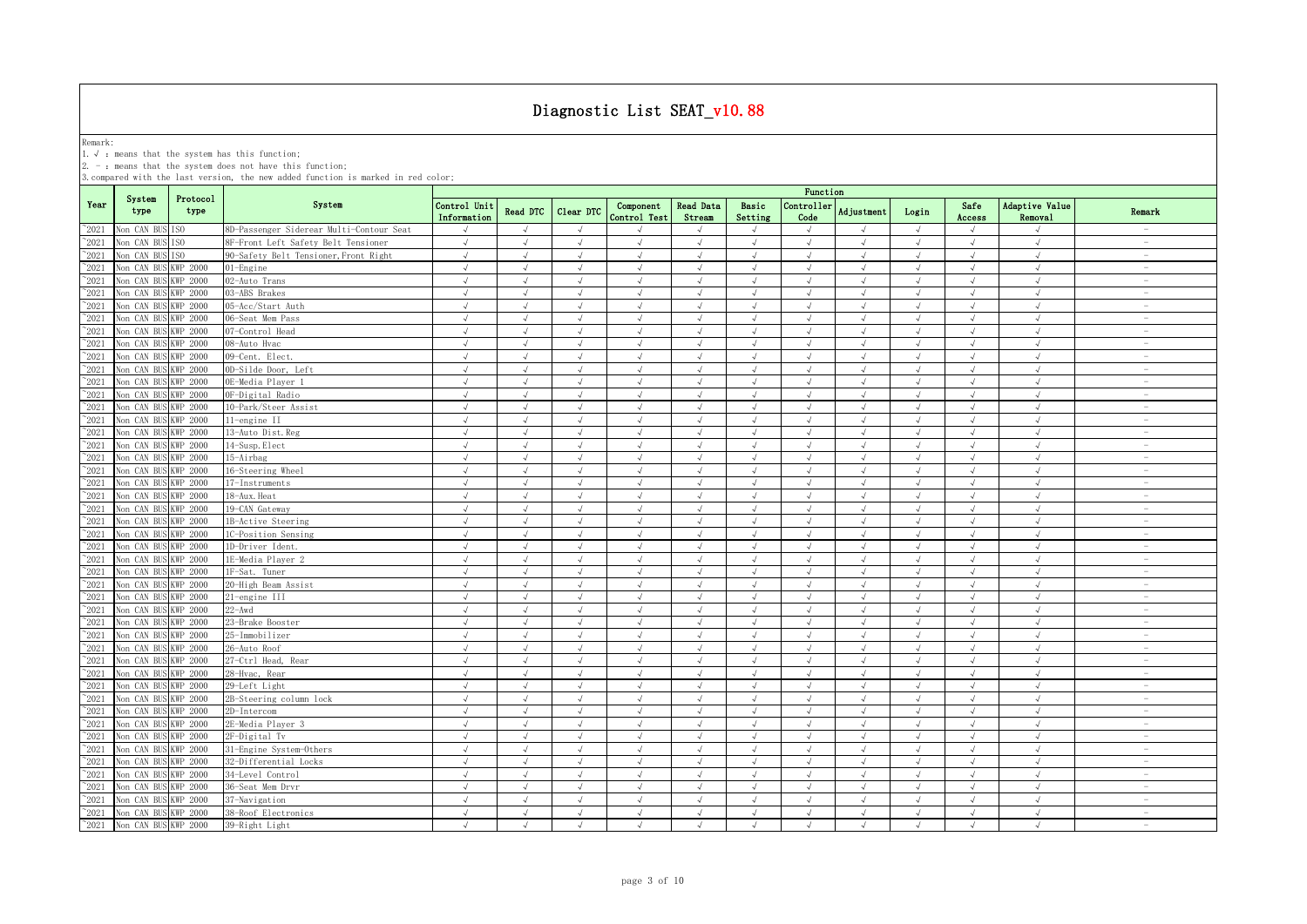Remark:<br>1.√ : means that the system has this function;<br>2. - : means that the system does not have this function;

|                                  |                                              |                  |                                          | Function                    |                          |                                |                           |                            |                          |                          |                          |                          |                          |                           |                                                      |
|----------------------------------|----------------------------------------------|------------------|------------------------------------------|-----------------------------|--------------------------|--------------------------------|---------------------------|----------------------------|--------------------------|--------------------------|--------------------------|--------------------------|--------------------------|---------------------------|------------------------------------------------------|
| Year                             | System<br>type                               | Protocol<br>type | System                                   | Control Unit<br>Information | Read DTC                 | Clear DTC                      | Component<br>Control Test | <b>Read Data</b><br>Stream | Basic<br>Setting         | Controller<br>Code       | Adjustment               | Login                    | Safe<br>Access           | Adaptive Value<br>Removal | Remark                                               |
| $^{\circ}2021$                   | Non CAN BUS ISO                              |                  | 8D-Passenger Siderear Multi-Contour Seat | $\sqrt{ }$                  | $\sqrt{ }$               | $\sqrt{ }$                     | $\sqrt{ }$                | $\sqrt{ }$                 | $\sqrt{ }$               | $\sqrt{ }$               | $\sqrt{ }$               | $\sqrt{ }$               | $\sqrt{ }$               | $\sqrt{ }$                | $\overline{\phantom{a}}$                             |
| $^{\sim}2021$                    | Non CAN BU                                   | TS <sub>0</sub>  | 8F-Front Left Safety Belt Tensioner      | $\sqrt{ }$                  | $\sqrt{ }$               | $\sqrt{ }$                     | $\sqrt{ }$                | $\sqrt{ }$                 | $\sqrt{ }$               | $\sqrt{ }$               | $\sqrt{ }$               | $\sqrt{ }$               | $\sqrt{ }$               | $\sqrt{ }$                | $\sim$                                               |
| $^{\sim}2021$                    | Non CAN BUS                                  | TS <sub>0</sub>  | 90-Safety Belt Tensioner, Front Right    | $\sqrt{ }$                  | $\sqrt{ }$               | $\sqrt{ }$                     | $\sqrt{ }$                | $\sqrt{ }$                 | $\sqrt{ }$               | $\sqrt{ }$               | $\sqrt{ }$               | $\sqrt{ }$               | $\sqrt{ }$               | $\sqrt{ }$                | $\sim$                                               |
| $^{\sim}2021$                    | Non CAN BUS                                  | KWP 2000         | $01$ -Engine                             | $\sqrt{ }$                  | $\sqrt{ }$               | $\sqrt{ }$                     | $\sqrt{ }$                | $\sqrt{ }$                 | $\sqrt{ }$               | $\sqrt{ }$               | $\sqrt{ }$               | $\sqrt{ }$               | $\sqrt{ }$               | $\sqrt{ }$                | $\sim$                                               |
| $^{\sim}2021$                    | Non CAN BUS                                  | <b>KWP 2000</b>  | 02-Auto Trans                            | $\sqrt{ }$                  | $\sqrt{ }$               | $\sqrt{ }$                     | $\sqrt{ }$                | $\sqrt{ }$                 | $\sqrt{ }$               | $\sqrt{ }$               | $\sqrt{ }$               | $\sqrt{ }$               | $\sqrt{ }$               | $\sqrt{ }$                | $\overline{\phantom{a}}$                             |
| $^{\circ}2021$                   | Non CAN BUS                                  | <b>KWP 2000</b>  | 03-ABS Brakes                            | $\sqrt{ }$                  | $\sqrt{ }$               | $\sqrt{ }$                     | $\sqrt{ }$                | $\sqrt{ }$                 | $\sqrt{2}$               | $\sqrt{ }$               | $\sqrt{ }$               | $\sqrt{ }$               | $\sqrt{ }$               | $\sqrt{ }$                | $\sim$                                               |
| $^{\circ}2021$                   | Non CAN BUS                                  | KWP 2000         | 05-Acc/Start Auth                        | $\sqrt{ }$                  | J                        | $\mathcal{L}$                  | $\sqrt{ }$                | J                          | $\sqrt{ }$               | $\sqrt{ }$               | J                        | $\sqrt{ }$               | $\sqrt{ }$               | $\sqrt{ }$                | $\overline{\phantom{a}}$                             |
| $^{\circ}2021$                   | Non CAN BUS                                  | <b>KWP 2000</b>  | 06-Seat Mem Pass                         | $\sqrt{ }$                  | $\sqrt{ }$               | $\sqrt{ }$                     | $\sqrt{}$                 | J                          | $\sqrt{ }$               | $\sqrt{ }$               | $\sqrt{}$                | $\sqrt{ }$               | $\sqrt{ }$               | $\sqrt{ }$                | $\sim$                                               |
| $^{\circ}2021$                   | Non CAN BUS                                  | <b>KWP 2000</b>  | 07-Control Head                          |                             | $\overline{a}$           |                                | $\mathcal{A}$             |                            | À.                       | $\sqrt{ }$               |                          | $\sqrt{ }$               |                          | $\sqrt{ }$                | $\overline{\phantom{a}}$                             |
| $^{\sim}$ 2021                   | Non CAN BUS KWP 2000                         |                  | 08-Auto Hvac                             |                             | $\sqrt{ }$               |                                | $\sqrt{ }$                |                            | $\sqrt{ }$               | $\sqrt{ }$               |                          | $\sqrt{ }$               |                          | $\sqrt{ }$                | $\overline{\phantom{0}}$                             |
| $^{\sim}$ 2021                   | Non CAN BUS KWP 2000                         |                  | 09-Cent. Elect.                          | $\sqrt{ }$                  | $\sqrt{ }$               | $\sqrt{ }$                     | $\sqrt{ }$                | $\sqrt{ }$                 | $\sqrt{ }$               | $\sqrt{ }$               | $\sqrt{ }$               | $\sqrt{ }$               | $\sqrt{ }$               | $\sqrt{ }$                | $\overline{\phantom{a}}$                             |
| $^{\sim}$ 2021                   | Non CAN BUS                                  | <b>KWP 2000</b>  | 0D-Silde Door, Left                      | $\sqrt{ }$                  | $\sqrt{ }$               | $\sqrt{ }$                     | $\sqrt{ }$                | $\sqrt{ }$                 | $\sqrt{ }$               | $\sqrt{ }$               | $\sqrt{ }$               | $\sqrt{ }$               | $\sqrt{ }$               | $\sqrt{ }$                | $\overline{\phantom{a}}$                             |
| $^{\sim}$ 2021                   | Non CAN BUS                                  | <b>KWP 2000</b>  | OE-Media Plaver 1                        | $\sqrt{ }$                  | $\sqrt{ }$               | $\sqrt{ }$                     | $\sqrt{ }$                | $\sqrt{ }$                 | $\sqrt{ }$               | $\sqrt{ }$               | $\sqrt{ }$               | $\sqrt{ }$               | $\sqrt{ }$               | $\sqrt{ }$                | $\sim$                                               |
| $^{\sim}$ 2021                   | Non CAN BUS                                  | <b>KWP 2000</b>  | OF-Digital Radio                         | $\sqrt{ }$                  | $\sqrt{ }$               | $\sqrt{ }$                     | $\sqrt{ }$                | $\sqrt{ }$                 | $\sqrt{ }$               | $\sqrt{ }$               | $\sqrt{ }$               | $\sqrt{ }$               | $\sqrt{ }$               | $\sqrt{ }$                | $\overline{\phantom{a}}$                             |
| $^{\sim}$ 2021                   | Non CAN BUS                                  | <b>KWP 2000</b>  | 10-Park/Steer Assist                     | $\sqrt{ }$                  | $\sqrt{ }$               | $\sqrt{ }$                     | $\sqrt{ }$                | $\sqrt{ }$                 | $\sqrt{ }$               | $\sqrt{ }$               | $\sqrt{ }$               | $\sqrt{ }$               | $\sqrt{ }$               | $\sqrt{ }$                | $\overline{\phantom{a}}$                             |
| $\degree$ 2021                   | Non CAN BUS                                  | <b>KWP 2000</b>  | 11-engine II                             | $\sqrt{ }$                  | $\sqrt{ }$               | $\mathcal{L}$                  | $\sqrt{ }$                | $\sqrt{ }$                 | $\sqrt{ }$               | $\sqrt{ }$               | $\sqrt{ }$               | $\sqrt{ }$               | $\sqrt{ }$               | $\sqrt{ }$                | $\overline{\phantom{a}}$                             |
| $^{\sim}2021$                    | Non CAN BUS                                  | <b>KWP 2000</b>  | 13-Auto Dist. Reg                        | $\sqrt{ }$                  | $\sqrt{ }$               | $\sqrt{ }$                     | $\sqrt{ }$                | $\sqrt{ }$                 | $\sqrt{ }$               | $\sqrt{ }$               | $\sqrt{ }$               | $\sqrt{ }$               | $\sqrt{ }$               | $\sqrt{ }$                | $\overline{\phantom{a}}$                             |
| $^{\sim}2021$                    | Non CAN BUS                                  | <b>KWP 2000</b>  | 14-Susp. Elect                           | $\sqrt{ }$                  | $\sqrt{ }$               | $\sqrt{ }$                     | $\sqrt{ }$                | $\sqrt{ }$                 | $\sqrt{ }$               | $\sqrt{ }$               | $\sqrt{ }$               | $\sqrt{ }$               | $\sqrt{ }$               | $\sqrt{ }$                | $\overline{\phantom{a}}$                             |
| $^{\sim}2021$                    | Non CAN BUS                                  | <b>KWP 2000</b>  | 15-Airbag                                | $\sqrt{ }$                  | $\sqrt{ }$               | $\sqrt{ }$                     | $\sqrt{ }$                | $\sqrt{}$                  | $\sqrt{ }$               | $\sqrt{ }$               | $\sqrt{ }$               | $\sqrt{ }$               | $\sqrt{}$                | $\sqrt{ }$                | $\sim$                                               |
| $\degree$ 2021                   | Non CAN BUS                                  | <b>KWP 2000</b>  | 16-Steering Wheel                        | $\sqrt{ }$                  | J                        | $\sqrt{ }$                     | $\sqrt{ }$                | J                          | $\sqrt{ }$               | $\sqrt{ }$               | J                        | $\sqrt{ }$               | $\sqrt{ }$               | $\sqrt{ }$                | $\sim$                                               |
| $^{\sim}2021$                    | Non CAN BUS                                  | <b>KWP 2000</b>  | 17-Instruments                           | $\sqrt{ }$                  | $\sqrt{ }$               | $\sqrt{ }$                     | $\sqrt{ }$                | $\sqrt{ }$                 | $\sqrt{ }$               | $\sqrt{ }$               | $\sqrt{ }$               | $\sqrt{ }$               | $\sqrt{ }$               | $\sqrt{ }$                | $\overline{\phantom{a}}$                             |
| $^{\sim}2021$                    | Non CAN BUS                                  | KWP 2000         | 18-Aux. Heat                             |                             |                          |                                |                           |                            |                          |                          |                          | $\sqrt{ }$               |                          |                           | $\overline{\phantom{a}}$                             |
| $\degree$ 2021                   | Non CAN BUS                                  | <b>KWP 2000</b>  | 19-CAN Gateway                           | $\sqrt{ }$                  | $\sqrt{ }$               | $\sqrt{ }$                     | $\sqrt{}$                 | $\sqrt{}$                  | $\sqrt{ }$               | $\sqrt{ }$               | $\sqrt{}$                | $\sqrt{ }$               | $\sqrt{ }$               | $\sqrt{ }$                | $\overline{\phantom{a}}$                             |
| $^{\sim}2021$                    | Non CAN BUS                                  | <b>KWP 2000</b>  | 1B-Active Steering                       | $\sqrt{ }$                  |                          |                                |                           |                            |                          | $\sqrt{ }$               |                          | $\sqrt{ }$               |                          |                           | $\overline{\phantom{a}}$                             |
| $^{\sim}2021$                    | Non CAN BUS KWP 2000                         |                  | 1C-Position Sensing                      |                             | J                        | $\sqrt{ }$                     |                           | $\sqrt{ }$                 |                          | $\sqrt{ }$               | J                        | $\sqrt{ }$               |                          | $\sqrt{ }$                | $\overline{\phantom{0}}$                             |
| $^{\sim}2021$                    | Non CAN BUS                                  | <b>KWP 2000</b>  | 1D-Driver Ident.                         | $\sqrt{ }$                  | $\sqrt{ }$               | $\mathcal{A}$                  | $\sqrt{ }$                |                            | J                        | $\sqrt{ }$               |                          | $\sqrt{ }$               | $\sqrt{ }$               | $\sqrt{ }$                | $\overline{\phantom{0}}$                             |
| $^{\sim}$ 2021                   | Non CAN BUS                                  | <b>KWP 2000</b>  | 1E-Media Player 2                        | $\sqrt{ }$                  | $\sqrt{ }$               | $\sqrt{ }$                     | $\sqrt{ }$                | $\sqrt{ }$                 | $\sqrt{ }$               | $\sqrt{ }$               | $\sqrt{ }$               | $\sqrt{ }$               | $\sqrt{ }$               | $\sqrt{ }$                | $\overline{\phantom{a}}$                             |
| $^{\sim}$ 2021                   | Non CAN BUS KWP 2000                         |                  | 1F-Sat. Tuner                            | $\sqrt{ }$                  | $\sqrt{ }$               | $\sqrt{ }$                     | $\sqrt{ }$                | $\sqrt{ }$                 | $\sqrt{ }$               | $\sqrt{ }$               | $\sqrt{ }$               | $\sqrt{ }$               | $\sqrt{ }$               | $\sqrt{ }$                | $\overline{\phantom{a}}$                             |
| $^{\sim}$ 2021                   | Non CAN BUS                                  | <b>KWP 2000</b>  | 20-High Beam Assist                      | $\sqrt{ }$                  | $\sqrt{ }$               | $\sqrt{ }$                     | $\sqrt{ }$                | $\sqrt{ }$                 | $\sqrt{ }$               | $\sqrt{ }$               | $\sqrt{ }$               | $\sqrt{ }$               | $\sqrt{ }$               | $\sqrt{ }$                | $\sim$                                               |
| $\degree$ 2021                   | Non CAN BUS                                  | <b>KWP 2000</b>  | 21-engine III                            | $\sqrt{ }$                  | $\sqrt{ }$               | $\sqrt{ }$                     | $\sqrt{ }$                | $\sqrt{ }$                 | $\sqrt{ }$               | $\sqrt{ }$               | $\sqrt{ }$               | $\sqrt{ }$               | $\sqrt{ }$               | $\sqrt{ }$                | $\sim$                                               |
| $^{\sim}$ 2021                   | Non CAN BUS                                  | <b>KWP 2000</b>  | $22 - Awd$                               | $\sqrt{ }$                  | $\sqrt{ }$               | $\sqrt{ }$                     | $\sqrt{ }$                | $\sqrt{ }$                 | $\sqrt{ }$               | $\sqrt{ }$               | $\sqrt{ }$               | $\sqrt{ }$               | $\sqrt{ }$               | $\sqrt{ }$                | $\sim$                                               |
| $\degree$ 2021                   | Non CAN BUS                                  | <b>KWP 2000</b>  | 23-Brake Booster                         | $\sqrt{ }$                  | $\sqrt{ }$               | $\sqrt{ }$                     | $\sqrt{ }$                | $\sqrt{ }$                 | $\sqrt{ }$               | $\sqrt{ }$               | $\sqrt{ }$               | $\sqrt{ }$               | $\sqrt{ }$               | $\sqrt{ }$                | $\overline{\phantom{a}}$                             |
| $^{\circ}2021$                   | Non CAN BUS                                  | <b>KWP 2000</b>  | 25-Immobilizer                           | $\sqrt{ }$                  | $\sqrt{ }$               | $\sqrt{ }$                     | $\sqrt{ }$                | $\sqrt{ }$                 | $\sqrt{ }$               | $\sqrt{ }$               | $\sqrt{ }$               | $\sqrt{ }$               | $\sqrt{ }$               | $\sqrt{ }$                | $\overline{\phantom{a}}$                             |
| $^{\sim}2021$                    | Non CAN BUS                                  | <b>KWP 2000</b>  | 26-Auto Roof                             | $\sqrt{ }$                  | $\sqrt{ }$               | $\sqrt{ }$                     | $\sqrt{ }$                | $\sqrt{ }$                 | $\sqrt{ }$               | $\sqrt{ }$               | $\sqrt{ }$               | $\sqrt{ }$               | $\sqrt{ }$               | $\sqrt{ }$                | $\overline{\phantom{a}}$                             |
| $^{\sim}$ 2021                   | Non CAN BUS                                  | KWP 2000         | 27-Ctrl Head, Rear                       | $\sqrt{ }$                  | $\mathcal{L}$            | $\sqrt{ }$                     | $\sqrt{ }$                | $\sqrt{ }$                 | $\sqrt{ }$               | $\sqrt{ }$               | $\lambda$                | $\sqrt{ }$               | $\sqrt{ }$               | $\sqrt{ }$                | $\sim$                                               |
| $^{\sim}2021$                    | Non CAN BUS                                  | <b>KWP 2000</b>  | 28-Hvac, Rear                            | $\sqrt{ }$                  | $\sqrt{ }$               | $\sqrt{ }$                     | $\sqrt{ }$                | $\sqrt{ }$                 | $\sqrt{ }$               | $\sqrt{ }$               | $\sqrt{ }$               | $\sqrt{ }$               | $\sqrt{}$                | $\sqrt{ }$                | $\sim$                                               |
| $^{\sim}2021$                    | Non CAN BUS                                  | KWP 2000         | 29-Left Light                            | $\sqrt{ }$                  | $\sqrt{ }$               | $\sqrt{ }$                     | $\sqrt{ }$                | $\sqrt{ }$                 | $\sqrt{ }$               | $\sqrt{ }$               | $\sqrt{ }$               | $\sqrt{ }$               | $\sqrt{ }$               | $\sqrt{ }$                | $\overline{\phantom{a}}$                             |
| $^{\circ}2021$                   | Non CAN BUS                                  | KWP 2000         | 2B-Steering column lock                  | $\sqrt{ }$                  | $\sqrt{ }$               | $\sqrt{ }$                     | $\sqrt{ }$                | $\sqrt{ }$                 | $\sqrt{ }$               | $\sqrt{ }$               | $\sqrt{ }$               | $\sqrt{ }$               | $\sqrt{ }$               | $\sqrt{ }$                | $\hspace{0.1mm}-\hspace{0.1mm}$                      |
| $^{\circ}2021$                   | Non CAN BUS                                  | KWP 2000         | 2D-Intercom                              | $\sqrt{ }$                  | $\mathcal{A}$            | $\mathcal{L}$<br>$\sqrt{ }$    | $\sqrt{ }$                | $\sqrt{ }$                 | $\sqrt{ }$               | $\sqrt{ }$<br>$\sqrt{ }$ | J                        | $\sqrt{ }$               | $\sqrt{ }$               | $\sqrt{ }$<br>$\sqrt{ }$  | $\overline{\phantom{a}}$<br>$\overline{\phantom{a}}$ |
| $^{\circ}2021$                   | Non CAN BUS                                  | <b>KWP 2000</b>  | 2E-Media Player 3                        | $\sqrt{ }$                  | $\sqrt{ }$               |                                | $\sqrt{ }$                | $\sqrt{ }$                 | $\sqrt{ }$               |                          | $\sqrt{ }$               | $\sqrt{ }$               | $\sqrt{ }$               |                           | $\overline{\phantom{a}}$                             |
| $\degree$ 2021                   | Non CAN BUS                                  | <b>KWP 2000</b>  | 2F-Digital Tv                            | $\sqrt{ }$                  | $\sqrt{ }$               | $\mathcal{L}$<br>$\mathcal{A}$ | $\sqrt{ }$                | J<br>$\sqrt{ }$            | $\sqrt{ }$               | $\sqrt{ }$<br>$\sqrt{ }$ | $\sqrt{ }$               | $\sqrt{ }$               | $\sqrt{ }$               | $\sqrt{ }$<br>$\sqrt{ }$  | $\overline{\phantom{0}}$                             |
| $^{\sim}$ 2021                   | Non CAN BUS                                  | <b>KWP 2000</b>  | 31-Engine System-Others                  |                             | $\sqrt{ }$               |                                | $\sqrt{ }$                |                            | $\sqrt{ }$               |                          | $\sqrt{ }$               | $\sqrt{ }$               | $\sqrt{ }$               |                           | $\sim$                                               |
| $^{\sim}2021$                    | Non CAN BUS                                  | <b>KWP 2000</b>  | 32-Differential Locks                    | $\sqrt{ }$                  | $\sqrt{ }$               | $\sqrt{ }$                     | $\sqrt{ }$                | $\sqrt{ }$                 | $\sqrt{ }$               | $\sqrt{ }$               | $\sqrt{ }$               | $\sqrt{ }$               | $\sqrt{ }$               | $\sqrt{ }$                |                                                      |
| $^{\sim}$ 2021                   | Non CAN BUS                                  | <b>KWP 2000</b>  | 34-Level Control                         | $\sqrt{ }$<br>$\sqrt{ }$    | $\sqrt{ }$               | $\sqrt{ }$                     | $\sqrt{ }$                | $\sqrt{ }$                 | $\sqrt{ }$<br>$\sqrt{ }$ | $\sqrt{ }$               | $\sqrt{ }$               | $\sqrt{ }$               | $\sqrt{ }$               | $\sqrt{ }$                | $\overline{\phantom{a}}$<br>$\overline{\phantom{a}}$ |
| $\degree$ 2021                   | Non CAN BUS                                  | <b>KWP 2000</b>  | 36-Seat Mem Drvr                         | $\sqrt{ }$                  | $\sqrt{ }$<br>$\sqrt{ }$ | $\sqrt{ }$<br>$\sqrt{ }$       | $\sqrt{ }$<br>$\sqrt{ }$  | $\sqrt{ }$<br>$\sqrt{ }$   | $\sqrt{ }$               | $\sqrt{ }$<br>$\sqrt{ }$ | $\sqrt{ }$<br>$\sqrt{ }$ | $\sqrt{ }$<br>$\sqrt{ }$ | $\sqrt{ }$<br>$\sqrt{ }$ | $\sqrt{ }$<br>$\sqrt{ }$  | $\sim$                                               |
| $^{\sim}$ 2021<br>$^{\sim}$ 2021 | Non CAN BU                                   | <b>KWP 2000</b>  | 37-Navigation<br>38-Roof Electronics     |                             | $\sqrt{ }$               | $\sqrt{ }$                     | $\sqrt{ }$                |                            |                          | $\sqrt{ }$               | $\sqrt{ }$               |                          |                          | $\sqrt{ }$                | $\sim$                                               |
| $^{\sim}$ 2021                   | Non CAN BUS KWP 2000<br>Non CAN BUS KWP 2000 |                  | 39-Right Light                           | $\sqrt{ }$<br>$\sqrt{ }$    | $\mathcal{L}$            | $\sqrt{ }$                     | $\sqrt{ }$                | $\sqrt{ }$<br>$\sqrt{ }$   | $\sqrt{ }$<br>$\sqrt{ }$ | $\mathcal{L}$            | $\sqrt{ }$               | $\sqrt{ }$<br>$\sqrt{ }$ | $\sqrt{ }$<br>$\sqrt{ }$ | $\sqrt{ }$                | $\overline{\phantom{a}}$                             |
|                                  |                                              |                  |                                          |                             |                          |                                |                           |                            |                          |                          |                          |                          |                          |                           |                                                      |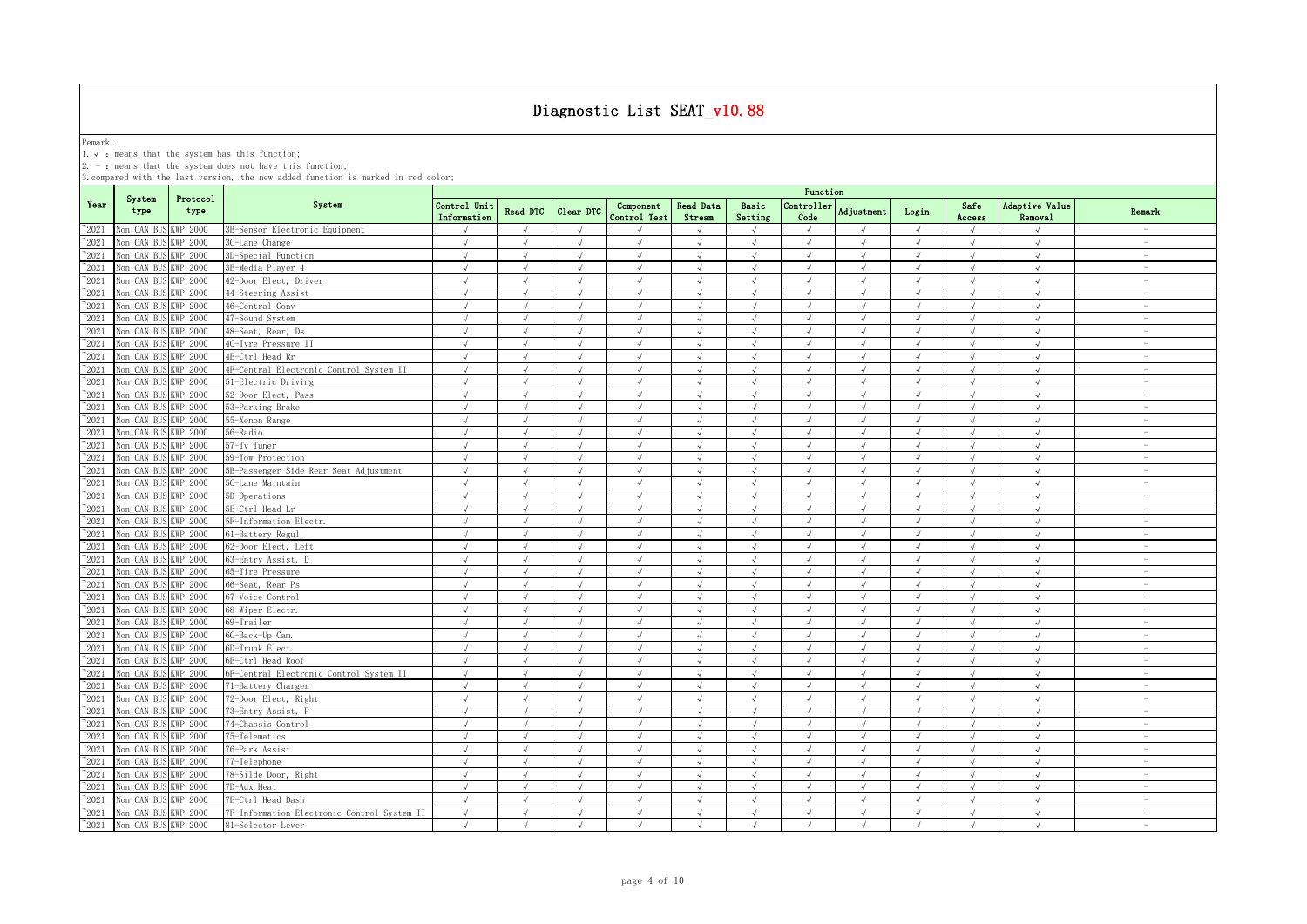Remark:<br>1.√ : means that the system has this function;<br>2. - : means that the system does not have this function;

|                |                      |                  |                                             |                             |                |            |                           |                     |                  | Function           |            |            |                |                           |                                 |
|----------------|----------------------|------------------|---------------------------------------------|-----------------------------|----------------|------------|---------------------------|---------------------|------------------|--------------------|------------|------------|----------------|---------------------------|---------------------------------|
| Year           | System<br>type       | Protocol<br>type | System                                      | Control Unit<br>Information | Read DTC       | Clear DTC  | Component<br>Control Test | Read Data<br>Stream | Basic<br>Setting | Controller<br>Code | Adjustment | Login      | Safe<br>Access | Adaptive Value<br>Removal | Remark                          |
| $^{\sim}$ 2021 | Non CAN BU           | <b>KWP 2000</b>  | 3B-Sensor Electronic Equipment              |                             | $\sqrt{ }$     | $\sqrt{ }$ |                           |                     | $\sqrt{ }$       |                    |            | $\sqrt{ }$ |                |                           |                                 |
| $^{\sim}$ 2021 | Non CAN BUS          | <b>KWP 2000</b>  | 3C-Lane Change                              | $\sqrt{ }$                  | $\sqrt{ }$     | $\sqrt{ }$ | $\sqrt{ }$                | $\sqrt{ }$          | $\sqrt{ }$       | $\sqrt{ }$         | $\sqrt{ }$ | $\sqrt{ }$ | $\sqrt{ }$     | $\sqrt{ }$                | $\sim$                          |
| $^{\sim}$ 2021 | Non CAN BUS          | KWP 2000         | 3D-Special Function                         | $\sqrt{ }$                  | $\sqrt{ }$     | $\sqrt{ }$ | $\sqrt{ }$                | $\sqrt{ }$          | $\sqrt{ }$       | $\sqrt{ }$         | $\sqrt{ }$ | $\sqrt{ }$ | $\sqrt{ }$     | $\sqrt{ }$                | $\sim$                          |
| $\degree$ 2021 | Non CAN BUS          | KWP 2000         | 3E-Media Player 4                           | $\sqrt{ }$                  | $\sqrt{ }$     | $\sqrt{ }$ | $\sqrt{ }$                | $\sqrt{ }$          | $\sqrt{ }$       | $\sqrt{ }$         | $\sqrt{ }$ | $\sqrt{ }$ | $\sqrt{ }$     | $\sqrt{ }$                | $\overline{\phantom{a}}$        |
| $\degree$ 2021 | Non CAN BUS          | KWP 2000         | 42-Door Elect, Driver                       | $\sqrt{ }$                  | $\sqrt{ }$     | $\sqrt{ }$ | $\sqrt{ }$                | $\sqrt{ }$          | $\sqrt{ }$       | $\sqrt{ }$         | $\sqrt{ }$ | $\sqrt{ }$ | $\sqrt{ }$     | $\sqrt{ }$                | $\sim$                          |
| $\degree$ 2021 | Non CAN BUS          | KWP 2000         | 44-Steering Assist                          | $\sqrt{ }$                  | $\sqrt{ }$     | $\sqrt{ }$ | $\sqrt{ }$                | $\sqrt{ }$          | $\sqrt{ }$       | $\sqrt{ }$         | $\sqrt{ }$ | $\sqrt{ }$ | $\sqrt{ }$     | $\sqrt{ }$                | $\overline{\phantom{a}}$        |
| $^{\sim}2021$  | Non CAN BU           | KWP 2000         | 46-Central Conv                             | $\sqrt{ }$                  | $\sqrt{ }$     | $\sqrt{ }$ | $\sqrt{ }$                | $\sqrt{ }$          | $\sqrt{ }$       | $\sqrt{ }$         | $\sqrt{ }$ | $\sqrt{ }$ | $\sqrt{ }$     | $\sqrt{ }$                | $\overline{\phantom{m}}$        |
| $^{\sim}2021$  | Non CAN BUS          | WP 2000          | 47-Sound System                             | $\sqrt{ }$                  | $\sqrt{ }$     | $\sqrt{ }$ | $\sqrt{ }$                | $\sqrt{ }$          | $\sqrt{ }$       | $\sqrt{ }$         | $\sqrt{ }$ | $\sqrt{ }$ | $\sqrt{ }$     | $\sqrt{ }$                | $\sim$                          |
| $^{\sim}2021$  | Non CAN BUS          | WP 2000          | 48-Seat, Rear, Ds                           | $\sqrt{ }$                  | $\sqrt{ }$     | $\sqrt{ }$ | $\sqrt{ }$                | $\sqrt{ }$          | $\sqrt{ }$       | $\sqrt{ }$         | $\sqrt{ }$ | $\sqrt{ }$ | $\sqrt{ }$     | $\sqrt{ }$                | $\sim$                          |
| $^{\sim}2021$  | Non CAN BUS          | WP 2000          | 4C-Tyre Pressure II                         | $\sqrt{ }$                  | $\sqrt{ }$     | $\sqrt{ }$ | $\sqrt{ }$                | $\sqrt{ }$          | $\sqrt{ }$       | $\sqrt{ }$         | $\sqrt{ }$ | $\sqrt{ }$ | $\sqrt{ }$     | $\sqrt{ }$                | $\hspace{0.1mm}-\hspace{0.1mm}$ |
| $^{\circ}2021$ | Non CAN BU           | WP 2000          | 4E-Ctrl Head Rr                             | $\sqrt{ }$                  | $\sqrt{ }$     | $\sqrt{ }$ | $\sqrt{ }$                | $\sqrt{ }$          | $\sqrt{ }$       | $\sqrt{ }$         | $\sqrt{ }$ | $\sqrt{ }$ |                | $\sqrt{ }$                | $\overline{\phantom{a}}$        |
| $^{\sim}2021$  | Non CAN BUS          | KWP 2000         | 4F-Central Electronic Control System II     | $\sqrt{ }$                  | $\sqrt{ }$     | $\sqrt{}$  | $\sqrt{ }$                | $\sqrt{ }$          | $\sqrt{ }$       | $\sqrt{ }$         | $\sqrt{ }$ | $\sqrt{ }$ | $\sqrt{ }$     | $\sqrt{ }$                | $\overline{\phantom{a}}$        |
| $\degree$ 2021 | Non CAN BUS          | <b>KWP 2000</b>  | 51-Electric Driving                         | $\sqrt{ }$                  | $\lambda$      | $\lambda$  |                           |                     | J                |                    |            | J          |                | $\mathcal{A}$             | $\overline{\phantom{a}}$        |
| $^{\sim}2021$  | Non CAN BUS          | KWP 2000         | 52-Door Elect, Pass                         | $\sqrt{ }$                  | $\sqrt{ }$     | $\sqrt{ }$ | $\sqrt{ }$                | $\sqrt{ }$          | $\sqrt{ }$       | $\sqrt{ }$         | $\sqrt{ }$ | $\sqrt{ }$ |                | $\sqrt{ }$                | $\overline{\phantom{m}}$        |
| $^{\sim}$ 2021 | Non CAN BUS          | KWP 2000         | 53-Parking Brake                            | $\sqrt{ }$                  | $\sqrt{ }$     | $\sqrt{ }$ | $\sqrt{ }$                |                     | $\sqrt{ }$       | $\sqrt{ }$         |            | $\sqrt{ }$ |                | $\sqrt{ }$                | ÷                               |
| $^{\sim}$ 2021 | Non CAN BUS          | KWP 2000         | 55-Xenon Range                              | $\sqrt{ }$                  | $\sqrt{ }$     | $\sqrt{ }$ | $\sqrt{ }$                | $\sqrt{ }$          | $\sqrt{ }$       | $\sqrt{ }$         | $\sqrt{ }$ | $\sqrt{ }$ | $\sqrt{ }$     | $\sqrt{ }$                | $\overline{\phantom{a}}$        |
| $^{\sim}$ 2021 | Non CAN BUS          | <b>KWP 2000</b>  | 56-Radio                                    | $\sqrt{ }$                  | $\sqrt{ }$     | $\sqrt{ }$ | $\sqrt{ }$                | $\sqrt{ }$          | $\sqrt{ }$       | $\sqrt{ }$         | $\sqrt{ }$ | $\sqrt{ }$ | $\sqrt{ }$     | $\sqrt{ }$                | $\sim$                          |
| $^{\sim}$ 2021 | Non CAN BUS          | KWP 2000         | 57-Tv Tuner                                 | $\sqrt{ }$                  | $\sqrt{ }$     | $\sqrt{ }$ | $\sqrt{ }$                | $\sqrt{ }$          | $\sqrt{ }$       | $\sqrt{ }$         | $\sqrt{ }$ | $\sqrt{ }$ | $\sqrt{ }$     | $\sqrt{ }$                | $\overline{\phantom{a}}$        |
| $\degree$ 2021 | Non CAN BUS          | <b>KWP 2000</b>  | 59-Tow Protection                           | $\sqrt{ }$                  | $\sqrt{ }$     | $\sqrt{ }$ | $\sqrt{}$                 | $\sqrt{ }$          | $\sqrt{ }$       | $\sqrt{ }$         | $\sqrt{ }$ | $\sqrt{ }$ | $\sqrt{ }$     | $\sqrt{ }$                | $\overline{\phantom{a}}$        |
| $\degree$ 2021 | Non CAN BU           | KWP 2000         | 5B-Passenger Side Rear Seat Adjustment      | $\sqrt{ }$                  | $\sqrt{ }$     | $\sqrt{ }$ | $\lambda$                 | $\sqrt{ }$          | $\sqrt{ }$       | $\mathcal{L}$      | $\lambda$  | $\sqrt{ }$ |                | $\sqrt{ }$                | $\overline{\phantom{m}}$        |
| $^{\sim}2021$  | Non CAN BUS          | KWP 2000         | 5C-Lane Maintain                            | $\sqrt{ }$                  | $\sqrt{ }$     | $\sqrt{ }$ | $\sqrt{ }$                | $\sqrt{ }$          | $\sqrt{ }$       | $\sqrt{ }$         | $\sqrt{ }$ | $\sqrt{}$  | $\sqrt{ }$     | $\sqrt{ }$                | $\overline{\phantom{a}}$        |
| $^{\sim}2021$  | Non CAN BU           | KWP 2000         | 5D-Operations                               | $\sqrt{ }$                  | $\sqrt{ }$     | $\sqrt{ }$ | $\sqrt{ }$                | $\sqrt{ }$          | $\sqrt{ }$       | $\mathcal{L}$      | $\sqrt{ }$ | $\sqrt{ }$ | $\sqrt{ }$     | $\sqrt{ }$                | $\overline{\phantom{a}}$        |
| $^{\sim}2021$  | Non CAN BUS          | WP 2000          | 5E-Ctrl Head Lr                             | $\sqrt{ }$                  | $\sqrt{ }$     | $\sqrt{ }$ | $\sqrt{ }$                | $\sqrt{ }$          | $\sqrt{ }$       | $\sqrt{ }$         | $\sqrt{ }$ | $\sqrt{ }$ | $\sqrt{ }$     | $\sqrt{ }$                | $\sim$                          |
| $^{\sim}2021$  | Non CAN BUS          | WP 2000          | 5F-Information Electr.                      | $\sqrt{ }$                  | $\sqrt{ }$     | $\sqrt{ }$ | $\sqrt{ }$                | $\sqrt{}$           | $\sqrt{ }$       | $\sqrt{ }$         | $\sqrt{ }$ | $\sqrt{}$  |                | $\sqrt{ }$                | $\overline{\phantom{a}}$        |
| $^{\circ}2021$ | Non CAN BUS          | WP 2000          | 61-Battery Regul                            | $\sqrt{ }$                  | $\sqrt{ }$     | $\sqrt{ }$ | $\sqrt{ }$                | $\sqrt{ }$          | $\sqrt{ }$       | $\sqrt{ }$         | $\sqrt{ }$ | $\sqrt{ }$ |                | $\sqrt{ }$                | $\sim$                          |
| $^{\circ}2021$ | Non CAN BUS          | WP 2000          | 62-Door Elect, Left                         | $\sqrt{ }$                  | $\sqrt{ }$     | $\lambda$  | $\sqrt{ }$                | $\sqrt{ }$          | $\sqrt{ }$       | $\mathcal{L}$      | $\sqrt{ }$ | $\sqrt{ }$ |                | $\sqrt{ }$                | $\overline{\phantom{a}}$        |
| $^{\circ}2021$ | Non CAN BUS          | KWP 2000         | 63-Entry Assist, D                          | $\sqrt{ }$                  | $\sqrt{ }$     | $\sqrt{ }$ | $\sqrt{ }$                | $\sqrt{ }$          | $\sqrt{ }$       | $\sqrt{ }$         | $\sqrt{ }$ | $\sqrt{ }$ |                | $\sqrt{ }$                | $\overline{\phantom{a}}$        |
| $\degree$ 2021 | Non CAN BUS          | KWP 2000         | 65-Tire Pressure                            | $\sqrt{ }$                  | $\overline{a}$ | $\sqrt{ }$ | $\sqrt{ }$                |                     | $\sqrt{ }$       |                    |            | $\sqrt{ }$ |                | $\mathcal{N}$             | $\overline{\phantom{0}}$        |
| $^{\sim}$ 2021 | Non CAN BUS          | KWP 2000         | 66-Seat, Rear Ps                            | $\sqrt{ }$                  | $\sqrt{ }$     | $\sqrt{ }$ | $\sqrt{ }$                | $\sqrt{ }$          | $\sqrt{ }$       | $\sqrt{ }$         | $\sqrt{ }$ | $\sqrt{ }$ |                | $\sqrt{ }$                | $\overline{\phantom{m}}$        |
| $\degree$ 2021 | Non CAN BUS          | KWP 2000         | 67-Voice Control                            | $\sqrt{ }$                  | $\sqrt{ }$     | $\sqrt{ }$ | $\sqrt{ }$                | $\sqrt{ }$          | $\sqrt{ }$       | $\sqrt{ }$         | $\sqrt{ }$ | $\sqrt{ }$ | $\sqrt{ }$     | $\sqrt{ }$                | $\overline{\phantom{a}}$        |
| $^{\sim}$ 2021 | Non CAN BUS          | KWP 2000         | 68-Wiper Electr.                            | $\sqrt{ }$                  | $\sqrt{ }$     | $\sqrt{ }$ | $\sqrt{ }$                | $\sqrt{ }$          | $\sqrt{ }$       | $\sqrt{ }$         | $\sqrt{ }$ | $\sqrt{ }$ | $\sqrt{ }$     | $\sqrt{ }$                | $\sim$                          |
| $\degree$ 2021 | Non CAN BU           | <b>KWP 2000</b>  | 69-Trailer                                  | $\sqrt{ }$                  | $\sqrt{ }$     | $\sqrt{ }$ | $\sqrt{ }$                | $\sqrt{ }$          | $\sqrt{ }$       | $\sqrt{ }$         | $\sqrt{ }$ | $\sqrt{ }$ | $\sqrt{ }$     | $\sqrt{ }$                | $\overline{\phantom{a}}$        |
| $^{\sim}$ 2021 | Non CAN BU           | <b>KWP 2000</b>  | 6C-Back-Up Cam.                             | $\sqrt{ }$                  | $\sqrt{ }$     | $\sqrt{ }$ | $\sqrt{ }$                | $\sqrt{ }$          | $\sqrt{ }$       | $\sqrt{ }$         | $\sqrt{ }$ | $\sqrt{ }$ | $\sqrt{ }$     | $\sqrt{ }$                | $\overline{\phantom{a}}$        |
| $^{\sim}2021$  | Non CAN BUS          | <b>KWP 2000</b>  | 6D-Trunk Elect.                             | $\sqrt{ }$                  | $\sqrt{ }$     | $\sqrt{ }$ | $\sqrt{ }$                | $\sqrt{ }$          | $\sqrt{ }$       | $\sqrt{ }$         | $\sqrt{ }$ | $\sqrt{}$  | $\sqrt{ }$     | $\sqrt{ }$                | $\sim$                          |
| $\degree$ 2021 | Non CAN BU           | KWP 2000         | 6E-Ctrl Head Roof                           | $\sqrt{ }$                  | $\sqrt{ }$     | $\sqrt{ }$ | $\sqrt{ }$                | $\sqrt{ }$          | $\sqrt{ }$       | $\sqrt{ }$         | $\sqrt{ }$ | $\sqrt{ }$ |                | $\sqrt{ }$                | $\overline{\phantom{m}}$        |
| $\degree$ 2021 | Non CAN BUS          | WP 2000          | 6F-Central Electronic Control System II     | $\sqrt{}$                   | $\sqrt{ }$     | $\sqrt{ }$ | $\sqrt{ }$                | $\sqrt{ }$          | $\sqrt{ }$       | $\sqrt{ }$         | $\sqrt{ }$ | $\sqrt{}$  | $\sqrt{ }$     | $\sqrt{ }$                | $\sim$                          |
| $^{\sim}$ 2021 | Non CAN BUS          | WP 2000          | 71-Battery Charger                          | $\sqrt{ }$                  | $\sqrt{ }$     | $\sqrt{ }$ | $\sqrt{ }$                | $\sqrt{ }$          | $\sqrt{ }$       | $\sqrt{ }$         | $\sqrt{ }$ | $\sqrt{ }$ | $\sqrt{ }$     | $\sqrt{ }$                | $\sim$                          |
| $^{\sim}2021$  | Non CAN BUS          | WP 2000          | 72-Door Elect, Right                        | $\sqrt{ }$                  | $\sqrt{ }$     | $\sqrt{ }$ | $\sqrt{ }$                | $\sqrt{ }$          | $\sqrt{ }$       | $\sqrt{ }$         | $\sqrt{ }$ | $\sqrt{ }$ | $\sqrt{ }$     | $\sqrt{ }$                | $\sim$                          |
| $\degree$ 2021 | Non CAN BU           | WP 2000          | 73-Entry Assist, P                          | $\sqrt{ }$                  |                | $\sqrt{ }$ |                           |                     | $\sqrt{}$        |                    |            |            |                | $\cdot$                   | $\sim$                          |
| $\degree$ 2021 | Non CAN BUS          | KWP 2000         | 74-Chassis Control                          | $\sqrt{ }$                  | $\sqrt{ }$     | $\sqrt{ }$ | $\sqrt{ }$                | $\sqrt{ }$          | $\sqrt{ }$       | $\sqrt{ }$         | $\sqrt{ }$ | $\sqrt{ }$ | $\sqrt{ }$     | $\sqrt{ }$                | $\overline{\phantom{a}}$        |
| $^{\circ}2021$ | Non CAN BUS          | KWP 2000         | 75-Telematics                               | $\sqrt{ }$                  | $\sqrt{ }$     | $\sqrt{ }$ | $\sqrt{ }$                | $\sqrt{ }$          | $\sqrt{ }$       | $\sqrt{ }$         | $\sqrt{ }$ | $\sqrt{ }$ | $\sqrt{ }$     | $\sqrt{ }$                | $\overline{\phantom{m}}$        |
| $^{\sim}2021$  | Non CAN BUS KWP 2000 |                  | 76-Park Assist                              | $\sqrt{ }$                  | $\sqrt{ }$     | $\sqrt{ }$ | $\sqrt{ }$                | $\sqrt{ }$          | $\sqrt{ }$       | $\sqrt{ }$         | $\sqrt{ }$ | $\sqrt{ }$ |                | $\sqrt{ }$                | $\overline{\phantom{a}}$        |
| $^{\sim}2021$  | Non CAN BUS          | KWP 2000         | 77-Telephone                                | $\sqrt{ }$                  | $\sqrt{ }$     | $\sqrt{ }$ | $\sqrt{ }$                | $\sqrt{ }$          | $\sqrt{ }$       | $\sqrt{ }$         | $\sqrt{ }$ | $\sqrt{ }$ | $\sqrt{ }$     | $\sqrt{ }$                | $\overline{\phantom{a}}$        |
| $^{\sim}$ 2021 | Non CAN BUS          | KWP 2000         | 78-Silde Door, Right                        | $\sqrt{ }$                  | $\sqrt{ }$     | $\sqrt{ }$ | $\sqrt{ }$                | $\sqrt{ }$          | $\sqrt{ }$       | $\sqrt{ }$         | $\sqrt{ }$ | $\sqrt{ }$ | $\sqrt{ }$     | $\sqrt{ }$                | $\overline{\phantom{m}}$        |
| $\degree$ 2021 | Non CAN BUS          | <b>KWP 2000</b>  | 7D-Aux Heat                                 | $\sqrt{ }$                  | $\sqrt{ }$     | $\sqrt{ }$ | $\sqrt{ }$                | $\sqrt{ }$          | $\sqrt{ }$       | $\sqrt{ }$         | $\sqrt{ }$ | $\sqrt{ }$ | $\sqrt{ }$     | $\sqrt{ }$                | $\overline{\phantom{a}}$        |
| $^{\sim}$ 2021 | Non CAN BU           | KWP 2000         | 7E-Ctrl Head Dash                           | $\sqrt{ }$                  | $\sqrt{ }$     | $\sqrt{ }$ | $\sqrt{ }$                | $\sqrt{ }$          | $\sqrt{ }$       | $\sqrt{ }$         | $\sqrt{ }$ | $\sqrt{ }$ | $\sqrt{ }$     | $\sqrt{ }$                | $\sim$                          |
| $^{\sim}$ 2021 | Non CAN BUS KWP 2000 |                  | 7F-Information Electronic Control System II | $\sqrt{ }$                  | $\sqrt{ }$     | $\sqrt{ }$ | $\sqrt{ }$                | $\sqrt{ }$          | $\sqrt{ }$       | $\sqrt{ }$         | $\sqrt{ }$ | $\sqrt{ }$ | $\sqrt{ }$     | $\sqrt{ }$                | $\sim$                          |
| $^{\sim}$ 2021 | Non CAN BUS KWP 2000 |                  | 81-Selector Lever                           | $\sqrt{ }$                  | $\sqrt{ }$     | $\sqrt{ }$ | $\sqrt{ }$                | $\sqrt{ }$          | $\mathcal{L}$    | $\sqrt{ }$         | $\sqrt{ }$ | $\sqrt{ }$ | $\sqrt{ }$     | $\sqrt{ }$                | $\sim$                          |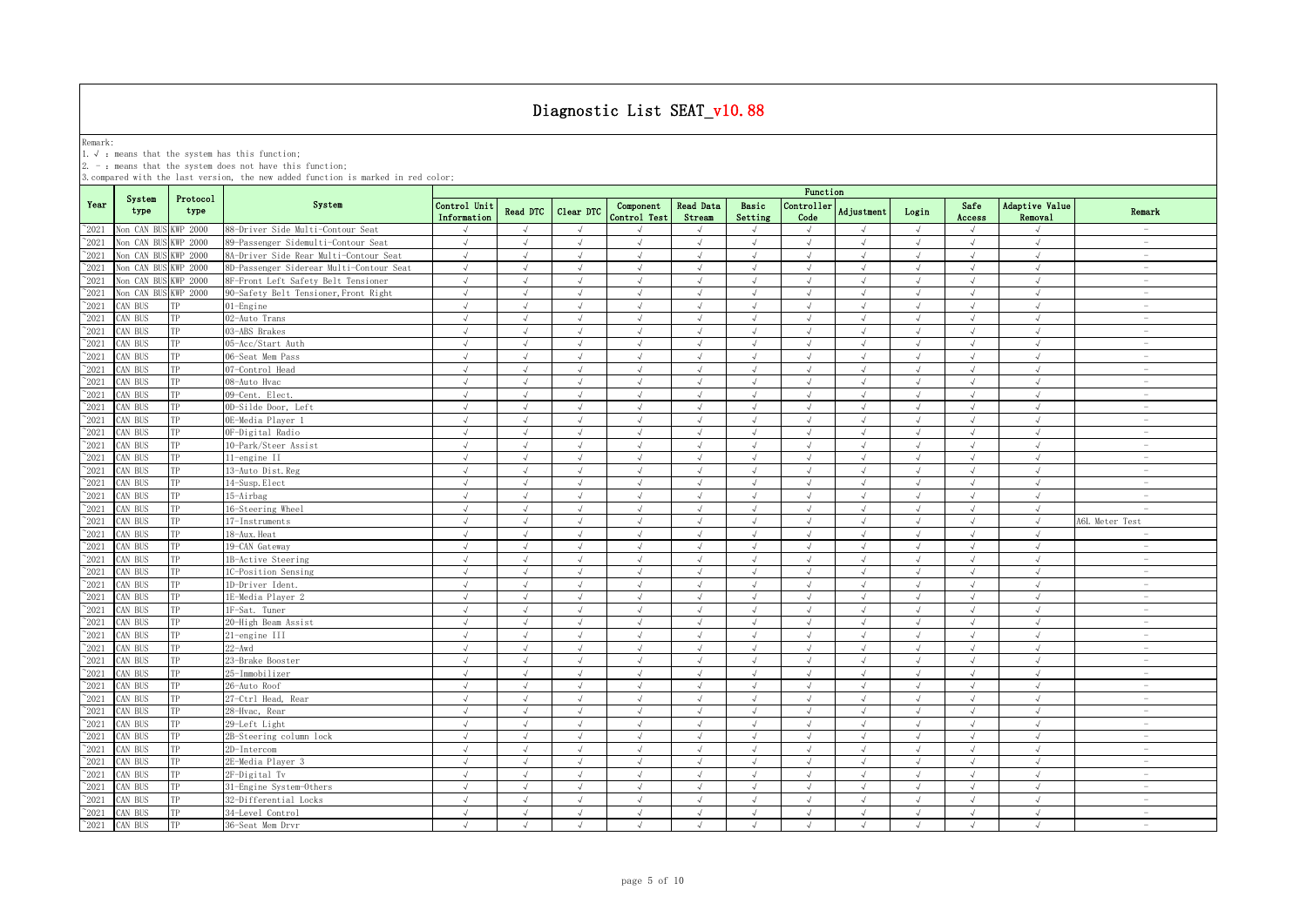Remark:<br>1.√ : means that the system has this function;<br>2. - : means that the system does not have this function;

|                |                |                  |                                          | Function                    |                |            |                           |                     |                  |                    |            |            |                |                           |                                 |
|----------------|----------------|------------------|------------------------------------------|-----------------------------|----------------|------------|---------------------------|---------------------|------------------|--------------------|------------|------------|----------------|---------------------------|---------------------------------|
| Year           | System<br>type | Protocol<br>type | System                                   | Control Unit<br>Information | Read DTC       | Clear DTC  | Component<br>Control Test | Read Data<br>Stream | Basic<br>Setting | Controller<br>Code | Adjustment | Login      | Safe<br>Access | Adaptive Value<br>Removal | Remark                          |
| $^{\sim}$ 2021 | Non CAN BU     | <b>KWP 2000</b>  | 88-Driver Side Multi-Contour Seat        | $\sqrt{ }$                  | $\sqrt{ }$     | $\lambda$  |                           |                     | $\sqrt{ }$       |                    |            | $\sqrt{ }$ |                | $\mathcal{A}$             | $\overline{\phantom{a}}$        |
| $^{\sim}$ 2021 | Non CAN BU     | <b>KWP 2000</b>  | 89-Passenger Sidemulti-Contour Seat      | $\sqrt{ }$                  | $\sqrt{ }$     | $\sqrt{ }$ | $\sqrt{ }$                | $\sqrt{ }$          | $\sqrt{ }$       | $\sqrt{ }$         | $\sqrt{ }$ | $\sqrt{ }$ | $\sqrt{ }$     | $\sqrt{ }$                | $\overline{\phantom{a}}$        |
| $^{\sim}$ 2021 | Non CAN BU     | KWP 2000         | 8A-Driver Side Rear Multi-Contour Seat   | $\sqrt{ }$                  | $\sqrt{ }$     | $\sqrt{ }$ | $\sqrt{ }$                | $\sqrt{ }$          | $\sqrt{ }$       | $\sqrt{ }$         | $\sqrt{ }$ | $\sqrt{ }$ | $\sqrt{ }$     | $\sqrt{ }$                | $\overline{\phantom{a}}$        |
| $\degree$ 2021 | Non CAN BU     | WP 2000          | 8D-Passenger Siderear Multi-Contour Seat | $\sqrt{ }$                  | $\sqrt{ }$     | $\sqrt{ }$ | $\sqrt{ }$                | $\sqrt{ }$          | $\sqrt{ }$       | $\sqrt{ }$         | $\sqrt{ }$ | $\sqrt{ }$ | $\sqrt{ }$     | $\sqrt{ }$                | $\overline{\phantom{a}}$        |
| $^{\sim}$ 2021 | Non CAN BU     | WP 2000          | 8F-Front Left Safety Belt Tensioner      | $\sqrt{ }$                  | $\sqrt{ }$     | $\sqrt{ }$ | $\sqrt{ }$                | $\sqrt{ }$          | $\sqrt{ }$       | $\sqrt{ }$         | $\sqrt{ }$ | $\sqrt{ }$ | $\sqrt{ }$     | $\sqrt{ }$                | $\hspace{0.1mm}-\hspace{0.1mm}$ |
| $^{\sim}2021$  | Non CAN BU     | WP 2000          | 90-Safety Belt Tensioner, Front Right    | $\sqrt{ }$                  | $\sqrt{ }$     | $\sqrt{ }$ | $\sqrt{ }$                | $\sqrt{ }$          | $\sqrt{ }$       | $\sqrt{ }$         | $\sqrt{ }$ | $\sqrt{ }$ | $\sqrt{ }$     | $\sqrt{ }$                | $\overline{\phantom{a}}$        |
| $^{\sim}2021$  | CAN BUS        |                  | 01-Engine                                | $\sqrt{ }$                  | $\sqrt{ }$     | $\sqrt{ }$ | $\sqrt{ }$                | $\sqrt{ }$          | $\sqrt{ }$       | $\sqrt{ }$         | $\sqrt{ }$ | $\sqrt{ }$ | $\sqrt{ }$     | $\sqrt{ }$                | $\sim$                          |
| $^{\sim}2021$  | CAN BUS        |                  | 02-Auto Trans                            | $\sqrt{ }$                  | $\sqrt{ }$     | $\sqrt{ }$ | $\sqrt{ }$                | $\sqrt{ }$          | $\sqrt{ }$       |                    | $\sqrt{ }$ | $\sqrt{ }$ |                | $\sqrt{ }$                | $\hspace{0.1mm}-\hspace{0.1mm}$ |
| $\degree$ 2021 | CAN BUS        | TP               | 03-ABS Brakes                            | $\sqrt{ }$                  | $\sqrt{ }$     | $\lambda$  | $\mathcal{A}$             | $\sqrt{ }$          | $\sqrt{ }$       | $\mathcal{L}$      | $\sqrt{ }$ | $\sqrt{ }$ | $\sqrt{ }$     | $\mathcal{N}$             | $\overline{\phantom{a}}$        |
| $\degree$ 2021 | CAN BUS        | TP               | 05-Acc/Start Auth                        | $\sqrt{ }$                  | $\sqrt{ }$     | $\sqrt{ }$ | $\sqrt{ }$                | $\sqrt{ }$          | $\sqrt{ }$       | $\sqrt{ }$         | $\sqrt{ }$ | $\sqrt{ }$ |                | $\sqrt{ }$                | $\overline{\phantom{a}}$        |
| $\degree$ 2021 | CAN BUS        | TP               | 06-Seat Mem Pass                         | $\sqrt{ }$                  | $\sqrt{ }$     | $\sqrt{ }$ | $\sqrt{ }$                | $\sqrt{ }$          | $\sqrt{ }$       | $\sqrt{ }$         | $\sqrt{ }$ | $\sqrt{ }$ |                | $\sqrt{ }$                | $\overline{\phantom{a}}$        |
| $^{\sim}$ 2021 | CAN BUS        | TP               | 07-Control Head                          | $\sqrt{ }$                  | $\sqrt{ }$     | $\sqrt{ }$ | $\sqrt{ }$                | $\sqrt{ }$          | $\sqrt{ }$       | $\sqrt{ }$         | $\sqrt{ }$ | $\sqrt{ }$ |                | $\sqrt{ }$                | $\overline{\phantom{m}}$        |
| $^{\sim}$ 2021 | CAN BUS        | TP               | 08-Auto Hvac                             | $\sqrt{ }$                  | $\sqrt{ }$     | $\sqrt{ }$ | $\sqrt{ }$                | $\sqrt{ }$          | $\sqrt{ }$       | $\sqrt{ }$         | $\sqrt{ }$ | $\sqrt{ }$ | $\sqrt{ }$     | $\sqrt{ }$                | $\overline{\phantom{a}}$        |
| $^{\sim}$ 2021 | CAN BUS        | TP               | 09-Cent. Elect.                          | $\sqrt{ }$                  | $\sqrt{ }$     | $\sqrt{ }$ | $\sqrt{ }$                | $\sqrt{ }$          | $\sqrt{ }$       | $\sqrt{ }$         | $\sqrt{ }$ | $\sqrt{ }$ |                | $\sqrt{ }$                | $\overline{\phantom{a}}$        |
| $^{\sim}$ 2021 | CAN BUS        | TP               | 0D-Silde Door, Left                      | $\sqrt{ }$                  | $\sqrt{ }$     | $\sqrt{ }$ | $\sqrt{}$                 | $\sqrt{ }$          | $\sqrt{ }$       | $\sqrt{ }$         | $\sqrt{ }$ | $\sqrt{ }$ | $\sqrt{ }$     | $\sqrt{ }$                | $\sim$                          |
| $^{\sim}$ 2021 | CAN BUS        | TP               | OE-Media Player 1                        | $\sqrt{ }$                  | $\sqrt{ }$     | $\sqrt{ }$ | $\sqrt{ }$                | $\sqrt{ }$          | $\sqrt{ }$       | $\sqrt{ }$         | $\lambda$  | $\sqrt{ }$ | $\sqrt{ }$     | $\sqrt{ }$                | $\overline{\phantom{a}}$        |
| $\degree$ 2021 | CAN BUS        | TP               | OF-Digital Radio                         | $\sqrt{ }$                  | $\sqrt{ }$     | $\sqrt{ }$ | $\sqrt{ }$                | $\sqrt{ }$          | $\sqrt{ }$       | $\sqrt{ }$         | $\sqrt{ }$ | $\sqrt{ }$ | $\sqrt{ }$     | $\sqrt{ }$                | $\sim$                          |
| $\degree$ 2021 | CAN BUS        | TP               | 10-Park/Steer Assist                     | $\sqrt{ }$                  | $\sqrt{ }$     | $\sqrt{ }$ | $\sqrt{ }$                | $\sqrt{ }$          | $\sqrt{ }$       | $\sqrt{ }$         | $\sqrt{ }$ | $\sqrt{ }$ | $\sqrt{ }$     | $\sqrt{ }$                | $\overline{\phantom{a}}$        |
| $^{\sim}2021$  | CAN BUS        | TP               | 11-engine II                             | $\sqrt{ }$                  | $\sqrt{ }$     | $\sqrt{ }$ | $\sqrt{ }$                | $\sqrt{ }$          | $\sqrt{ }$       | $\sqrt{ }$         | $\sqrt{ }$ | $\sqrt{ }$ | $\sqrt{ }$     | $\sqrt{ }$                | $\sim$                          |
| $^{\sim}2021$  | CAN BUS        | TP               | 13-Auto Dist. Reg                        | $\sqrt{ }$                  | $\sqrt{ }$     | $\sqrt{ }$ | $\sqrt{ }$                | $\sqrt{ }$          | $\sqrt{ }$       | $\sqrt{ }$         | $\sqrt{ }$ | $\sqrt{ }$ | $\sqrt{ }$     | $\sqrt{ }$                | $\overline{\phantom{a}}$        |
| $^{\sim}2021$  | CAN BUS        | TP               | 14-Susp. Elect                           | $\sqrt{ }$                  | $\sqrt{ }$     | $\sqrt{ }$ | $\sqrt{ }$                | $\sqrt{ }$          | $\sqrt{ }$       | $\sqrt{ }$         | $\sqrt{ }$ | $\sqrt{ }$ | $\sqrt{ }$     | $\sqrt{ }$                | $\sim$                          |
| $^{\sim}$ 2021 | CAN BUS        | TP               | 15-Airbag                                | $\sqrt{ }$                  | $\sqrt{ }$     | $\sqrt{ }$ | $\sqrt{ }$                | $\sqrt{ }$          | $\sqrt{ }$       | $\sqrt{ }$         | $\sqrt{ }$ | $\sqrt{ }$ | $\sqrt{ }$     | $\sqrt{ }$                | $\sim$                          |
| $\degree$ 2021 | CAN BUS        |                  | 16-Steering Wheel                        | $\sqrt{ }$                  | $\sqrt{ }$     | $\sqrt{}$  | $\sqrt{}$                 | $\sqrt{ }$          | $\sqrt{ }$       | $\sqrt{ }$         | $\sqrt{ }$ | $\sqrt{ }$ | $\sqrt{ }$     | $\sqrt{ }$                | $\overline{\phantom{a}}$        |
| $^{\circ}2021$ | CAN BUS        |                  | 17-Instruments                           | $\sqrt{ }$                  | $\sqrt{ }$     | $\sqrt{ }$ | J                         |                     | J                |                    |            | J          |                | $\sqrt{ }$                | A6L Meter Test                  |
| $\degree$ 2021 | CAN BUS        | TP               | 18-Aux. Heat                             | $\sqrt{ }$                  | $\overline{a}$ | $\sqrt{ }$ | J                         | $\sqrt{ }$          | J                |                    |            | $\sqrt{ }$ |                | $\mathcal{N}$             | $\overline{\phantom{a}}$        |
| $^{\sim}2021$  | CAN BUS        | TP               | 19-CAN Gateway                           | $\sqrt{ }$                  | $\sqrt{ }$     | $\sqrt{ }$ | $\mathcal{L}$             | $\sqrt{ }$          | $\mathcal{A}$    | $\sqrt{ }$         | $\sqrt{ }$ | $\sqrt{ }$ |                | $\sqrt{ }$                | $\overline{\phantom{a}}$        |
| $^{\sim}$ 2021 | CAN BUS        | TP               | 1B-Active Steering                       | $\sqrt{ }$                  | $\sqrt{ }$     | $\sqrt{ }$ | J                         |                     | J                |                    |            | $\sqrt{ }$ |                | $\sqrt{ }$                | $\overline{\phantom{a}}$        |
| $^{\sim}$ 2021 | CAN BUS        | TP               | 1C-Position Sensing                      | $\sqrt{ }$                  | $\sqrt{ }$     | $\sqrt{ }$ | $\sqrt{ }$                | $\sqrt{ }$          | $\sqrt{ }$       | $\sqrt{ }$         | $\sqrt{ }$ | $\sqrt{ }$ | $\sqrt{ }$     | $\sqrt{ }$                | $\sim$                          |
| $^{\sim}$ 2021 | CAN BUS        | TP               | 1D-Driver Ident.                         | $\sqrt{ }$                  | $\sqrt{ }$     | $\sqrt{ }$ | $\sqrt{ }$                | $\sqrt{ }$          | $\sqrt{ }$       | $\sqrt{ }$         | $\sqrt{ }$ | $\sqrt{ }$ | $\sqrt{ }$     | $\sqrt{ }$                | $\sim$                          |
| $^{\sim}$ 2021 | CAN BUS        | TP               | 1E-Media Plaver 2                        | $\sqrt{ }$                  | $\sqrt{ }$     | $\sqrt{ }$ | $\sqrt{ }$                | $\sqrt{ }$          | $\sqrt{ }$       | $\sqrt{ }$         | $\sqrt{ }$ | $\sqrt{ }$ | $\sqrt{ }$     | $\sqrt{ }$                | $\sim$                          |
| $^{\sim}$ 2021 | CAN BUS        | TP               | 1F-Sat. Tuner                            | $\sqrt{ }$                  | $\sqrt{ }$     | $\sqrt{ }$ | $\sqrt{ }$                | $\sqrt{ }$          | $\sqrt{ }$       | $\sqrt{ }$         | $\sqrt{ }$ | $\sqrt{ }$ | $\sqrt{ }$     | $\sqrt{ }$                | $\overline{\phantom{a}}$        |
| $\degree$ 2021 | CAN BUS        | TP               | 20-High Beam Assist                      | $\sqrt{ }$                  | $\sqrt{ }$     | $\sqrt{ }$ | $\sqrt{ }$                | $\sqrt{ }$          | $\sqrt{ }$       | $\sqrt{ }$         | $\sqrt{ }$ | $\sqrt{ }$ | $\sqrt{ }$     | $\sqrt{ }$                | $\overline{\phantom{a}}$        |
| $^{\sim}$ 2021 | CAN BUS        | TP               | 21-engine III                            | $\sqrt{ }$                  | $\sqrt{ }$     | $\sqrt{ }$ | $\sqrt{ }$                | $\sqrt{ }$          | $\sqrt{ }$       | $\sqrt{ }$         | $\sqrt{ }$ | $\sqrt{ }$ | $\sqrt{ }$     | $\sqrt{ }$                | $\overline{\phantom{a}}$        |
| $\degree$ 2021 | CAN BUS        | TP               | $22 - Awd$                               | $\sqrt{ }$                  | $\sqrt{ }$     | $\sqrt{ }$ | $\sqrt{ }$                | $\sqrt{ }$          | $\sqrt{ }$       | $\sqrt{ }$         | $\sqrt{ }$ | $\sqrt{ }$ | $\sqrt{ }$     | $\sqrt{ }$                | $\overline{\phantom{a}}$        |
| $^{\sim}$ 2021 | CAN BUS        | TP               | 23-Brake Booster                         | $\sqrt{ }$                  | $\sqrt{ }$     | $\sqrt{ }$ | $\sqrt{ }$                | $\sqrt{ }$          | $\sqrt{ }$       | $\sqrt{ }$         | $\sqrt{ }$ | $\sqrt{ }$ | $\sqrt{ }$     | $\sqrt{ }$                | $\overline{\phantom{m}}$        |
| $\degree$ 2021 | CAN BUS        | TP               | 25-Immobilizer                           | $\sqrt{ }$                  | $\sqrt{ }$     | $\sqrt{ }$ | $\sqrt{ }$                | $\sqrt{ }$          | $\sqrt{ }$       | $\sqrt{ }$         | $\sqrt{ }$ | $\sqrt{ }$ | $\sqrt{ }$     | $\sqrt{ }$                | $\sim$                          |
| $^{\sim}$ 2021 | CAN BUS        | TP               | 26-Auto Roof                             | $\sqrt{ }$                  | $\sqrt{ }$     | $\sqrt{ }$ | $\sqrt{ }$                | $\sqrt{ }$          | $\sqrt{ }$       | $\sqrt{ }$         | $\sqrt{ }$ | $\sqrt{ }$ | $\sqrt{ }$     | $\sqrt{ }$                | $\sim$                          |
| $^{\sim}2021$  | CAN BUS        | TP               | 27-Ctrl Head, Rear                       | $\sqrt{ }$                  | $\sqrt{ }$     | $\sqrt{}$  | $\sqrt{ }$                | $\sqrt{ }$          | $\sqrt{ }$       | $\sqrt{ }$         | $\sqrt{ }$ | $\sqrt{ }$ | $\sqrt{ }$     | $\sqrt{ }$                | $\hspace{0.1mm}-\hspace{0.1mm}$ |
| $^{\sim}2021$  | CAN BUS        | TP               | 28-Hvac, Rear                            | $\sqrt{ }$                  | $\sqrt{ }$     | $\sqrt{ }$ | $\mathcal{L}$             | $\sqrt{ }$          | J                | $\sqrt{ }$         | $\sqrt{ }$ | $\sqrt{ }$ |                | $\sqrt{ }$                | $\overline{\phantom{a}}$        |
| $\degree$ 2021 | CAN BUS        | TP               | 29-Left Light                            | $\sqrt{ }$                  | $\sqrt{ }$     | $\sqrt{ }$ | $\sqrt{ }$                | $\sqrt{ }$          | $\sqrt{ }$       | $\sqrt{ }$         | $\sqrt{ }$ | $\sqrt{ }$ | $\sqrt{ }$     | $\sqrt{ }$                | $\overline{\phantom{a}}$        |
| $^{\circ}2021$ | CAN BUS        | TP               | 2B-Steering column lock                  | $\sqrt{ }$                  | $\sqrt{ }$     | $\sqrt{ }$ | $\sqrt{ }$                | $\sqrt{ }$          | $\sqrt{ }$       | $\sqrt{ }$         | $\sqrt{ }$ | $\sqrt{ }$ |                | $\sqrt{ }$                | $\overline{\phantom{m}}$        |
| $^{\sim}$ 2021 | CAN BUS        | TP               | 2D-Intercom                              | $\sqrt{ }$                  | $\sqrt{ }$     | $\sqrt{ }$ | $\sqrt{ }$                | $\sqrt{ }$          | $\sqrt{ }$       | $\sqrt{ }$         | $\sqrt{ }$ | $\sqrt{ }$ |                | $\sqrt{ }$                | $\overline{\phantom{a}}$        |
| $^{\sim}$ 2021 | CAN BUS        | TP               | 2E-Media Player 3                        | $\sqrt{ }$                  | $\sqrt{ }$     | $\sqrt{ }$ | $\sqrt{ }$                | $\sqrt{ }$          | $\sqrt{ }$       | $\sqrt{ }$         | $\sqrt{ }$ | $\sqrt{ }$ | $\sqrt{ }$     | $\sqrt{ }$                | $\overline{\phantom{a}}$        |
| $^{\sim}$ 2021 | CAN BUS        | TP               | 2F-Digital Tv                            | $\sqrt{ }$                  | $\sqrt{ }$     | $\sqrt{ }$ | $\sqrt{ }$                | $\sqrt{ }$          | $\sqrt{ }$       | $\sqrt{ }$         | $\sqrt{ }$ | $\sqrt{ }$ |                | $\sqrt{ }$                | $\overline{\phantom{m}}$        |
| $^{\sim}$ 2021 | CAN BUS        | TP               | 31-Engine System-Others                  | $\sqrt{ }$                  | $\sqrt{ }$     | $\sqrt{ }$ | $\sqrt{}$                 | $\sqrt{ }$          | $\sqrt{ }$       | $\sqrt{ }$         | $\sqrt{ }$ | $\sqrt{ }$ | $\sqrt{ }$     | $\sqrt{ }$                | $\sim$                          |
| $^{\sim}$ 2021 | CAN BUS        | TP               | 32-Differential Locks                    | $\sqrt{ }$                  | $\sqrt{ }$     | $\sqrt{ }$ | $\sqrt{ }$                | $\sqrt{ }$          | $\sqrt{ }$       | $\sqrt{ }$         | $\sqrt{ }$ | $\sqrt{ }$ | $\sqrt{ }$     | $\sqrt{ }$                | $\sim$                          |
| $^{\sim}$ 2021 | CAN BUS        | TP               | 34-Level Control                         | $\sqrt{ }$                  | $\sqrt{ }$     | $\sqrt{ }$ | $\sqrt{ }$                | $\sqrt{ }$          | $\sqrt{ }$       | $\sqrt{ }$         | $\sqrt{ }$ | $\sqrt{ }$ | $\sqrt{ }$     | $\sqrt{ }$                | $\overline{\phantom{a}}$        |
| $^{\sim}$ 2021 | CAN BUS        | TP               | 36-Seat Mem Drvr                         | $\sqrt{ }$                  | $\sqrt{ }$     | $\sqrt{ }$ | $\sqrt{ }$                | $\sqrt{ }$          | $\mathcal{L}$    | $\sqrt{ }$         | $\sqrt{ }$ | $\sqrt{ }$ | $\sqrt{ }$     | $\sqrt{ }$                | $\sim$                          |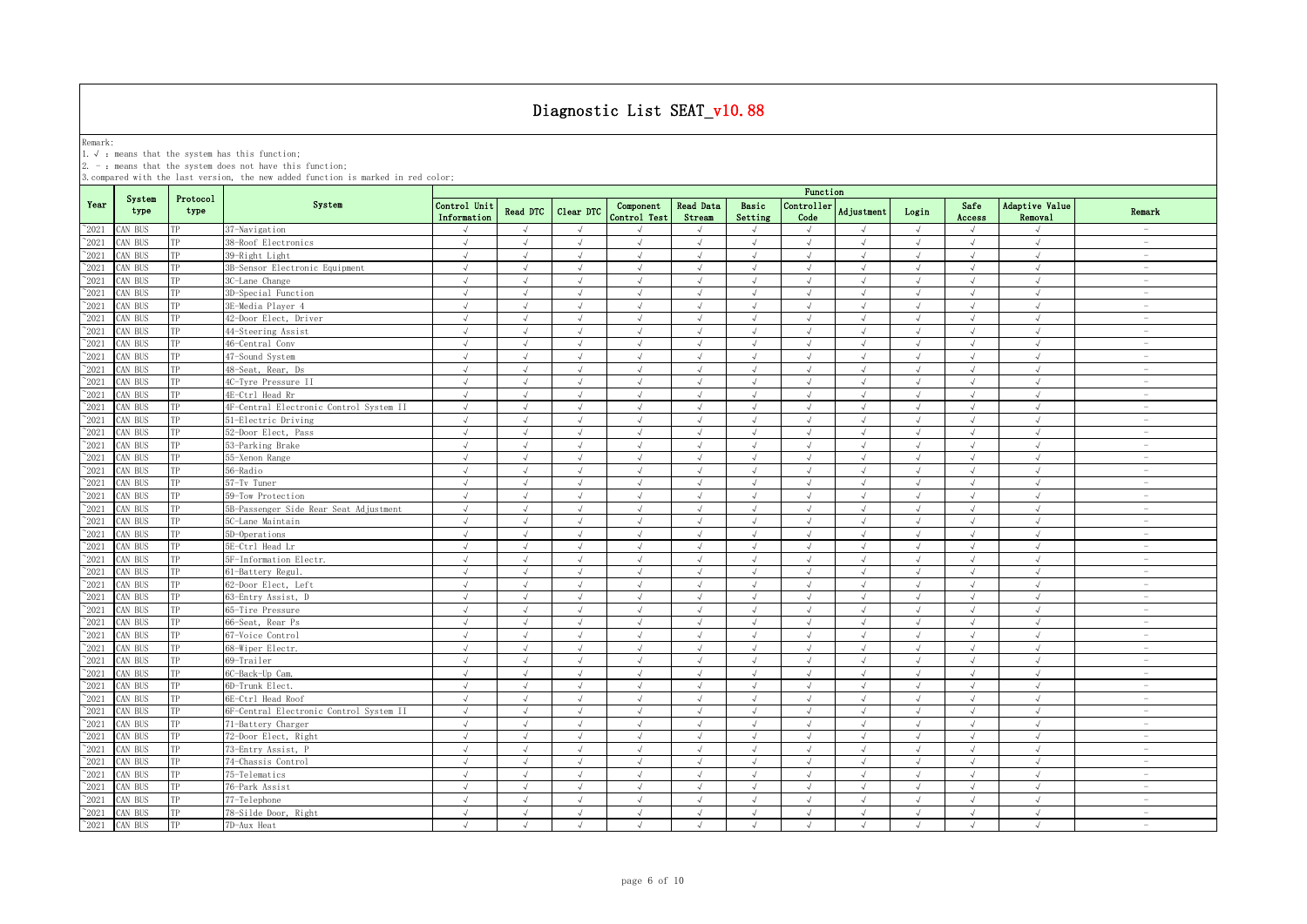Remark:<br>1.√ : means that the system has this function;<br>2. - : means that the system does not have this function;

|                 |                |                  |                                         | Function                    |                 |               |                           |                            |                  |                    |               |              |                |                                  |                          |
|-----------------|----------------|------------------|-----------------------------------------|-----------------------------|-----------------|---------------|---------------------------|----------------------------|------------------|--------------------|---------------|--------------|----------------|----------------------------------|--------------------------|
| Year            | System<br>type | Protocol<br>type | System                                  | Control Unit<br>Information | <b>Read DTC</b> | Clear DTC     | Component<br>Control Test | <b>Read Data</b><br>Stream | Basic<br>Setting | Controller<br>Code | Adjustment    | Login        | Safe<br>Access | Adaptive Value<br><b>Removal</b> | Remark                   |
| $^{\sim}2021$   | CAN BUS        | TP               | 37-Navigation                           | $\sqrt{ }$                  | $\sqrt{ }$      | $\lambda$     |                           |                            | $\sqrt{ }$       | $\sqrt{ }$         |               | $\sqrt{ }$   |                | $\mathcal{N}_{\mathcal{N}}$      | $\overline{\phantom{a}}$ |
| $^{\sim}$ 2021  | CAN BUS        | TP               | 38-Roof Electronics                     | $\sqrt{ }$                  | $\sqrt{ }$      | $\sqrt{ }$    | $\sqrt{ }$                | $\sqrt{ }$                 | $\sqrt{ }$       | $\sqrt{ }$         | $\sqrt{ }$    | $\sqrt{ }$   | $\sqrt{ }$     | $\sqrt{ }$                       | $\overline{\phantom{a}}$ |
| $^{\sim}$ 2021  | CAN BUS        | TP               | 39-Right Light                          | $\sqrt{ }$                  | $\sqrt{ }$      | $\sqrt{ }$    | $\sqrt{ }$                | $\sqrt{ }$                 | $\sqrt{ }$       | $\sqrt{ }$         | $\sqrt{ }$    | $\sqrt{ }$   | $\sqrt{ }$     | $\sqrt{ }$                       | $\overline{\phantom{a}}$ |
| $^{\sim}$ 2021  | CAN BUS        | TP               | 3B-Sensor Electronic Equipment          | $\sqrt{ }$                  | $\sqrt{ }$      | $\sqrt{ }$    | $\sqrt{ }$                | $\sqrt{ }$                 | $\sqrt{ }$       | $\sqrt{ }$         | $\sqrt{ }$    | $\sqrt{ }$   | $\sqrt{ }$     | $\sqrt{ }$                       | $\overline{\phantom{a}}$ |
| $\degree$ 2021  | CAN BUS        | TP               | 3C-Lane Change                          | $\sqrt{ }$                  | $\sqrt{ }$      | $\sqrt{ }$    | $\sqrt{ }$                | $\sqrt{ }$                 | $\sqrt{ }$       | $\sqrt{ }$         | $\sqrt{ }$    | $\sqrt{ }$   | $\sqrt{ }$     | $\sqrt{ }$                       | $\overline{\phantom{a}}$ |
| $^{\sim}$ 2021  | AN BUS         | TP               | 3D-Special Function                     | $\sqrt{ }$                  | $\sqrt{2}$      | $\sqrt{}$     | $\sqrt{}$                 | $\sqrt{ }$                 | $\sqrt{ }$       | $\sqrt{ }$         | $\sqrt{ }$    | $\sqrt{ }$   | $\sqrt{ }$     | $\sqrt{ }$                       | $\overline{\phantom{a}}$ |
| $\degree$ 2021  | AN BUS         | TP               | 3E-Media Player 4                       | $\sqrt{ }$                  |                 | $\mathcal{L}$ | $\sqrt{ }$                | J                          | $\overline{v}$   |                    |               | $\sqrt{ }$   |                | $\sqrt{ }$                       | $\overline{\phantom{a}}$ |
| $\degree$ 2021  | AN BUS         | ТP               | 42-Door Elect, Driver                   | $\sqrt{ }$                  | $\sqrt{ }$      | $\lambda$     | $\sqrt{ }$                | $\sqrt{ }$                 | $\sqrt{ }$       | $\sqrt{ }$         | $\sqrt{ }$    | $\sqrt{ }$   | $\sqrt{ }$     | $\sqrt{ }$                       | $\sim$                   |
| $^{\sim}2021$   | CAN BUS        | TP               | 44-Steering Assist                      | $\sqrt{ }$                  | $\sqrt{ }$      | $\sqrt{ }$    | $\sqrt{ }$                | $\sqrt{ }$                 | $\sqrt{ }$       | $\sqrt{ }$         | $\sqrt{ }$    | $\sqrt{ }$   | $\sqrt{ }$     | $\sqrt{ }$                       | $\overline{\phantom{a}}$ |
| $^{\sim}$ 2021  | CAN BUS        | TP               | 46-Central Conv                         | $\sqrt{ }$                  | $\sqrt{ }$      | $\sqrt{ }$    | J                         | $\sqrt{ }$                 | $\sqrt{ }$       |                    | J             | $\sqrt{ }$   |                | $\sqrt{ }$                       | $\overline{\phantom{0}}$ |
| $^{\sim}$ 2021  | AN BUS         | TP               | 47-Sound System                         | $\sqrt{ }$                  | $\sqrt{ }$      | $\sqrt{ }$    | $\sqrt{ }$                | $\sqrt{ }$                 | $\sqrt{ }$       | $\sqrt{ }$         | $\sqrt{ }$    | $\sqrt{ }$   | $\sqrt{ }$     | $\sqrt{ }$                       | $\overline{\phantom{0}}$ |
| $^{\sim}$ 2021  | CAN BUS        | TP               | 48-Seat, Rear, Ds                       | $\sqrt{ }$                  | $\sqrt{ }$      | $\sqrt{ }$    | $\sqrt{ }$                | $\sqrt{ }$                 | $\sqrt{ }$       | $\sqrt{ }$         | $\sqrt{ }$    | $\sqrt{ }$   | $\sqrt{ }$     | $\sqrt{ }$                       | $\overline{\phantom{a}}$ |
| $^{\sim}$ 2021  | AN BUS         | TP               | 4C-Tyre Pressure II                     | $\sqrt{ }$                  | $\sqrt{ }$      | $\sqrt{ }$    | $\sqrt{ }$                | $\sqrt{ }$                 | $\sqrt{ }$       | $\sqrt{ }$         | $\sqrt{ }$    | $\sqrt{ }$   | $\sqrt{ }$     | $\sqrt{ }$                       | $\overline{\phantom{a}}$ |
| $^{\sim}2021$   | CAN BUS        | TP               | 4E-Ctrl Head Rr                         | $\sqrt{ }$                  | $\sqrt{2}$      | $\sqrt{ }$    | $\sqrt{ }$                | $\sqrt{ }$                 | $\sqrt{ }$       | $\sqrt{ }$         | $\sqrt{ }$    | $\sqrt{ }$   | $\sqrt{ }$     | $\sqrt{ }$                       | $\overline{\phantom{a}}$ |
| $^{\sim}$ 2021  | AN BUS         | TP               | 4F-Central Electronic Control System II | $\sqrt{ }$                  | $\sqrt{ }$      | $\sqrt{ }$    | $\sqrt{ }$                | $\sqrt{ }$                 | $\sqrt{ }$       | $\sqrt{ }$         | $\sqrt{ }$    | $\sqrt{ }$   | $\sqrt{ }$     | $\sqrt{ }$                       | $\overline{\phantom{a}}$ |
| $\degree$ 2021  | CAN BUS        | TP               | 51-Electric Driving                     | $\sqrt{ }$                  | $\sqrt{ }$      | $\sqrt{ }$    | $\sqrt{ }$                | $\sqrt{ }$                 | $\sqrt{ }$       | $\sqrt{ }$         | $\sqrt{ }$    | $\sqrt{ }$   | $\sqrt{ }$     | $\sqrt{ }$                       | $\overline{\phantom{a}}$ |
| $^{\sim}$ 2021  | CAN BUS        | TP               | 52-Door Elect, Pass                     | $\sqrt{ }$                  | $\sqrt{ }$      | $\sqrt{ }$    | $\sqrt{ }$                | $\sqrt{ }$                 | $\sqrt{ }$       | $\sqrt{ }$         | $\sqrt{ }$    | $\sqrt{ }$   | $\sqrt{ }$     | $\sqrt{ }$                       | $\sim$                   |
| $\degree$ 2021  | CAN BUS        | TP               | 53-Parking Brake                        | $\sqrt{ }$                  | $\sqrt{ }$      | $\sqrt{ }$    | $\sqrt{ }$                | $\sqrt{ }$                 | $\sqrt{ }$       | $\sqrt{ }$         | $\sqrt{ }$    | $\sqrt{ }$   | $\sqrt{ }$     | $\sqrt{ }$                       | $\overline{\phantom{a}}$ |
| $^{\sim}$ 2021  | CAN BUS        | TP               | 55-Xenon Range                          | $\sqrt{ }$                  | $\sqrt{ }$      | $\sqrt{ }$    | $\sqrt{ }$                | $\sqrt{ }$                 | $\sqrt{ }$       | $\sqrt{ }$         | $\sqrt{ }$    | $\sqrt{ }$   | $\sqrt{ }$     | $\sqrt{ }$                       | $\sim$                   |
| $\degree$ 2021  | CAN BUS        | TP               | 56-Radio                                | $\sqrt{ }$                  | $\sqrt{ }$      | $\sqrt{ }$    | $\sqrt{ }$                | $\sqrt{ }$                 | $\sqrt{ }$       | $\mathcal{L}$      | $\sqrt{ }$    | $\sqrt{ }$   | $\sqrt{ }$     | $\sqrt{ }$                       | $\sim$                   |
| $\degree$ 2021  | AN BUS         | TP               | 57-Tv Tuner                             | $\sqrt{ }$                  | $\sqrt{ }$      | $\sqrt{ }$    | $\sqrt{ }$                | $\sqrt{ }$                 | $\sqrt{ }$       | $\sqrt{ }$         | $\sqrt{ }$    | $\sqrt{ }$   | $\sqrt{ }$     | $\sqrt{ }$                       | $\sim$                   |
| $\degree$ 2021  | AN BUS         | TP               | 59-Tow Protection                       | $\sqrt{ }$                  |                 | $\sqrt{ }$    |                           |                            |                  |                    |               |              |                |                                  | $\overline{\phantom{a}}$ |
| $^{\sim}$ 2021  | CAN BUS        |                  | 5B-Passenger Side Rear Seat Adjustment  | $\sqrt{ }$                  | $\sqrt{ }$      | $\sqrt{ }$    | $\sqrt{ }$                | $\sqrt{ }$                 | $\sqrt{ }$       | $\sqrt{ }$         | $\sqrt{}$     | $\sqrt{ }$   |                | $\sqrt{ }$                       | $\overline{\phantom{a}}$ |
| $^{\sim}$ 2021  | CAN BUS        | TP               | 5C-Lane Maintain                        | $\sqrt{ }$                  |                 | $\sqrt{ }$    |                           |                            |                  |                    |               | J            |                |                                  | $\overline{\phantom{a}}$ |
| $^{\sim}$ 2021  | CAN BUS        | TP               | 5D-Operations                           | $\sqrt{ }$                  | $\sqrt{2}$      | $\sqrt{ }$    | J                         |                            | $\sqrt{2}$       |                    |               | $\sqrt{ }$   |                | $\sqrt{ }$                       | $\overline{\phantom{0}}$ |
| $^{\sim}$ 2021  | CAN BUS        | TP               | 5E-Ctrl Head Lr                         | $\sqrt{ }$                  | $\mathcal{A}$   | $\sqrt{ }$    | $\sqrt{ }$                |                            | $\sqrt{ }$       | $\sqrt{ }$         | $\sqrt{ }$    | $\sqrt{ }$   |                | $\sqrt{ }$                       | $\overline{\phantom{0}}$ |
| $\gamma_{2021}$ | CAN BUS        | TP               | 5F-Information Electr.                  | $\sqrt{ }$                  | $\sqrt{ }$      | $\sqrt{ }$    | $\sqrt{ }$                | $\sqrt{ }$                 | $\sqrt{ }$       | $\sqrt{ }$         | $\sqrt{ }$    | $\sqrt{ }$   | $\sqrt{ }$     | $\sqrt{ }$                       | $\overline{\phantom{a}}$ |
| $^{\sim}2021$   | AN BUS         | TP               | 61-Battery Regul.                       | $\sqrt{ }$                  | $\sqrt{ }$      | $\sqrt{ }$    | $\sqrt{ }$                | $\sqrt{ }$                 | $\sqrt{ }$       | $\sqrt{ }$         | $\sqrt{ }$    | $\sqrt{ }$   | $\sqrt{ }$     | $\sqrt{ }$                       | $\overline{\phantom{a}}$ |
| $^\sim\!\!2021$ | CAN BUS        | TP               | 62-Door Elect, Left                     | $\sqrt{ }$                  | $\sqrt{ }$      | $\sqrt{ }$    | $\sqrt{ }$                | $\sqrt{ }$                 | $\sqrt{ }$       | $\sqrt{ }$         | $\sqrt{ }$    | $\sqrt{ }$   | $\sqrt{ }$     | $\sqrt{ }$                       | $\sim$                   |
| $^{\sim}$ 2021  | CAN BUS        | TP               | 63-Entry Assist, D                      | $\sqrt{ }$                  | $\sqrt{ }$      | $\sqrt{ }$    | $\sqrt{ }$                | $\sqrt{ }$                 | $\sqrt{ }$       | $\sqrt{ }$         | $\sqrt{ }$    | $\sqrt{ }$   | $\sqrt{ }$     | $\sqrt{ }$                       | $\sim$                   |
| $^{\sim}$ 2021  | CAN BUS        | TP               | 65-Tire Pressure                        | $\sqrt{ }$                  | $\sqrt{ }$      | $\sqrt{ }$    | $\sqrt{ }$                | $\sqrt{ }$                 | $\sqrt{ }$       | $\sqrt{ }$         | $\sqrt{ }$    | $\sqrt{ }$   | $\sqrt{ }$     | $\sqrt{ }$                       | $\overline{\phantom{a}}$ |
| $\degree$ 2021  | CAN BUS        | TP               | 66-Seat, Rear Ps                        | $\sqrt{ }$                  | $\sqrt{ }$      | $\sqrt{ }$    | $\sqrt{ }$                | $\sqrt{ }$                 | $\sqrt{ }$       | $\sqrt{ }$         | $\sqrt{ }$    | $\sqrt{}$    | $\sqrt{ }$     | $\sqrt{ }$                       | $\sim$                   |
| $^{\sim}$ 2021  | CAN BUS        | TP               | 67-Voice Control                        | $\sqrt{ }$                  | $\sqrt{ }$      | $\sqrt{ }$    | $\sqrt{ }$                | $\sqrt{ }$                 | $\sqrt{ }$       | $\sqrt{ }$         | $\sqrt{ }$    | $\sqrt{ }$   | $\sqrt{ }$     | $\sqrt{ }$                       | $\overline{\phantom{a}}$ |
| $^{\sim}$ 2021  | CAN BUS        | TP               | 68-Wiper Electr.                        | $\sqrt{ }$                  | $\sqrt{ }$      | $\sqrt{ }$    | $\sqrt{ }$                | $\sqrt{ }$                 | $\sqrt{ }$       | $\sqrt{ }$         | $\sqrt{ }$    | $\sqrt{ }$   | $\sqrt{ }$     | $\sqrt{ }$                       | $\overline{\phantom{a}}$ |
| $^{\sim}$ 2021  | CAN BUS        | TP               | 69-Trailer                              | $\sqrt{ }$                  | $\sqrt{ }$      | $\sqrt{ }$    | $\sqrt{ }$                | $\sqrt{ }$                 | $\sqrt{ }$       | $\sqrt{ }$         | $\sqrt{ }$    | $\sqrt{ }$   | $\sqrt{ }$     | $\sqrt{ }$                       | $\overline{\phantom{a}}$ |
| $^{\sim}$ 2021  | CAN BUS        | TP               | 6C-Back-Up Cam.                         | $\sqrt{ }$                  | $\sqrt{ }$      | $\sqrt{ }$    | $\sqrt{}$                 | $\sqrt{}$                  | $\sqrt{ }$       | $\sqrt{ }$         | $\sqrt{ }$    | $\sqrt{ }$   | $\sqrt{ }$     | $\sqrt{ }$                       | $\overline{\phantom{a}}$ |
| $\degree$ 2021  | CAN BUS        | TP               | 6D-Trunk Elect.                         | $\sqrt{ }$                  | $\sqrt{ }$      | $\sqrt{ }$    | J                         |                            | $\sqrt{ }$       | $\sqrt{ }$         | $\sqrt{ }$    | <sup>N</sup> | $\sqrt{ }$     | $\sqrt{ }$                       | $\overline{\phantom{a}}$ |
| $^{\sim}$ 2021  | CAN BUS        | TP               | 6E-Ctrl Head Roof                       | $\sqrt{ }$                  | $\sqrt{ }$      | $\sqrt{ }$    | $\sqrt{}$                 | $\sqrt{ }$                 | $\sqrt{ }$       | $\sqrt{ }$         | $\sqrt{ }$    | $\sqrt{ }$   | $\sqrt{ }$     | $\sqrt{ }$                       | $\sim$                   |
| $^{\sim}2021$   | CAN BUS        | TP               | 6F-Central Electronic Control System II | $\sqrt{ }$                  | $\overline{a}$  | $\lambda$     | $\sqrt{ }$                |                            | $\sqrt{ }$       | $\sqrt{ }$         | $\sqrt{ }$    | $\sqrt{ }$   |                | $\mathcal{N}$                    | $\overline{\phantom{a}}$ |
| $^{\sim}$ 2021  | CAN BUS        | TP               | 71-Battery Charger                      | $\sqrt{ }$                  | Ñ               | $\sqrt{ }$    | J                         |                            | $\sqrt{2}$       | $\sqrt{ }$         |               | $\sqrt{ }$   |                | $\sqrt{ }$                       | L,                       |
| $^{\sim}2021$   | CAN BUS        | TP               | 72-Door Elect, Right                    | $\sqrt{ }$                  | $\sqrt{ }$      | $\sqrt{ }$    | $\sqrt{ }$                | $\sqrt{ }$                 | $\sqrt{ }$       | $\sqrt{ }$         | $\sqrt{ }$    | $\sqrt{ }$   | $\sqrt{ }$     | $\sqrt{ }$                       | $\overline{\phantom{a}}$ |
| $^{\sim}$ 2021  | CAN BUS        | TP               | 73-Entry Assist, P                      | $\sqrt{ }$                  | $\sqrt{ }$      | $\sqrt{ }$    | $\sqrt{ }$                | $\sqrt{ }$                 | $\sqrt{ }$       | $\sqrt{ }$         | $\sqrt{ }$    | $\sqrt{ }$   | $\sqrt{ }$     | $\sqrt{ }$                       | $\overline{\phantom{a}}$ |
| $^{\sim}2021$   | CAN BUS        | TP               | 74-Chassis Control                      | $\sqrt{ }$                  | $\sqrt{ }$      | $\sqrt{ }$    | $\sqrt{ }$                | $\sqrt{ }$                 | $\sqrt{ }$       | $\sqrt{ }$         | $\sqrt{ }$    | $\sqrt{ }$   | $\sqrt{ }$     | $\sqrt{ }$                       | $\sim$                   |
| $^{\sim}$ 2021  | CAN BUS        | TP               | 75-Telematics                           | $\sqrt{ }$                  | $\sqrt{ }$      | $\sqrt{ }$    | $\sqrt{ }$                | $\sqrt{ }$                 | $\sqrt{ }$       | $\sqrt{ }$         | $\sqrt{ }$    | $\sqrt{ }$   | $\sqrt{ }$     | $\sqrt{ }$                       | $\sim$                   |
| $\gamma_{2021}$ | CAN BUS        | TP               | 76-Park Assist                          | $\sqrt{ }$                  | $\sqrt{ }$      | $\sqrt{ }$    | $\sqrt{}$                 | $\sqrt{ }$                 | $\sqrt{ }$       | $\sqrt{ }$         | $\sqrt{ }$    | $\sqrt{ }$   | $\sqrt{ }$     | $\sqrt{ }$                       | $\overline{\phantom{a}}$ |
| $^{\sim}$ 2021  | CAN BUS        | TP               | 77-Telephone                            | $\sqrt{ }$                  | $\sqrt{ }$      | $\sqrt{ }$    | $\sqrt{ }$                | $\sqrt{ }$                 | $\sqrt{ }$       | $\sqrt{ }$         | $\mathcal{A}$ | $\sqrt{ }$   | $\sqrt{ }$     | $\sqrt{ }$                       | $\overline{\phantom{a}}$ |
| $^{\sim}$ 2021  | CAN BUS        | TP               | 78-Silde Door, Right                    | $\sqrt{ }$                  | $\sqrt{ }$      | $\sqrt{ }$    | $\sqrt{ }$                | $\sqrt{ }$                 | $\sqrt{ }$       | $\sqrt{ }$         | $\sqrt{ }$    | $\sqrt{ }$   | $\sqrt{ }$     | $\sqrt{ }$                       | $\overline{\phantom{a}}$ |
| $^{\sim}2021$   | CAN BUS        | TP               | 7D-Aux Heat                             | $\sqrt{ }$                  | $\sqrt{ }$      | $\sqrt{ }$    | $\sqrt{ }$                | $\sqrt{ }$                 | $\sqrt{ }$       | $\sqrt{ }$         | $\sqrt{ }$    | $\sqrt{ }$   | $\sqrt{ }$     | $\sqrt{ }$                       | $\overline{\phantom{a}}$ |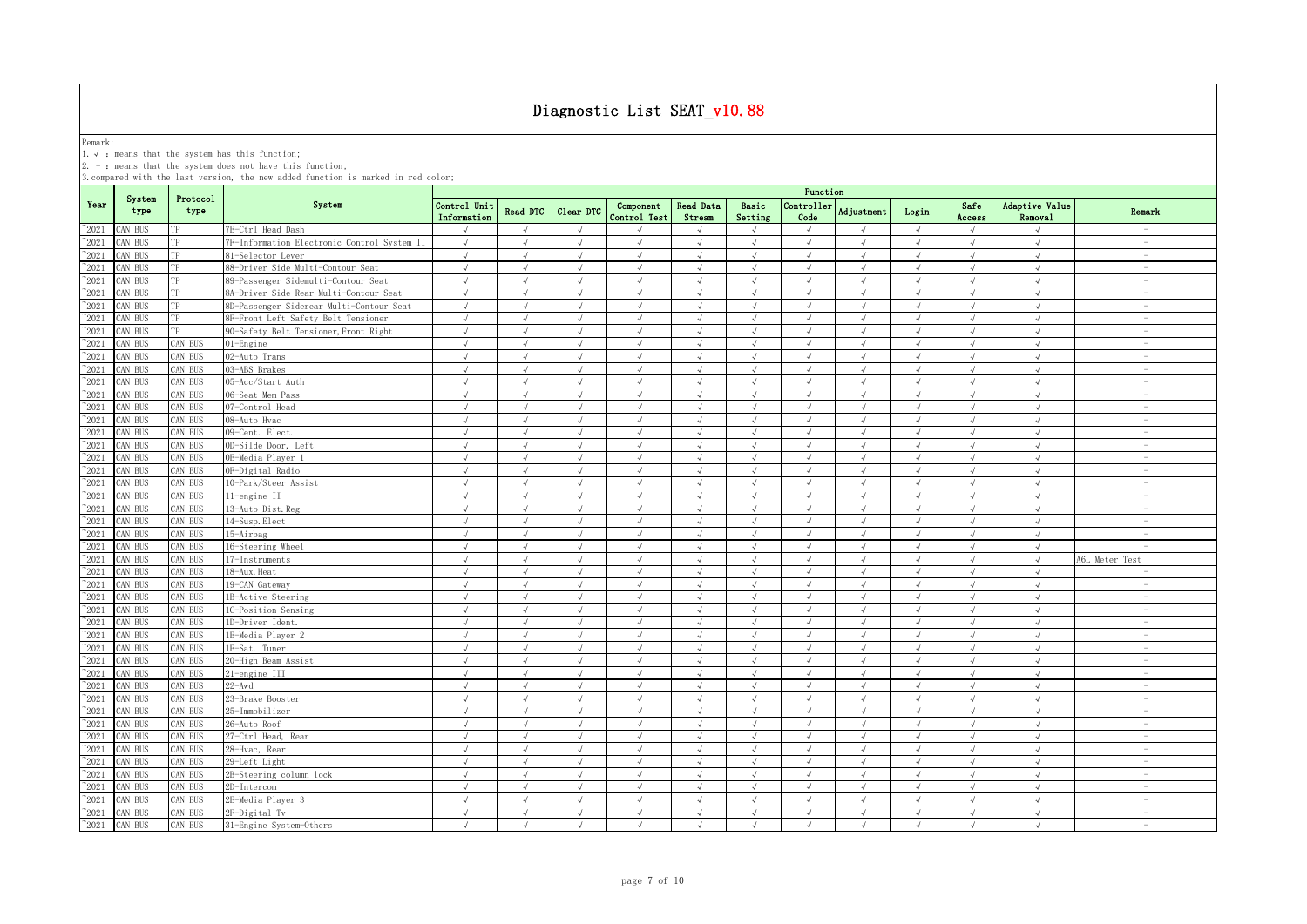Remark:<br>1.√ : means that the system has this function;<br>2. - : means that the system does not have this function;

|                |                |                  |                                             | Function                    |                |               |                           |                     |                  |                    |                   |            |                |                           |                          |
|----------------|----------------|------------------|---------------------------------------------|-----------------------------|----------------|---------------|---------------------------|---------------------|------------------|--------------------|-------------------|------------|----------------|---------------------------|--------------------------|
| Year           | System<br>type | Protocol<br>type | System                                      | Control Unit<br>Information | Read DTC       | Clear DTC     | Component<br>Control Test | Read Data<br>Stream | Basic<br>Setting | Controller<br>Code | <b>Adjustment</b> | Login      | Safe<br>Access | Adaptive Value<br>Removal | Remark                   |
| $^{\sim}2021$  | CAN BUS        | TP               | 7E-Ctrl Head Dash                           |                             | $\sqrt{ }$     | $\mathcal{L}$ |                           |                     | $\sqrt{ }$       | $\mathcal{A}$      |                   | $\sqrt{ }$ |                | $\sqrt{ }$                | $\overline{\phantom{a}}$ |
| $\degree$ 2021 | CAN BUS        | TP               | 7F-Information Electronic Control System II | $\sqrt{ }$                  | $\sqrt{ }$     | $\sqrt{ }$    | $\sqrt{ }$                | $\sqrt{ }$          | $\sqrt{ }$       | $\sqrt{ }$         | $\sqrt{ }$        | $\sqrt{ }$ | $\sqrt{ }$     | $\sqrt{ }$                | $\overline{\phantom{a}}$ |
| $^{\sim}2021$  | CAN BUS        | TP               | 81-Selector Lever                           | $\sqrt{ }$                  | $\sqrt{ }$     | $\sqrt{ }$    | $\sqrt{ }$                | $\sqrt{ }$          | $\sqrt{ }$       | $\sqrt{ }$         | $\sqrt{ }$        | $\sqrt{ }$ | $\sqrt{ }$     | $\sqrt{ }$                | $\overline{\phantom{a}}$ |
| $^{\sim}2021$  | CAN BUS        | TP               | 88-Driver Side Multi-Contour Seat           | $\sqrt{ }$                  | $\sqrt{ }$     | $\sqrt{ }$    | $\sqrt{ }$                | $\sqrt{ }$          | $\sqrt{ }$       | $\sqrt{ }$         | $\sqrt{ }$        | $\sqrt{ }$ | $\sqrt{ }$     | $\sqrt{ }$                | $\overline{\phantom{a}}$ |
| $^{\sim}2021$  | CAN BUS        | TP               | 89-Passenger Sidemulti-Contour Seat         | $\sqrt{ }$                  | $\sqrt{ }$     | $\sqrt{ }$    | $\sqrt{ }$                | $\sqrt{ }$          | $\sqrt{ }$       | $\sqrt{ }$         | $\sqrt{ }$        | $\sqrt{ }$ | $\sqrt{ }$     | $\sqrt{ }$                | $\sim$                   |
| 2021           | CAN BUS        | TP               | 8A-Driver Side Rear Multi-Contour Seat      | $\sqrt{ }$                  | $\sqrt{ }$     | $\sqrt{ }$    | $\sqrt{ }$                | $\sqrt{ }$          | $\sqrt{ }$       | $\sqrt{ }$         | $\sqrt{ }$        | $\sqrt{ }$ | $\sqrt{ }$     | $\sqrt{ }$                | $\sim$                   |
| 2021           | CAN BUS        | TP               | 8D-Passenger Siderear Multi-Contour Seat    | $\sqrt{ }$                  | $\sqrt{ }$     | $\sqrt{ }$    | $\sqrt{ }$                | J                   | $\sqrt{ }$       | $\sqrt{ }$         | $\sqrt{ }$        | $\sqrt{ }$ |                | $\sqrt{ }$                | $\overline{\phantom{a}}$ |
| 2021           | CAN BUS        | TP               | 8F-Front Left Safety Belt Tensioner         | $\sqrt{ }$                  | $\sqrt{ }$     | $\mathcal{L}$ | $\sqrt{ }$                | $\sqrt{ }$          | $\sqrt{ }$       | $\sqrt{ }$         | $\sqrt{ }$        | $\sqrt{ }$ |                | $\sqrt{ }$                | $\sim$                   |
| 2021           | CAN BUS        | TP               | 90-Safety Belt Tensioner, Front Right       | $\sqrt{ }$                  | $\sqrt{ }$     | $\sqrt{ }$    | $\sqrt{2}$                | $\sqrt{ }$          | $\sqrt{ }$       | $\sqrt{ }$         | $\sqrt{ }$        | $\sqrt{ }$ | $\sqrt{ }$     | $\sqrt{ }$                | $\overline{\phantom{m}}$ |
| 2021           | CAN BUS        | CAN BUS          | )1-Engine                                   |                             | $\sqrt{ }$     |               | $\sqrt{ }$                | $\sqrt{ }$          | J                | $\sqrt{ }$         | J                 | $\sqrt{ }$ |                | $\sqrt{ }$                | $\overline{\phantom{m}}$ |
| $^{\sim}2021$  | CAN BUS        | CAN BUS          | 02-Auto Trans                               | $\sqrt{ }$                  | $\sqrt{ }$     | $\sqrt{ }$    | $\sqrt{ }$                | $\sqrt{ }$          | $\sqrt{ }$       | $\sqrt{ }$         | $\sqrt{ }$        | $\sqrt{ }$ | $\sqrt{ }$     | $\sqrt{ }$                | $\overline{\phantom{m}}$ |
| $\degree$ 2021 | CAN BUS        | CAN BUS          | 03-ABS Brakes                               | $\sqrt{ }$                  | $\sqrt{ }$     | $\sqrt{ }$    | $\sqrt{ }$                | $\sqrt{ }$          | $\sqrt{ }$       | $\sqrt{ }$         | $\sqrt{ }$        | $\sqrt{ }$ | $\sqrt{ }$     | $\sqrt{ }$                | $\overline{\phantom{a}}$ |
| 2021           | CAN BUS        | CAN BUS          | 05-Acc/Start Auth                           | $\sqrt{ }$                  | $\sqrt{ }$     | $\sqrt{ }$    | $\sqrt{ }$                | $\sqrt{ }$          | $\sqrt{ }$       | $\sqrt{ }$         | $\sqrt{ }$        | $\sqrt{ }$ | $\sqrt{ }$     | $\sqrt{ }$                | $\sim$                   |
| $\degree$ 2021 | CAN BUS        | CAN BUS          | 06-Seat Mem Pass                            | $\sqrt{ }$                  | $\sqrt{ }$     | $\sqrt{ }$    | $\sqrt{ }$                | $\sqrt{ }$          | $\sqrt{ }$       | $\sqrt{ }$         | $\sqrt{ }$        | $\sqrt{ }$ | $\sqrt{ }$     | $\sqrt{ }$                | $\sim$                   |
| 2021           | CAN BUS        | CAN BUS          | 07-Control Head                             | $\sqrt{ }$                  | $\sqrt{ }$     | $\sqrt{ }$    | $\sqrt{ }$                | $\sqrt{ }$          | $\sqrt{ }$       | $\sqrt{ }$         | $\sqrt{ }$        | $\sqrt{ }$ | $\sqrt{ }$     | $\sqrt{ }$                | $\overline{\phantom{a}}$ |
| $^{\circ}2021$ | CAN BUS        | CAN BUS          | 08-Auto Hvac                                | $\sqrt{ }$                  | $\sqrt{ }$     | $\sqrt{ }$    | $\sqrt{ }$                | $\sqrt{ }$          | $\sqrt{ }$       | $\sqrt{ }$         | $\sqrt{ }$        | $\sqrt{ }$ | $\sqrt{ }$     | $\sqrt{ }$                | $\overline{\phantom{a}}$ |
| 2021           | CAN BUS        | CAN BUS          | 09-Cent. Elect.                             | $\sqrt{ }$                  | $\sqrt{ }$     | $\sqrt{ }$    | $\sqrt{ }$                | $\sqrt{ }$          | $\sqrt{ }$       | $\sqrt{ }$         | $\sqrt{ }$        | $\sqrt{ }$ | $\sqrt{ }$     | $\sqrt{ }$                | $\sim$                   |
| $^{\sim}2021$  | CAN BUS        | CAN BUS          | 0D-Silde Door, Left                         | $\sqrt{ }$                  | $\sqrt{ }$     | $\sqrt{ }$    | $\sqrt{ }$                | $\sqrt{ }$          | $\sqrt{ }$       | $\sqrt{ }$         | $\sqrt{ }$        | $\sqrt{ }$ | $\sqrt{ }$     | $\sqrt{ }$                | $\overline{\phantom{a}}$ |
| 2021           | CAN BUS        | CAN BUS          | OE-Media Player 1                           | $\sqrt{ }$                  | $\sqrt{ }$     | $\sqrt{ }$    | $\sqrt{ }$                | $\sqrt{ }$          | $\sqrt{ }$       | $\sqrt{ }$         | $\sqrt{ }$        | $\sqrt{ }$ | $\sqrt{ }$     | $\sqrt{ }$                | $\overline{\phantom{a}}$ |
| 2021           | CAN BUS        | CAN BUS          | OF-Digital Radio                            | $\sqrt{ }$                  | $\sqrt{ }$     | $\sqrt{ }$    | $\sqrt{ }$                | $\sqrt{ }$          | $\sqrt{ }$       | $\sqrt{ }$         | $\sqrt{ }$        | $\sqrt{ }$ | $\sqrt{ }$     | $\sqrt{ }$                | $\sim$                   |
| 2021           | CAN BUS        | CAN BUS          | 10-Park/Steer Assist                        | $\sqrt{ }$                  | $\sqrt{ }$     | $\sqrt{ }$    | $\sqrt{ }$                | $\sqrt{ }$          | J                | $\sqrt{ }$         | $\sqrt{ }$        | $\sqrt{ }$ | $\sqrt{ }$     | $\sqrt{ }$                | $\sim$                   |
| 2021           | CAN BUS        | CAN BUS          | 11-engine II                                | $\sqrt{ }$                  | $\sqrt{ }$     | $\sqrt{ }$    | $\sqrt{ }$                | J                   | $\sqrt{ }$       | $\sqrt{ }$         | $\sqrt{ }$        | $\sqrt{}$  |                | $\sqrt{ }$                | $\overline{\phantom{a}}$ |
| 2021           | CAN BUS        | CAN BUS          | 13-Auto Dist. Reg                           | $\sqrt{ }$                  | $\sqrt{ }$     | $\sqrt{ }$    | $\sqrt{ }$                | $\sqrt{ }$          | $\sqrt{ }$       | $\sqrt{ }$         | $\sqrt{ }$        | $\sqrt{ }$ |                | $\sqrt{ }$                | $\overline{\phantom{a}}$ |
| 2021           | CAN BUS        | CAN BUS          | 14-Susp. Elect                              | $\sqrt{ }$                  | $\overline{a}$ | $\mathcal{A}$ | J                         |                     | i.               | $\mathcal{N}$      | $\mathcal{A}$     | $\sqrt{ }$ |                | $\sqrt{ }$                | $\overline{\phantom{a}}$ |
| 2021           | CAN BUS        | CAN BUS          | 15-Airbag                                   |                             |                |               | $\sqrt{ }$                |                     | $\sqrt{ }$       |                    |                   | $\sqrt{ }$ |                | $\sqrt{ }$                | $\overline{\phantom{0}}$ |
| $^{\sim}2021$  | CAN BUS        | CAN BUS          | 16-Steering Wheel                           | $\sqrt{ }$                  | $\sqrt{ }$     | $\mathcal{A}$ | $\sqrt{ }$                | $\sqrt{ }$          | J                | $\sqrt{ }$         | $\sqrt{ }$        | $\sqrt{ }$ |                | $\sqrt{ }$                |                          |
| $\degree$ 2021 | CAN BUS        | CAN BUS          | 17-Instruments                              | $\sqrt{ }$                  | $\sqrt{ }$     | $\sqrt{ }$    | $\sqrt{ }$                | $\sqrt{ }$          | J                | $\sqrt{ }$         | $\sqrt{ }$        | $\sqrt{ }$ | $\sqrt{ }$     | $\sqrt{ }$                | A6L Meter Test           |
| $^{\sim}2021$  | CAN BUS        | CAN BUS          | 18-Aux. Heat                                | $\sqrt{ }$                  | $\sqrt{ }$     | $\sqrt{ }$    | $\sqrt{ }$                | $\sqrt{ }$          | $\sqrt{ }$       | $\sqrt{ }$         | $\sqrt{ }$        | $\sqrt{ }$ | $\sqrt{ }$     | $\sqrt{ }$                | ÷.                       |
| $\degree$ 2021 | CAN BUS        | CAN BUS          | 19-CAN Gateway                              | $\sqrt{ }$                  | $\sqrt{ }$     | $\sqrt{ }$    | $\sqrt{ }$                | $\sqrt{ }$          | $\sqrt{ }$       | $\sqrt{ }$         | $\sqrt{ }$        | $\sqrt{ }$ | $\sqrt{ }$     | $\sqrt{ }$                | $\sim$                   |
| $^{\sim}2021$  | CAN BUS        | CAN BUS          | 1B-Active Steering                          | $\sqrt{ }$                  | $\sqrt{ }$     | $\sqrt{ }$    | $\sqrt{ }$                | $\sqrt{ }$          | $\sqrt{ }$       | $\sqrt{ }$         | $\sqrt{ }$        | $\sqrt{ }$ | $\sqrt{ }$     | $\sqrt{ }$                | $\sim$                   |
| $^{\sim}2021$  | CAN BUS        | CAN BUS          | 1C-Position Sensing                         | $\sqrt{ }$                  | $\sqrt{ }$     | $\sqrt{ }$    | $\sqrt{ }$                | $\sqrt{ }$          | $\sqrt{ }$       | $\sqrt{ }$         | $\sqrt{ }$        | $\sqrt{ }$ | $\sqrt{ }$     | $\sqrt{ }$                | $\overline{\phantom{m}}$ |
| $\degree$ 2021 | CAN BUS        | CAN BUS          | 1D-Driver Ident.                            | $\sqrt{ }$                  | $\sqrt{ }$     | $\sqrt{ }$    | $\sqrt{ }$                | $\sqrt{ }$          | $\sqrt{ }$       | $\sqrt{ }$         | $\sqrt{ }$        | $\sqrt{ }$ | $\sqrt{ }$     | $\sqrt{ }$                | $\sim$                   |
| $^{\sim}2021$  | CAN BUS        | CAN BUS          | 1E-Media Player 2                           | $\sqrt{ }$                  | $\sqrt{ }$     | $\sqrt{ }$    | $\sqrt{ }$                | $\sqrt{ }$          | $\sqrt{ }$       | $\sqrt{ }$         | $\sqrt{ }$        | $\sqrt{ }$ | $\sqrt{ }$     | $\sqrt{ }$                | $\overline{\phantom{a}}$ |
| 2021           | CAN BUS        | CAN BUS          | 1F-Sat. Tuner                               | $\sqrt{ }$                  | $\sqrt{ }$     | $\sqrt{ }$    | $\sqrt{ }$                | $\sqrt{ }$          | $\sqrt{ }$       | $\sqrt{ }$         | $\sqrt{ }$        | $\sqrt{ }$ | $\sqrt{ }$     | $\sqrt{ }$                | $\overline{\phantom{a}}$ |
| $^{\sim}2021$  | CAN BUS        | CAN BUS          | 20-High Beam Assist                         | $\sqrt{ }$                  | $\sqrt{ }$     | $\sqrt{ }$    | $\sqrt{ }$                | $\sqrt{ }$          | $\sqrt{ }$       | $\sqrt{ }$         | $\sqrt{ }$        | $\sqrt{ }$ | $\sqrt{ }$     | $\sqrt{ }$                | $\sim$                   |
| 2021           | CAN BUS        | CAN BUS          | 21-engine III                               | $\sqrt{ }$                  | $\sqrt{ }$     | $\sqrt{ }$    | $\sqrt{ }$                | $\sqrt{ }$          | $\sqrt{ }$       | $\sqrt{ }$         | $\sqrt{ }$        | $\sqrt{ }$ | $\sqrt{ }$     | $\sqrt{ }$                | $\sim$                   |
| 2021           | CAN BUS        | CAN BUS          | $22 - Awd$                                  | $\sqrt{ }$                  | $\sqrt{ }$     | $\sqrt{ }$    | $\sqrt{ }$                | J                   | $\sqrt{ }$       | $\sqrt{ }$         | $\sqrt{ }$        | $\sqrt{ }$ | $\sqrt{ }$     | $\sqrt{ }$                | $\overline{\phantom{a}}$ |
| 2021           | CAN BUS        | CAN BUS          | 23-Brake Booster                            | $\sqrt{ }$                  | $\sqrt{ }$     | $\sqrt{ }$    |                           | $\sqrt{ }$          | $\sqrt{ }$       | $\sqrt{ }$         | J                 | $\sqrt{ }$ |                | $\sqrt{ }$                | $\sim$                   |
| 2021           | CAN BUS        | CAN BUS          | 25-Immobilizer                              | $\sqrt{ }$                  |                | $\mathcal{L}$ |                           |                     |                  | $\mathcal{A}$      |                   | J          |                | $\mathcal{L}$             | $\overline{\phantom{a}}$ |
| $\degree$ 2021 | CAN BUS        | CAN BUS          | 26-Auto Roof                                |                             |                |               | J                         |                     | i.               | $\sqrt{ }$         |                   | $\sqrt{ }$ |                | $\sqrt{ }$                | $\overline{\phantom{a}}$ |
| 2021           | CAN BUS        | CAN BUS          | 27-Ctrl Head, Rear                          | $\sqrt{ }$                  | $\sqrt{ }$     | $\sqrt{ }$    | $\sqrt{ }$                | $\sqrt{ }$          | $\sqrt{ }$       | $\sqrt{ }$         | $\sqrt{ }$        | $\sqrt{ }$ | $\sqrt{ }$     | $\sqrt{ }$                | $\overline{\phantom{a}}$ |
| $^{\sim}2021$  | CAN BUS        | CAN BUS          | 28-Hvac, Rear                               | $\sqrt{ }$                  | J              | $\sqrt{ }$    | $\sqrt{ }$                | $\sqrt{ }$          | J                | $\sqrt{ }$         | $\sqrt{ }$        | $\sqrt{ }$ |                | $\sqrt{ }$                | $\sim$                   |
| $^{\sim}2021$  | CAN BUS        | CAN BUS          | 29-Left Light                               | $\sqrt{ }$                  | $\sqrt{ }$     | $\sqrt{ }$    | $\sqrt{ }$                | $\sqrt{ }$          | $\sqrt{ }$       | $\sqrt{ }$         | $\sqrt{ }$        | $\sqrt{ }$ | $\sqrt{ }$     | $\sqrt{ }$                | $\sim$                   |
| $\degree$ 2021 | CAN BUS        | CAN BUS          | 2B-Steering column lock                     | $\sqrt{ }$                  | $\sqrt{ }$     | $\sqrt{ }$    | $\sqrt{ }$                | $\sqrt{ }$          | $\sqrt{ }$       | $\sqrt{ }$         | $\sqrt{ }$        | $\sqrt{ }$ | $\sqrt{ }$     | $\sqrt{ }$                | $\overline{\phantom{a}}$ |
| $^{\sim}2021$  | CAN BUS        | CAN BUS          | 2D-Intercom                                 | $\sqrt{ }$                  | $\sqrt{ }$     | $\sqrt{ }$    | $\sqrt{ }$                | $\sqrt{ }$          | $\sqrt{ }$       | $\sqrt{ }$         | $\sqrt{ }$        | $\sqrt{ }$ | $\sqrt{ }$     | $\sqrt{ }$                | $\overline{\phantom{a}}$ |
| $^{\sim}2021$  | CAN BUS        | CAN BUS          | 2E-Media Player 3                           | $\sqrt{ }$                  | $\sqrt{ }$     | $\sqrt{ }$    | $\sqrt{ }$                | $\sqrt{ }$          | $\sqrt{ }$       | $\sqrt{ }$         | $\sqrt{ }$        | $\sqrt{ }$ | $\sqrt{ }$     | $\sqrt{ }$                | $\overline{\phantom{a}}$ |
| $^{\sim}2021$  | CAN BUS        | CAN BUS          | 2F-Digital Tv                               | $\sqrt{ }$                  | $\sqrt{ }$     | $\sqrt{ }$    | $\sqrt{ }$                | $\sqrt{ }$          | $\sqrt{ }$       | $\sqrt{ }$         | $\sqrt{ }$        | $\sqrt{ }$ | $\sqrt{ }$     | $\sqrt{ }$                | $\overline{\phantom{a}}$ |
| $^{\sim}$ 2021 | CAN BUS        | CAN BUS          | 31-Engine System-Others                     | $\sqrt{ }$                  | $\sqrt{ }$     | $\sqrt{ }$    | $\sqrt{ }$                | $\sqrt{ }$          | $\mathcal{A}$    | $\sqrt{ }$         | $\sqrt{ }$        | $\sqrt{ }$ | $\sqrt{ }$     | $\sqrt{ }$                | $\overline{\phantom{a}}$ |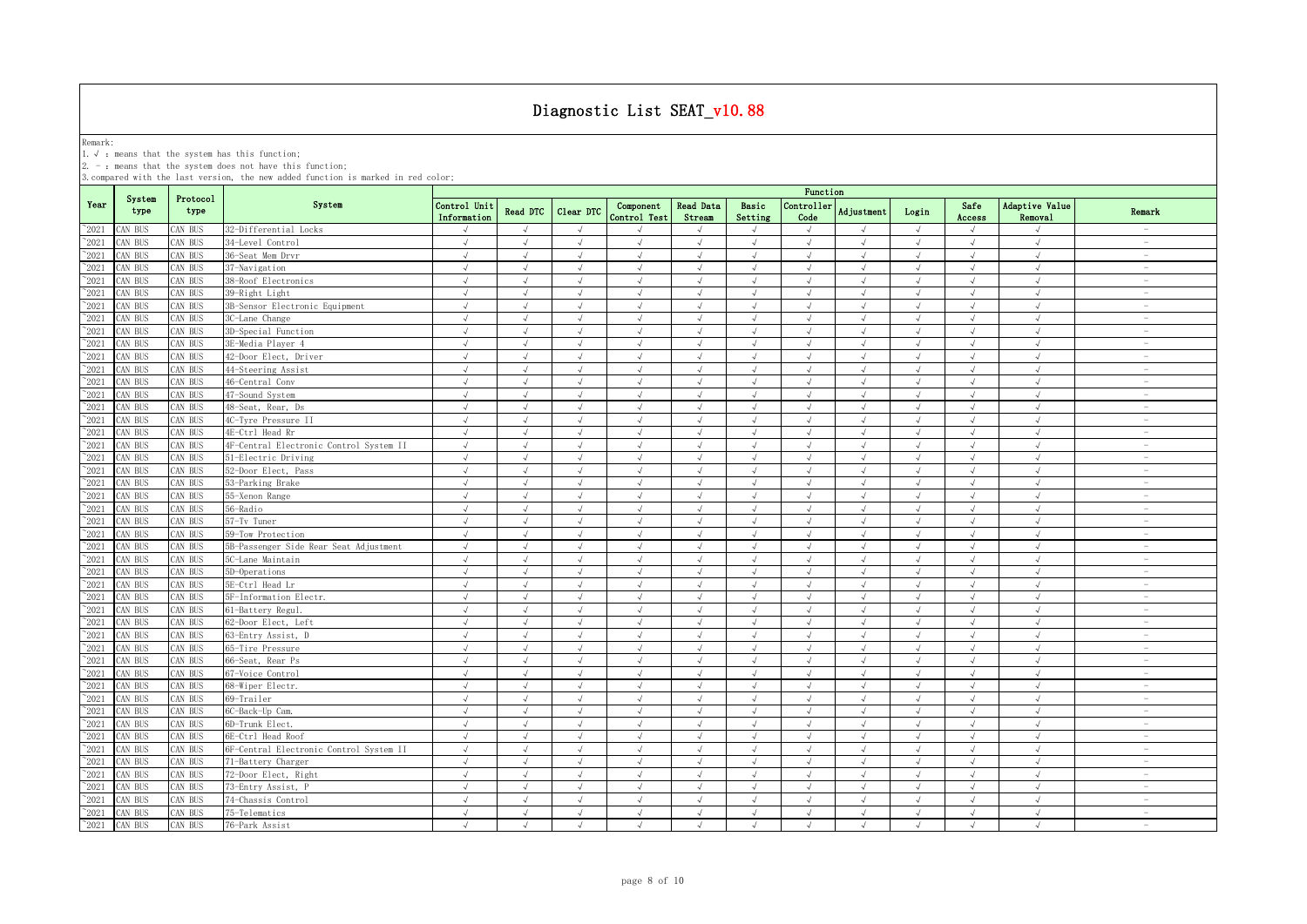Remark:<br>1.√ : means that the system has this function;<br>2. - : means that the system does not have this function;

|                 |                |                  |                                         | Function                    |               |               |                           |                     |                      |                    |                   |            |                |                           |                          |
|-----------------|----------------|------------------|-----------------------------------------|-----------------------------|---------------|---------------|---------------------------|---------------------|----------------------|--------------------|-------------------|------------|----------------|---------------------------|--------------------------|
| Year            | System<br>type | Protocol<br>type | System                                  | Control Unit<br>Information | Read DTC      | Clear DTC     | Component<br>Control Test | Read Data<br>Stream | Basic<br>Setting     | Controller<br>Code | <b>Adjustment</b> | Login      | Safe<br>Access | Adaptive Value<br>Removal | Remark                   |
| $^{\circ}2021$  | CAN BUS        | CAN BUS          | 32-Differential Locks                   |                             | $\sqrt{ }$    | $\mathcal{L}$ |                           |                     | $\sqrt{ }$           | $\mathcal{N}$      |                   | $\sqrt{ }$ |                | $\mathcal{L}$             | $\overline{\phantom{a}}$ |
| $^{\sim}2021$   | CAN BUS        | CAN BUS          | 34-Level Control                        | $\sqrt{ }$                  | $\sqrt{ }$    | $\sqrt{ }$    | $\sqrt{ }$                | $\sqrt{ }$          | $\sqrt{ }$           | $\sqrt{ }$         | $\sqrt{ }$        | $\sqrt{ }$ | $\sqrt{ }$     | $\sqrt{ }$                | $\sim$                   |
| $^{\sim}2021$   | CAN BUS        | CAN BUS          | 36-Seat Mem Drvr                        | $\sqrt{ }$                  | $\sqrt{ }$    | $\sqrt{ }$    | $\sqrt{ }$                | $\sqrt{ }$          | $\sqrt{ }$           | $\sqrt{ }$         | $\sqrt{ }$        | $\sqrt{ }$ | $\sqrt{ }$     | $\sqrt{ }$                | $\overline{\phantom{a}}$ |
| $^{\circ}2021$  | CAN BUS        | CAN BUS          | 37-Navigation                           | $\sqrt{ }$                  | $\sqrt{ }$    | $\sqrt{ }$    | $\sqrt{ }$                | $\sqrt{ }$          | $\sqrt{ }$           | $\sqrt{ }$         | $\sqrt{ }$        | $\sqrt{ }$ | $\sqrt{ }$     | $\sqrt{ }$                | $\overline{\phantom{a}}$ |
| $^{\sim}2021$   | CAN BUS        | CAN BUS          | 38-Roof Electronics                     | $\sqrt{ }$                  | $\sqrt{ }$    | $\sqrt{ }$    | $\sqrt{ }$                | $\sqrt{ }$          | $\sqrt{ }$           | $\sqrt{ }$         | $\sqrt{ }$        | $\sqrt{ }$ | $\sqrt{ }$     | $\sqrt{ }$                | $\sim$                   |
| 2021            | CAN BUS        | CAN BUS          | 39-Right Light                          | $\sqrt{ }$                  | $\sqrt{ }$    | $\sqrt{ }$    | $\sqrt{ }$                | $\sqrt{}$           | $\sqrt{ }$           | $\sqrt{ }$         | $\sqrt{ }$        | $\sqrt{ }$ | $\sqrt{ }$     | $\sqrt{ }$                | $\sim$                   |
| 2021            | CAN BUS        | CAN BUS          | 3B-Sensor Electronic Equipment          | $\sqrt{ }$                  | $\sqrt{ }$    | $\sqrt{ }$    | $\sqrt{ }$                | J                   | $\sqrt{ }$           | $\sqrt{ }$         | $\sqrt{ }$        | $\sqrt{ }$ |                | $\sqrt{ }$                | $\overline{\phantom{a}}$ |
| 2021            | CAN BUS        | CAN BUS          | 3C-Lane Change                          | $\sqrt{ }$                  | $\sqrt{ }$    | $\mathcal{L}$ | $\sqrt{ }$                | $\sqrt{ }$          | $\sqrt{ }$           | $\sqrt{ }$         | $\sqrt{ }$        | $\sqrt{ }$ |                | $\sqrt{ }$                | $\sim$                   |
| 2021            | CAN BUS        | CAN BUS          | 3D-Special Function                     | $\sqrt{ }$                  | $\sqrt{ }$    | $\sqrt{ }$    | $\sqrt{ }$                | $\sqrt{ }$          | $\sqrt{ }$           | $\sqrt{ }$         | $\sqrt{ }$        | $\sqrt{ }$ | $\sqrt{ }$     | $\sqrt{ }$                | $\overline{\phantom{m}}$ |
| 2021            | CAN BUS        | CAN BUS          | 3E-Media Player 4                       |                             | $\sqrt{ }$    |               | $\sqrt{ }$                | $\sqrt{ }$          | $\sqrt{ }$           | $\mathcal{N}$      |                   | $\sqrt{ }$ |                | $\sqrt{ }$                | $\overline{\phantom{0}}$ |
| $^{\prime}2021$ | CAN BUS        | CAN BUS          | 42-Door Elect, Driver                   | $\sqrt{ }$                  | $\sqrt{ }$    | $\sqrt{ }$    | $\sqrt{ }$                | $\sqrt{ }$          | $\sqrt{ }$           | $\sqrt{ }$         | $\sqrt{ }$        | $\sqrt{ }$ | $\sqrt{ }$     | $\sqrt{ }$                | $\overline{\phantom{m}}$ |
| $\degree$ 2021  | CAN BUS        | CAN BUS          | 44-Steering Assist                      | $\sqrt{ }$                  | $\sqrt{ }$    | $\sqrt{ }$    | $\sqrt{ }$                | $\sqrt{ }$          | $\sqrt{ }$           | $\sqrt{ }$         | $\sqrt{ }$        | $\sqrt{ }$ | $\sqrt{ }$     | $\sqrt{ }$                | $\overline{\phantom{a}}$ |
| 2021            | CAN BUS        | CAN BUS          | 46-Central Conv                         | $\sqrt{ }$                  | $\sqrt{ }$    | $\sqrt{ }$    | $\sqrt{ }$                | $\sqrt{ }$          | $\sqrt{ }$           | $\sqrt{ }$         | $\sqrt{ }$        | $\sqrt{ }$ | $\sqrt{ }$     | $\sqrt{ }$                | $\sim$                   |
| $\degree$ 2021  | CAN BUS        | CAN BUS          | 47-Sound System                         | $\sqrt{ }$                  | $\sqrt{ }$    | $\sqrt{ }$    | $\sqrt{ }$                | $\sqrt{ }$          | $\sqrt{ }$           | $\sqrt{ }$         | $\sqrt{ }$        | $\sqrt{ }$ | $\sqrt{ }$     | $\sqrt{ }$                | $\overline{\phantom{a}}$ |
| 2021            | CAN BUS        | CAN BUS          | 48-Seat, Rear, Ds                       | $\sqrt{ }$                  | $\sqrt{ }$    | $\sqrt{ }$    | $\sqrt{ }$                | $\sqrt{ }$          | $\sqrt{ }$           | $\sqrt{ }$         | $\sqrt{ }$        | $\sqrt{ }$ | $\sqrt{ }$     | $\sqrt{ }$                | $\overline{\phantom{a}}$ |
| $^{\circ}2021$  | CAN BUS        | CAN BUS          | 4C-Tyre Pressure II                     | $\sqrt{ }$                  | $\sqrt{ }$    | $\sqrt{ }$    | $\sqrt{ }$                | $\sqrt{ }$          | $\sqrt{ }$           | $\sqrt{ }$         | $\sqrt{ }$        | $\sqrt{ }$ | $\sqrt{ }$     | $\sqrt{ }$                | $\overline{\phantom{a}}$ |
| 2021            | CAN BUS        | CAN BUS          | 4E-Ctrl Head Rr                         | $\sqrt{ }$                  | $\sqrt{ }$    | $\sqrt{ }$    | $\sqrt{ }$                | $\sqrt{ }$          | $\sqrt{ }$           | $\sqrt{ }$         | $\mathcal{A}$     | $\sqrt{ }$ | $\sqrt{ }$     | $\sqrt{ }$                | $\sim$                   |
| $^{\sim}2021$   | CAN BUS        | CAN BUS          | 4F-Central Electronic Control System II | $\sqrt{ }$                  | $\sqrt{ }$    | $\sqrt{ }$    | $\sqrt{ }$                | $\sqrt{ }$          | $\sqrt{ }$           | $\sqrt{ }$         | $\sqrt{ }$        | $\sqrt{ }$ | $\sqrt{ }$     | $\sqrt{ }$                | $\overline{\phantom{a}}$ |
| 2021            | CAN BUS        | CAN BUS          | 51-Electric Driving                     | $\sqrt{ }$                  | $\sqrt{ }$    | $\sqrt{ }$    | $\sqrt{ }$                | $\sqrt{ }$          | $\sqrt{ }$           | $\sqrt{ }$         | $\sqrt{ }$        | $\sqrt{ }$ | $\sqrt{ }$     | $\sqrt{ }$                | $\overline{\phantom{a}}$ |
| 2021            | CAN BUS        | CAN BUS          | 52-Door Elect, Pass                     | $\sqrt{ }$                  | $\sqrt{ }$    | $\sqrt{ }$    | $\sqrt{ }$                | $\sqrt{ }$          | $\sqrt{ }$           | $\sqrt{ }$         | $\sqrt{ }$        | $\sqrt{ }$ | $\sqrt{ }$     | $\sqrt{ }$                | $\sim$                   |
| 2021            | CAN BUS        | CAN BUS          | 53-Parking Brake                        | $\sqrt{ }$                  | J             | $\sqrt{ }$    | $\sqrt{ }$                | $\sqrt{ }$          | J                    | $\sqrt{ }$         | $\sqrt{ }$        | $\sqrt{ }$ | $\sqrt{ }$     | $\sqrt{ }$                | $\sim$                   |
| 2021            | CAN BUS        | CAN BUS          | 55-Xenon Range                          | $\sqrt{ }$                  | $\sqrt{ }$    | $\sqrt{ }$    | $\sqrt{ }$                | J                   | $\sqrt{ }$           | $\sqrt{ }$         | $\sqrt{ }$        | $\sqrt{}$  |                | $\sqrt{ }$                | $\overline{\phantom{a}}$ |
| 2021            | CAN BUS        | CAN BUS          | 56-Radio                                | $\sqrt{ }$                  | $\sqrt{ }$    | $\sqrt{ }$    | $\sqrt{ }$                | $\sqrt{ }$          | $\sqrt{ }$           | $\sqrt{ }$         | $\sqrt{ }$        | $\sqrt{ }$ |                | $\sqrt{ }$                | $\overline{\phantom{a}}$ |
| 2021            | CAN BUS        | CAN BUS          | 57-Tv Tuner                             | $\sqrt{ }$                  |               | $\mathcal{L}$ |                           |                     | $\overline{a}$       | $\mathcal{N}$      |                   | J          |                | $\mathcal{L}$             | $\overline{\phantom{a}}$ |
| 2021            | CAN BUS        | CAN BUS          | 59-Tow Protection                       |                             |               |               | $\sqrt{2}$                |                     | $\ddot{\phantom{0}}$ |                    |                   | $\sqrt{ }$ |                | $\sqrt{ }$                | $\overline{\phantom{0}}$ |
| $^{\sim}2021$   | CAN BUS        | CAN BUS          | 5B-Passenger Side Rear Seat Adjustment  | $\sqrt{ }$                  | $\sqrt{ }$    | $\sqrt{ }$    | $\sqrt{ }$                |                     | J                    | $\sqrt{ }$         |                   | $\sqrt{ }$ |                | $\sqrt{ }$                | $\overline{\phantom{a}}$ |
| $^{\sim}2021$   | CAN BUS        | CAN BUS          | 5C-Lane Maintain                        | $\sqrt{ }$                  | $\sqrt{ }$    | $\sqrt{ }$    | $\sqrt{ }$                | $\sqrt{ }$          | J                    | $\sqrt{ }$         | $\sqrt{ }$        | $\sqrt{ }$ | $\sqrt{ }$     | $\sqrt{ }$                | $\overline{\phantom{a}}$ |
| $^{\sim}2021$   | CAN BUS        | CAN BUS          | 5D-Operations                           | $\sqrt{ }$                  | $\sqrt{ }$    | $\sqrt{ }$    | $\sqrt{ }$                | $\sqrt{ }$          | $\sqrt{ }$           | $\sqrt{ }$         | $\sqrt{ }$        | $\sqrt{ }$ | $\sqrt{ }$     | $\sqrt{ }$                | ÷.                       |
| $\degree$ 2021  | CAN BUS        | CAN BUS          | 5E-Ctrl Head Lr                         | $\sqrt{ }$                  | $\sqrt{ }$    | $\sqrt{ }$    | $\sqrt{ }$                | $\sqrt{ }$          | $\sqrt{ }$           | $\sqrt{ }$         | $\sqrt{ }$        | $\sqrt{ }$ | $\sqrt{ }$     | $\sqrt{ }$                | $\overline{\phantom{a}}$ |
| $^{\sim}2021$   | CAN BUS        | CAN BUS          | 5F-Information Electr.                  | $\sqrt{ }$                  | $\sqrt{ }$    | $\sqrt{ }$    | $\sqrt{ }$                | $\sqrt{ }$          | $\sqrt{ }$           | $\sqrt{ }$         | $\sqrt{ }$        | $\sqrt{ }$ | $\sqrt{ }$     | $\sqrt{ }$                | $\sim$                   |
| $^{\sim}2021$   | CAN BUS        | CAN BUS          | 61-Battery Regul.                       | $\sqrt{ }$                  | $\sqrt{ }$    | $\sqrt{ }$    | $\sqrt{ }$                | $\sqrt{ }$          | $\sqrt{ }$           | $\sqrt{ }$         | $\sqrt{ }$        | $\sqrt{ }$ | $\sqrt{ }$     | $\sqrt{ }$                | $\overline{\phantom{m}}$ |
| $\degree$ 2021  | CAN BUS        | CAN BUS          | 62-Door Elect, Left                     | $\sqrt{ }$                  | $\sqrt{ }$    | $\sqrt{ }$    | $\sqrt{ }$                | $\sqrt{ }$          | $\sqrt{ }$           | $\sqrt{ }$         | $\sqrt{ }$        | $\sqrt{ }$ | $\sqrt{ }$     | $\sqrt{ }$                | $\sim$                   |
| $^{\sim}2021$   | CAN BUS        | CAN BUS          | 63-Entry Assist, D                      | $\sqrt{ }$                  | $\sqrt{ }$    | $\sqrt{ }$    | $\sqrt{ }$                | $\sqrt{ }$          | $\sqrt{ }$           | $\sqrt{ }$         | $\sqrt{ }$        | $\sqrt{ }$ | $\sqrt{ }$     | $\sqrt{ }$                | $\overline{\phantom{a}}$ |
| 2021            | CAN BUS        | CAN BUS          | 65-Tire Pressure                        | $\sqrt{ }$                  | $\sqrt{ }$    | $\sqrt{ }$    | $\sqrt{ }$                | $\sqrt{ }$          | $\sqrt{ }$           | $\sqrt{ }$         | $\sqrt{ }$        | $\sqrt{ }$ | $\sqrt{ }$     | $\sqrt{ }$                | $\overline{\phantom{a}}$ |
| $^{\sim}2021$   | CAN BUS        | CAN BUS          | 66-Seat, Rear Ps                        | $\sqrt{ }$                  | $\sqrt{ }$    | $\sqrt{ }$    | $\sqrt{ }$                | $\sqrt{ }$          | $\sqrt{ }$           | $\sqrt{ }$         | $\sqrt{ }$        | $\sqrt{ }$ | $\sqrt{ }$     | $\sqrt{ }$                | $\overline{\phantom{a}}$ |
| 2021            | CAN BUS        | CAN BUS          | 67-Voice Control                        | $\sqrt{ }$                  | $\sqrt{ }$    | $\sqrt{ }$    | $\sqrt{ }$                | $\sqrt{ }$          | $\sqrt{ }$           | $\sqrt{ }$         | $\sqrt{ }$        | $\sqrt{ }$ | $\sqrt{ }$     | $\sqrt{ }$                | $\sim$                   |
| 2021            | CAN BUS        | CAN BUS          | 68-Wiper Electr.                        | $\sqrt{ }$                  | $\sqrt{ }$    | $\sqrt{ }$    | $\sqrt{ }$                | J                   | $\sqrt{ }$           | $\sqrt{ }$         | $\sqrt{}$         | $\sqrt{}$  | $\sqrt{ }$     | $\sqrt{ }$                | $\overline{\phantom{a}}$ |
| 2021            | CAN BUS        | CAN BUS          | 69-Trailer                              | $\sqrt{ }$                  | $\sqrt{ }$    | $\sqrt{ }$    |                           | $\sqrt{ }$          | $\sqrt{ }$           | $\sqrt{ }$         | J                 | $\sqrt{ }$ |                | $\sqrt{ }$                | $\sim$                   |
| 2021            | CAN BUS        | CAN BUS          | 6C-Back-Up Cam.                         | $\sqrt{ }$                  |               | $\mathcal{L}$ |                           |                     |                      | $\mathcal{N}$      |                   | J          |                | $\mathcal{L}$             | $\overline{\phantom{a}}$ |
| $^{\sim}2021$   | CAN BUS        | CAN BUS          | 6D-Trunk Elect.                         |                             |               |               | J                         |                     | i.                   | $\sqrt{ }$         |                   | $\sqrt{ }$ |                | $\sqrt{ }$                | $\overline{\phantom{a}}$ |
| 2021            | CAN BUS        | CAN BUS          | 6E-Ctrl Head Roof                       | $\sqrt{ }$                  | $\sqrt{ }$    | $\sqrt{ }$    | $\sqrt{ }$                | $\sqrt{ }$          | $\sqrt{ }$           | $\sqrt{ }$         | $\sqrt{ }$        | $\sqrt{ }$ | $\sqrt{ }$     | $\sqrt{ }$                | $\overline{\phantom{a}}$ |
| $^{\sim}2021$   | CAN BUS        | CAN BUS          | 6F-Central Electronic Control System II | $\sqrt{ }$                  | J             | $\sqrt{ }$    | $\sqrt{ }$                | $\sqrt{ }$          | J                    | $\sqrt{ }$         | $\sqrt{ }$        | $\sqrt{ }$ |                | $\sqrt{ }$                | $\sim$                   |
| $^{\sim}2021$   | CAN BUS        | CAN BUS          | 71-Battery Charger                      | $\sqrt{ }$                  | $\sqrt{ }$    | $\sqrt{ }$    | $\sqrt{ }$                | $\sqrt{ }$          | $\sqrt{ }$           | $\sqrt{ }$         | $\sqrt{ }$        | $\sqrt{ }$ | $\sqrt{ }$     | $\sqrt{ }$                | $\sim$                   |
| $^{\sim}2021$   | CAN BUS        | CAN BUS          | 72-Door Elect, Right                    | $\sqrt{ }$                  | $\sqrt{ }$    | $\sqrt{ }$    | $\sqrt{ }$                | $\sqrt{ }$          | $\sqrt{ }$           | $\sqrt{ }$         | $\sqrt{ }$        | $\sqrt{ }$ | $\sqrt{ }$     | $\sqrt{ }$                | $\overline{\phantom{a}}$ |
| $^{\sim}2021$   | CAN BUS        | CAN BUS          | 73-Entry Assist, P                      | $\sqrt{ }$                  | $\sqrt{ }$    | $\sqrt{ }$    | $\sqrt{ }$                | $\sqrt{ }$          | $\sqrt{ }$           | $\sqrt{ }$         | $\sqrt{ }$        | $\sqrt{ }$ | $\sqrt{ }$     | $\sqrt{ }$                | $\overline{\phantom{a}}$ |
| $^{\sim}2021$   | CAN BUS        | CAN BUS          | 74-Chassis Control                      | $\sqrt{ }$                  | $\sqrt{ }$    | $\sqrt{ }$    | $\sqrt{ }$                | $\sqrt{ }$          | $\sqrt{ }$           | $\sqrt{ }$         | $\mathcal{A}$     | $\sqrt{ }$ | $\sqrt{ }$     | $\sqrt{ }$                | $\overline{\phantom{a}}$ |
| $^{\circ}2021$  | CAN BUS        | CAN BUS          | 75-Telematics                           | $\sqrt{ }$                  | $\sqrt{ }$    | $\sqrt{ }$    | $\sqrt{ }$                | $\sqrt{ }$          | $\sqrt{ }$           | $\sqrt{ }$         | $\sqrt{ }$        | $\sqrt{ }$ | $\sqrt{ }$     | $\sqrt{ }$                | $\overline{\phantom{a}}$ |
| $^{\sim}$ 2021  | CAN BUS        | CAN BUS          | 76-Park Assist                          | $\sqrt{ }$                  | $\mathcal{N}$ | $\sqrt{ }$    | $\sqrt{ }$                | $\sqrt{ }$          | $\mathcal{N}$        | $\sqrt{ }$         | $\sqrt{ }$        | $\sqrt{ }$ | $\sqrt{ }$     | $\sqrt{ }$                | $\overline{\phantom{m}}$ |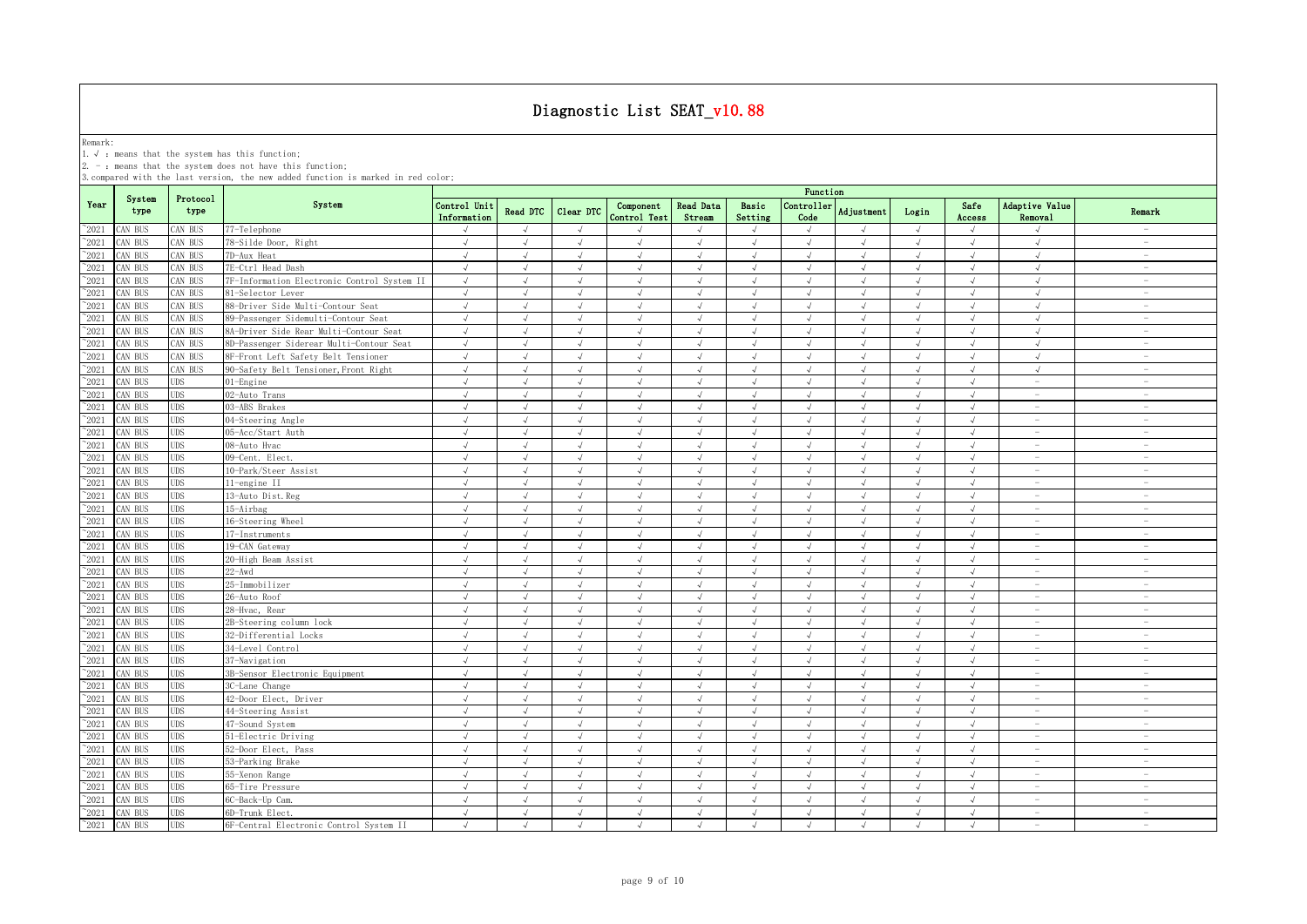Remark:<br>1.√ : means that the system has this function;<br>2. - : means that the system does not have this function;

|                |                |                  |                                             | Function                    |                |            |                           |                     |                  |                    |               |            |                |                                                                           |                                 |
|----------------|----------------|------------------|---------------------------------------------|-----------------------------|----------------|------------|---------------------------|---------------------|------------------|--------------------|---------------|------------|----------------|---------------------------------------------------------------------------|---------------------------------|
| Year           | System<br>type | Protocol<br>type | System                                      | Control Unit<br>Information | Read DTC       | Clear DTC  | Component<br>Control Test | Read Data<br>Stream | Basic<br>Setting | Controller<br>Code | Adjustment    | Login      | Safe<br>Access | Adaptive Value<br>Removal                                                 | Remark                          |
| $^{\sim}2021$  | CAN BUS        | CAN BUS          | 77-Telephone                                |                             | $\sqrt{ }$     | $\sqrt{ }$ |                           |                     | $\sqrt{ }$       | $\sqrt{ }$         |               | $\sqrt{ }$ | $\sqrt{ }$     | $\sqrt{ }$                                                                | $\hspace{0.1mm}-\hspace{0.1mm}$ |
| $\degree$ 2021 | CAN BUS        | CAN BUS          | 78-Silde Door, Right                        | $\sqrt{ }$                  | $\sqrt{ }$     | $\sqrt{ }$ | $\sqrt{}$                 | $\sqrt{ }$          | $\sqrt{ }$       | $\sqrt{ }$         | $\sqrt{ }$    | $\sqrt{ }$ | $\sqrt{ }$     | $\sqrt{ }$                                                                | $\sim$                          |
| $^{\sim}2021$  | CAN BUS        | CAN BUS          | 7D-Aux Heat                                 | $\sqrt{ }$                  | $\sqrt{ }$     | $\sqrt{ }$ | $\sqrt{ }$                | J                   | $\sqrt{ }$       | $\sqrt{ }$         | $\lambda$     | $\sqrt{ }$ | $\sqrt{ }$     | $\sqrt{ }$                                                                | $\overline{\phantom{a}}$        |
| 2021           | CAN BUS        | CAN BUS          | 7E-Ctrl Head Dash                           | $\sqrt{ }$                  | $\sqrt{ }$     | $\sqrt{ }$ | $\sqrt{ }$                | $\sqrt{ }$          | $\sqrt{ }$       | $\sqrt{ }$         | $\sqrt{ }$    | $\sqrt{ }$ | $\sqrt{ }$     | $\sqrt{ }$                                                                | $\sim$                          |
| $^{\sim}2021$  | CAN BUS        | CAN BUS          | 7F-Information Electronic Control System II | $\sqrt{ }$                  | $\mathcal{L}$  | $\sqrt{ }$ | $\sqrt{ }$                | $\sqrt{ }$          | $\sqrt{ }$       | $\sqrt{ }$         | $\mathcal{A}$ | $\sqrt{ }$ | $\sqrt{ }$     | $\sqrt{ }$                                                                | $\overline{\phantom{a}}$        |
| 2021           | CAN BUS        | CAN BUS          | 81-Selector Lever                           | $\sqrt{ }$                  | $\sqrt{ }$     | $\sqrt{ }$ | $\sqrt{ }$                | $\sqrt{ }$          | $\sqrt{ }$       | $\sqrt{ }$         | $\sqrt{ }$    | $\sqrt{ }$ | $\sqrt{ }$     | $\sqrt{ }$                                                                | $\sim$                          |
| $^{\sim}2021$  | CAN BUS        | CAN BUS          | 88-Driver Side Multi-Contour Seat           | $\sqrt{ }$                  | $\sqrt{ }$     | $\sqrt{ }$ | J                         | $\sqrt{ }$          | $\sqrt{ }$       | $\sqrt{ }$         | $\sqrt{ }$    | J          | $\sqrt{ }$     | $\sqrt{ }$                                                                | $\sim$                          |
| 2021           | CAN BUS        | CAN BUS          | 89-Passenger Sidemulti-Contour Seat         | $\sqrt{ }$                  | $\sqrt{ }$     | $\sqrt{ }$ | $\sqrt{ }$                | $\sqrt{ }$          | $\sqrt{ }$       | $\sqrt{ }$         | $\sqrt{ }$    | $\sqrt{ }$ | $\sqrt{ }$     | $\sqrt{ }$                                                                | $\sim$                          |
| 2021           | CAN BUS        | CAN BUS          | 8A-Driver Side Rear Multi-Contour Seat      | $\sqrt{ }$                  |                | $\sqrt{ }$ |                           |                     |                  | $\sqrt{ }$         |               |            |                | $\sqrt{ }$                                                                | $\overline{\phantom{a}}$        |
| 2021           | CAN BUS        | CAN BUS          | 8D-Passenger Siderear Multi-Contour Seat    | $\sqrt{ }$                  | $\sqrt{2}$     | $\sqrt{ }$ | J                         |                     | $\sqrt{ }$       | $\sqrt{ }$         |               | $\sqrt{}$  | $\sqrt{ }$     | $\sqrt{ }$                                                                | $\overline{\phantom{a}}$        |
| 2021           | CAN BUS        | CAN BUS          | 8F-Front Left Safety Belt Tensioner         | $\sqrt{ }$                  |                | $\sqrt{ }$ | $\mathcal{L}$             |                     | J                | $\sqrt{ }$         |               |            | $\lambda$      | $\sqrt{ }$                                                                | $\overline{\phantom{a}}$        |
| $\degree$ 2021 | CAN BUS        | CAN BUS          | 90-Safety Belt Tensioner, Front Right       | $\sqrt{ }$                  |                | $\sqrt{ }$ | J                         |                     | J                | $\sqrt{ }$         |               | $\sqrt{ }$ | $\sqrt{ }$     | $\sqrt{ }$                                                                | $\overline{\phantom{0}}$        |
| $^{\sim}2021$  | CAN BUS        | <b>UDS</b>       | 01-Engine                                   | $\sqrt{ }$                  | $\sqrt{ }$     | $\sqrt{ }$ | $\mathcal{L}$             | $\sqrt{ }$          | $\sqrt{ }$       | $\mathcal{A}$      |               | $\sqrt{ }$ | $\sqrt{ }$     | $\overline{\phantom{m}}$                                                  | $\overline{\phantom{m}}$        |
| $^{\circ}2021$ | CAN BUS        | <b>UDS</b>       | 02-Auto Trans                               | $\sqrt{ }$                  | $\sqrt{ }$     | $\sqrt{ }$ | $\sqrt{ }$                | $\sqrt{ }$          | $\sqrt{ }$       | $\sqrt{ }$         | $\sqrt{ }$    | $\sqrt{ }$ | $\sqrt{ }$     | ÷                                                                         | $\sim$                          |
| $^{\sim}2021$  | CAN BUS        | <b>UDS</b>       | 03-ABS Brakes                               | $\sqrt{ }$                  | $\sqrt{ }$     | $\sqrt{ }$ | $\sqrt{ }$                | $\sqrt{ }$          | $\sqrt{ }$       | $\sqrt{ }$         | $\sqrt{ }$    | $\sqrt{ }$ | $\sqrt{ }$     | $\sim$                                                                    | $\sim$                          |
| $^{\sim}2021$  | CAN BUS        | <b>UDS</b>       | 04-Steering Angle                           | $\sqrt{ }$                  | $\sqrt{ }$     | $\sqrt{ }$ | $\sqrt{ }$                | J                   | $\sqrt{ }$       | $\sqrt{ }$         | $\cdot$       | $\sqrt{ }$ | $\sqrt{ }$     | $\overline{\phantom{a}}$                                                  | $\sim$                          |
| $^{\sim}2021$  | CAN BUS        | <b>UDS</b>       | 05-Acc/Start Auth                           | $\sqrt{ }$                  | $\sqrt{ }$     | $\sqrt{ }$ | $\sqrt{ }$                | $\sqrt{ }$          | $\sqrt{ }$       | $\sqrt{ }$         | $\lambda$     | $\sqrt{ }$ | $\sqrt{ }$     | $\overline{\phantom{a}}$                                                  | $\sim$                          |
| $^{\circ}2021$ | CAN BUS        | UDS              | 08-Auto Hvac                                | $\sqrt{ }$                  | $\sqrt{ }$     | $\sqrt{ }$ | $\sqrt{ }$                | $\sqrt{ }$          | $\sqrt{ }$       | $\sqrt{ }$         | $\sqrt{ }$    | $\sqrt{ }$ | $\sqrt{ }$     | $\overline{\phantom{a}}$                                                  | $\overline{\phantom{a}}$        |
| $\degree$ 2021 | CAN BUS        | <b>UDS</b>       | 09-Cent. Elect.                             | $\sqrt{ }$                  | $\sqrt{ }$     | $\sqrt{ }$ | $\sqrt{ }$                | $\sqrt{ }$          | $\sqrt{ }$       | $\sqrt{ }$         | $\sqrt{ }$    | $\sqrt{ }$ | $\sqrt{ }$     | $\overline{\phantom{a}}$                                                  | $\sim$                          |
| $\degree$ 2021 | CAN BUS        | <b>UDS</b>       | 10-Park/Steer Assist                        | $\sqrt{ }$                  | $\sqrt{ }$     | $\sqrt{ }$ | $\sqrt{ }$                | $\sqrt{ }$          | $\sqrt{ }$       | $\sqrt{ }$         | $\sqrt{ }$    | $\sqrt{ }$ | $\sqrt{ }$     | $\overline{\phantom{a}}$                                                  | $\overline{\phantom{a}}$        |
| $^{\sim}2021$  | CAN BUS        | <b>UDS</b>       | 11-engine II                                | $\sqrt{ }$                  | $\sqrt{ }$     | $\sqrt{ }$ | $\sqrt{2}$                | $\sqrt{ }$          | $\sqrt{ }$       | $\sqrt{ }$         | $\sqrt{ }$    | $\sqrt{ }$ | $\sqrt{ }$     | $\overline{\phantom{a}}$                                                  | $\sim$                          |
| 2021           | CAN BUS        | <b>UDS</b>       | 13-Auto Dist. Reg                           | $\sqrt{ }$                  | $\sqrt{ }$     | $\sqrt{ }$ | $\sqrt{ }$                | $\sqrt{ }$          | $\sqrt{ }$       | $\sqrt{ }$         | $\sqrt{ }$    | $\sqrt{ }$ | $\sqrt{ }$     | $\overline{\phantom{a}}$                                                  | $\hspace{0.1mm}-\hspace{0.1mm}$ |
| 2021           | CAN BUS        | <b>UDS</b>       | 15-Airbag                                   | $\sqrt{ }$                  | $\sqrt{2}$     | $\sqrt{ }$ | $\sqrt{ }$                | √                   | $\sqrt{2}$       | $\sqrt{ }$         | $\sqrt{ }$    | $\sqrt{ }$ | $\sqrt{ }$     | $\overline{\phantom{a}}$                                                  | $\overline{\phantom{a}}$        |
| 2021           | CAN BUS        | UDS              | 16-Steering Wheel                           | $\sqrt{ }$                  | $\sqrt{ }$     | $\sqrt{ }$ | J                         |                     | J                | $\sqrt{ }$         |               | J          | $\sqrt{ }$     | $\overline{\phantom{a}}$                                                  | $\overline{\phantom{a}}$        |
| 2021           | CAN BUS        | <b>UDS</b>       | 17-Instruments                              | $\sqrt{ }$                  | $\overline{a}$ | $\sqrt{ }$ | J                         |                     | J                | $\sqrt{ }$         |               | $\sqrt{ }$ | $\sqrt{ }$     | $\qquad \qquad =$                                                         | $\sim$                          |
| 2021           | CAN BUS        | UDS              | 19-CAN Gateway                              | $\sqrt{ }$                  |                | $\sqrt{ }$ |                           |                     |                  | $\sqrt{ }$         |               |            | $\sqrt{ }$     | $\hspace{1.0cm} \rule{1.5cm}{0.15cm} \hspace{1.0cm} \rule{1.5cm}{0.15cm}$ |                                 |
| $^{\circ}2021$ | CAN BUS        | <b>UDS</b>       | 20-High Beam Assist                         | $\sqrt{ }$                  | $\sqrt{ }$     | $\sqrt{ }$ | J                         |                     | $\sqrt{ }$       | $\sqrt{ }$         |               | $\sqrt{ }$ | $\sqrt{ }$     |                                                                           | $\overline{\phantom{a}}$        |
| $^{\sim}2021$  | CAN BUS        | <b>UDS</b>       | $22 - Awd$                                  | $\sqrt{ }$                  | $\sqrt{ }$     | $\sqrt{ }$ | $\sqrt{ }$                | $\sqrt{ }$          | $\sqrt{ }$       | $\sqrt{ }$         | $\sqrt{ }$    | $\sqrt{ }$ | $\sqrt{ }$     |                                                                           | $\sim$                          |
| $^{\sim}2021$  | CAN BUS        | <b>UDS</b>       | 25-Immobilizer                              | $\sqrt{ }$                  | $\sqrt{2}$     | $\sqrt{ }$ | $\sqrt{ }$                | $\sqrt{ }$          | $\sqrt{ }$       | $\sqrt{ }$         | $\sqrt{ }$    | $\sqrt{ }$ | $\sqrt{ }$     | $\sim$                                                                    | $\sim$                          |
| $\degree$ 2021 | CAN BUS        | <b>UDS</b>       | 26-Auto Roof                                | $\sqrt{ }$                  | $\sqrt{ }$     | $\sqrt{ }$ | $\sqrt{ }$                | J                   | $\sqrt{ }$       | $\sqrt{ }$         | $\sqrt{ }$    | $\sqrt{ }$ | $\sqrt{ }$     | $\overline{\phantom{a}}$                                                  | $\sim$                          |
| $^{\circ}2021$ | CAN BUS        | UDS              | 28-Hvac, Rear                               | $\sqrt{ }$                  | $\sqrt{ }$     | $\sqrt{}$  | $\sqrt{ }$                | $\sqrt{ }$          | $\sqrt{2}$       | $\sqrt{ }$         | $\mathcal{A}$ | $\sqrt{ }$ | $\sqrt{ }$     | $\overline{\phantom{a}}$                                                  | $\sim$                          |
| $\degree$ 2021 | CAN BUS        | <b>UDS</b>       | 2B-Steering column lock                     | $\sqrt{ }$                  | $\sqrt{ }$     | $\sqrt{ }$ | $\sqrt{ }$                | $\sqrt{ }$          | $\sqrt{ }$       | $\sqrt{ }$         | $\sqrt{ }$    | $\sqrt{ }$ | $\sqrt{ }$     | $\overline{\phantom{a}}$                                                  | $\sim$                          |
| $^{\sim}2021$  | CAN BUS        | UDS              | 32-Differential Locks                       | $\sqrt{ }$                  | $\sqrt{ }$     | $\sqrt{ }$ | $\sqrt{ }$                | $\sqrt{ }$          | $\sqrt{ }$       | $\sqrt{ }$         | $\sqrt{ }$    | J          | $\sqrt{ }$     | $\overline{\phantom{a}}$                                                  | $\sim$                          |
| $^{\sim}2021$  | CAN BUS        | <b>UDS</b>       | 34-Level Control                            | $\sqrt{ }$                  | $\sqrt{ }$     | $\sqrt{ }$ | $\sqrt{ }$                | $\sqrt{ }$          | $\sqrt{ }$       | $\sqrt{ }$         | $\sqrt{ }$    | $\sqrt{ }$ | $\sqrt{ }$     | $\overline{\phantom{a}}$                                                  | $\sim$                          |
| $^{\sim}2021$  | CAN BUS        | <b>UDS</b>       | 37-Navigation                               | $\sqrt{ }$                  | $\sqrt{ }$     | $\sqrt{ }$ | $\sqrt{ }$                | $\sqrt{ }$          | $\sqrt{ }$       | $\sqrt{ }$         | $\sqrt{ }$    | $\sqrt{ }$ | $\sqrt{ }$     | $\overline{\phantom{a}}$                                                  | $\overline{\phantom{a}}$        |
| 2021           | CAN BUS        | UDS              | 3B-Sensor Electronic Equipment              | $\sqrt{ }$                  | $\sqrt{ }$     | $\sqrt{ }$ | $\sqrt{}$                 | $\sqrt{ }$          | $\sqrt{2}$       | $\sqrt{ }$         | $\sqrt{ }$    | $\sqrt{ }$ | $\sqrt{ }$     | $\sim$                                                                    | $\sim$                          |
| 2021           | CAN BUS        | UDS              | 3C-Lane Change                              | $\sqrt{ }$                  | $\sqrt{ }$     | $\sqrt{ }$ | $\sqrt{ }$                | $\sqrt{ }$          | $\sqrt{2}$       | $\sqrt{ }$         | $\sqrt{ }$    | $\sqrt{ }$ | $\sqrt{}$      | $\overline{\phantom{a}}$                                                  | $\hspace{0.1mm}-\hspace{0.1mm}$ |
| 2021           | CAN BUS        | <b>UDS</b>       | 42-Door Elect, Driver                       | $\sqrt{ }$                  | $\sqrt{2}$     | $\sqrt{ }$ | $\sqrt{2}$                |                     | $\sqrt{2}$       | $\sqrt{ }$         | $\sqrt{ }$    | $\sqrt{ }$ | $\sqrt{ }$     | $\overline{\phantom{a}}$                                                  | $\overline{\phantom{a}}$        |
| 2021           | CAN BUS        | UDS              | 44-Steering Assist                          | $\sqrt{ }$                  |                | $\sqrt{ }$ |                           |                     | J                | $\sqrt{ }$         |               | $\sqrt{ }$ | <sup>N</sup>   | $\overline{\phantom{a}}$                                                  | $\sim$                          |
| $\degree$ 2021 | CAN BUS        | <b>UDS</b>       | 47-Sound System                             | $\sqrt{ }$                  |                | $\sqrt{ }$ | $\mathcal{L}$             |                     |                  | $\sqrt{ }$         |               |            | $\sqrt{ }$     |                                                                           |                                 |
| 2021           | CAN BUS        | <b>UDS</b>       | 51-Electric Driving                         | $\sqrt{ }$                  | $\sqrt{ }$     | $\sqrt{ }$ | $\sqrt{ }$                | $\sqrt{ }$          | $\sqrt{ }$       | $\sqrt{ }$         |               | $\sqrt{ }$ | $\sqrt{ }$     |                                                                           | $\overline{\phantom{0}}$        |
| $^{\sim}2021$  | CAN BUS        | <b>UDS</b>       | 52-Door Elect, Pass                         | $\sqrt{ }$                  | J              | $\sqrt{ }$ | J                         |                     | J                | $\sqrt{ }$         |               | $\sqrt{ }$ | $\sqrt{ }$     | ۰                                                                         | $\sim$                          |
| $^{\sim}2021$  | CAN BUS        | <b>UDS</b>       | 53-Parking Brake                            | $\sqrt{ }$                  | $\sqrt{ }$     | $\sqrt{ }$ | $\sqrt{ }$                | $\sqrt{ }$          | $\sqrt{ }$       | $\sqrt{ }$         | $\lambda$     | $\sqrt{ }$ | $\sqrt{ }$     | $\overline{\phantom{a}}$                                                  | $\sim$                          |
| $^{\sim}2021$  | CAN BUS        | <b>UDS</b>       | 55-Xenon Range                              | $\sqrt{ }$                  | $\sqrt{2}$     | $\sqrt{ }$ | $\sqrt{ }$                | $\sqrt{2}$          | $\sqrt{2}$       | $\sqrt{ }$         | $\sqrt{ }$    | $\sqrt{ }$ | $\sqrt{ }$     | $\overline{\phantom{a}}$                                                  | $\sim$                          |
| $^{\sim}2021$  | CAN BUS        | UDS              | 65-Tire Pressure                            | $\sqrt{ }$                  | $\sqrt{ }$     | $\sqrt{ }$ | $\sqrt{ }$                | $\sqrt{ }$          | $\sqrt{ }$       | $\sqrt{ }$         | $\lambda$     | $\sqrt{ }$ | $\sqrt{ }$     | $\overline{\phantom{a}}$                                                  | $\overline{\phantom{a}}$        |
| $^{\sim}2021$  | CAN BUS        | <b>UDS</b>       | 6C-Back-Up Cam.                             | $\sqrt{ }$                  | $\sqrt{ }$     | $\sqrt{ }$ | $\sqrt{ }$                | $\sqrt{ }$          | $\sqrt{ }$       | $\sqrt{ }$         | $\mathcal{A}$ | $\sqrt{ }$ | $\sqrt{ }$     | $\sim$                                                                    | $\sim$                          |
| $^{\sim}2021$  | CAN BUS        | <b>UDS</b>       | 6D-Trunk Elect.                             | $\sqrt{ }$                  | $\sqrt{ }$     | $\sqrt{ }$ | $\sqrt{ }$                | $\sqrt{ }$          | $\sqrt{ }$       | $\sqrt{ }$         | $\sqrt{ }$    | $\sqrt{ }$ | $\sqrt{ }$     | $\overline{\phantom{a}}$                                                  | $\overline{\phantom{a}}$        |
| $^{\sim}$ 2021 | CAN BUS        | <b>UDS</b>       | 6F-Central Electronic Control System II     | $\sqrt{ }$                  | $\sqrt{ }$     | $\sqrt{ }$ | $\sqrt{ }$                | $\sqrt{ }$          | $\sqrt{ }$       | $\sqrt{ }$         | $\sqrt{ }$    | $\sqrt{ }$ | $\sqrt{ }$     | $\overline{\phantom{m}}$                                                  | $\overline{\phantom{a}}$        |